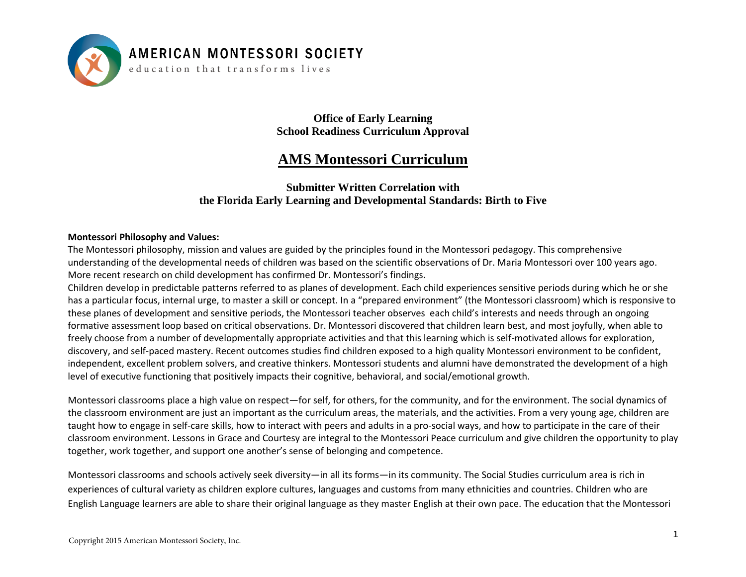

education that transforms lives

**Office of Early Learning School Readiness Curriculum Approval** 

#### **AMS Montessori Curriculum**

#### **Submitter Written Correlation with the Florida Early Learning and Developmental Standards: Birth to Five**

#### **Montessori Philosophy and Values:**

The Montessori philosophy, mission and values are guided by the principles found in the Montessori pedagogy. This comprehensive understanding of the developmental needs of children was based on the scientific observations of Dr. Maria Montessori over 100 years ago. More recent research on child development has confirmed Dr. Montessori's findings.

Children develop in predictable patterns referred to as planes of development. Each child experiences sensitive periods during which he or she has a particular focus, internal urge, to master a skill or concept. In a "prepared environment" (the Montessori classroom) which is responsive to these planes of development and sensitive periods, the Montessori teacher observes each child's interests and needs through an ongoing formative assessment loop based on critical observations. Dr. Montessori discovered that children learn best, and most joyfully, when able to freely choose from a number of developmentally appropriate activities and that this learning which is self-motivated allows for exploration, discovery, and self-paced mastery. Recent outcomes studies find children exposed to a high quality Montessori environment to be confident, independent, excellent problem solvers, and creative thinkers. Montessori students and alumni have demonstrated the development of a high level of executive functioning that positively impacts their cognitive, behavioral, and social/emotional growth.

Montessori classrooms place a high value on respect—for self, for others, for the community, and for the environment. The social dynamics of the classroom environment are just an important as the curriculum areas, the materials, and the activities. From a very young age, children are taught how to engage in self-care skills, how to interact with peers and adults in a pro-social ways, and how to participate in the care of their classroom environment. Lessons in Grace and Courtesy are integral to the Montessori Peace curriculum and give children the opportunity to play together, work together, and support one another's sense of belonging and competence.

Montessori classrooms and schools actively seek diversity—in all its forms—in its community. The Social Studies curriculum area is rich in experiences of cultural variety as children explore cultures, languages and customs from many ethnicities and countries. Children who are English Language learners are able to share their original language as they master English at their own pace. The education that the Montessori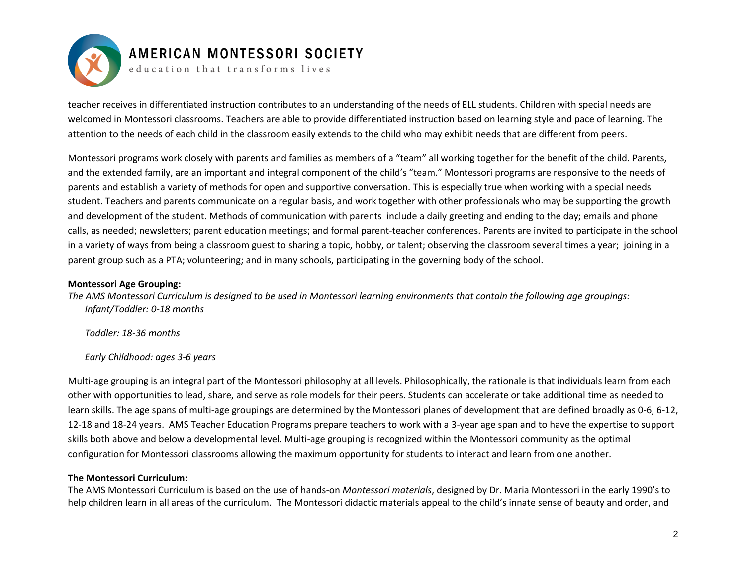

education that transforms lives

teacher receives in differentiated instruction contributes to an understanding of the needs of ELL students. Children with special needs are welcomed in Montessori classrooms. Teachers are able to provide differentiated instruction based on learning style and pace of learning. The attention to the needs of each child in the classroom easily extends to the child who may exhibit needs that are different from peers.

Montessori programs work closely with parents and families as members of a "team" all working together for the benefit of the child. Parents, and the extended family, are an important and integral component of the child's "team." Montessori programs are responsive to the needs of parents and establish a variety of methods for open and supportive conversation. This is especially true when working with a special needs student. Teachers and parents communicate on a regular basis, and work together with other professionals who may be supporting the growth and development of the student. Methods of communication with parents include a daily greeting and ending to the day; emails and phone calls, as needed; newsletters; parent education meetings; and formal parent-teacher conferences. Parents are invited to participate in the school in a variety of ways from being a classroom guest to sharing a topic, hobby, or talent; observing the classroom several times a year; joining in a parent group such as a PTA; volunteering; and in many schools, participating in the governing body of the school.

#### **Montessori Age Grouping:**

*The AMS Montessori Curriculum is designed to be used in Montessori learning environments that contain the following age groupings: Infant/Toddler: 0-18 months*

*Toddler: 18-36 months*

*Early Childhood: ages 3-6 years* 

Multi-age grouping is an integral part of the Montessori philosophy at all levels. Philosophically, the rationale is that individuals learn from each other with opportunities to lead, share, and serve as role models for their peers. Students can accelerate or take additional time as needed to learn skills. The age spans of multi-age groupings are determined by the Montessori planes of development that are defined broadly as 0-6, 6-12, 12-18 and 18-24 years. AMS Teacher Education Programs prepare teachers to work with a 3-year age span and to have the expertise to support skills both above and below a developmental level. Multi-age grouping is recognized within the Montessori community as the optimal configuration for Montessori classrooms allowing the maximum opportunity for students to interact and learn from one another.

#### **The Montessori Curriculum:**

The AMS Montessori Curriculum is based on the use of hands-on *Montessori materials*, designed by Dr. Maria Montessori in the early 1990's to help children learn in all areas of the curriculum. The Montessori didactic materials appeal to the child's innate sense of beauty and order, and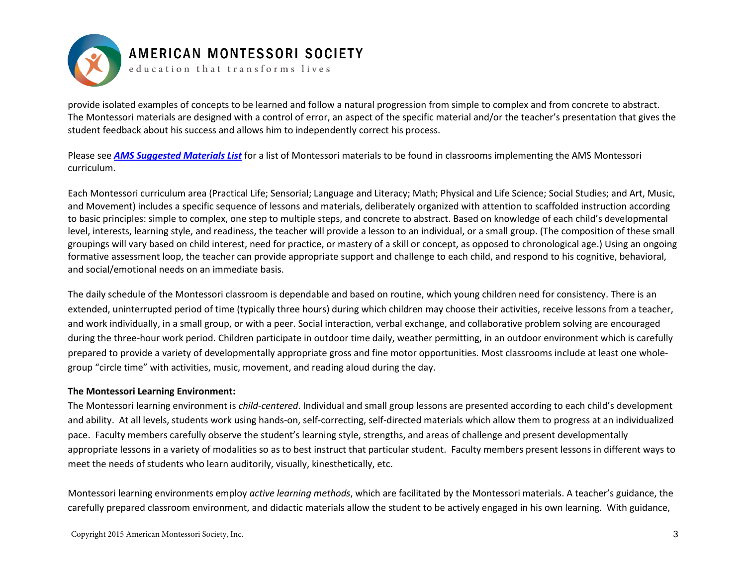

education that transforms lives

provide isolated examples of concepts to be learned and follow a natural progression from simple to complex and from concrete to abstract. The Montessori materials are designed with a control of error, an aspect of the specific material and/or the teacher's presentation that gives the student feedback about his success and allows him to independently correct his process.

Please see *[AMS Suggested Materials List](http://amshq.org/School-Resources/Starting-a-School/Classroom-Materials)* for a list of Montessori materials to be found in classrooms implementing the AMS Montessori curriculum.

Each Montessori curriculum area (Practical Life; Sensorial; Language and Literacy; Math; Physical and Life Science; Social Studies; and Art, Music, and Movement) includes a specific sequence of lessons and materials, deliberately organized with attention to scaffolded instruction according to basic principles: simple to complex, one step to multiple steps, and concrete to abstract. Based on knowledge of each child's developmental level, interests, learning style, and readiness, the teacher will provide a lesson to an individual, or a small group. (The composition of these small groupings will vary based on child interest, need for practice, or mastery of a skill or concept, as opposed to chronological age.) Using an ongoing formative assessment loop, the teacher can provide appropriate support and challenge to each child, and respond to his cognitive, behavioral, and social/emotional needs on an immediate basis.

The daily schedule of the Montessori classroom is dependable and based on routine, which young children need for consistency. There is an extended, uninterrupted period of time (typically three hours) during which children may choose their activities, receive lessons from a teacher, and work individually, in a small group, or with a peer. Social interaction, verbal exchange, and collaborative problem solving are encouraged during the three-hour work period. Children participate in outdoor time daily, weather permitting, in an outdoor environment which is carefully prepared to provide a variety of developmentally appropriate gross and fine motor opportunities. Most classrooms include at least one wholegroup "circle time" with activities, music, movement, and reading aloud during the day.

#### **The Montessori Learning Environment:**

The Montessori learning environment is *child-centered*. Individual and small group lessons are presented according to each child's development and ability. At all levels, students work using hands-on, self-correcting, self-directed materials which allow them to progress at an individualized pace. Faculty members carefully observe the student's learning style, strengths, and areas of challenge and present developmentally appropriate lessons in a variety of modalities so as to best instruct that particular student. Faculty members present lessons in different ways to meet the needs of students who learn auditorily, visually, kinesthetically, etc.

Montessori learning environments employ *active learning methods*, which are facilitated by the Montessori materials. A teacher's guidance, the carefully prepared classroom environment, and didactic materials allow the student to be actively engaged in his own learning. With guidance,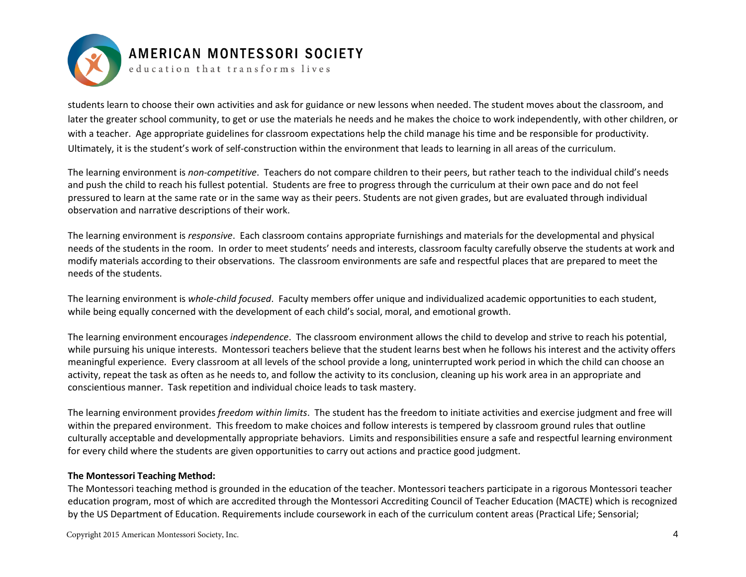

education that transforms lives

students learn to choose their own activities and ask for guidance or new lessons when needed. The student moves about the classroom, and later the greater school community, to get or use the materials he needs and he makes the choice to work independently, with other children, or with a teacher. Age appropriate guidelines for classroom expectations help the child manage his time and be responsible for productivity. Ultimately, it is the student's work of self-construction within the environment that leads to learning in all areas of the curriculum.

The learning environment is *non-competitive*. Teachers do not compare children to their peers, but rather teach to the individual child's needs and push the child to reach his fullest potential. Students are free to progress through the curriculum at their own pace and do not feel pressured to learn at the same rate or in the same way as their peers. Students are not given grades, but are evaluated through individual observation and narrative descriptions of their work.

The learning environment is *responsive*. Each classroom contains appropriate furnishings and materials for the developmental and physical needs of the students in the room. In order to meet students' needs and interests, classroom faculty carefully observe the students at work and modify materials according to their observations. The classroom environments are safe and respectful places that are prepared to meet the needs of the students.

The learning environment is *whole-child focused*. Faculty members offer unique and individualized academic opportunities to each student, while being equally concerned with the development of each child's social, moral, and emotional growth.

The learning environment encourages *independence*. The classroom environment allows the child to develop and strive to reach his potential, while pursuing his unique interests. Montessori teachers believe that the student learns best when he follows his interest and the activity offers meaningful experience. Every classroom at all levels of the school provide a long, uninterrupted work period in which the child can choose an activity, repeat the task as often as he needs to, and follow the activity to its conclusion, cleaning up his work area in an appropriate and conscientious manner. Task repetition and individual choice leads to task mastery.

The learning environment provides *freedom within limits*. The student has the freedom to initiate activities and exercise judgment and free will within the prepared environment. This freedom to make choices and follow interests is tempered by classroom ground rules that outline culturally acceptable and developmentally appropriate behaviors. Limits and responsibilities ensure a safe and respectful learning environment for every child where the students are given opportunities to carry out actions and practice good judgment.

#### **The Montessori Teaching Method:**

The Montessori teaching method is grounded in the education of the teacher. Montessori teachers participate in a rigorous Montessori teacher education program, most of which are accredited through the Montessori Accrediting Council of Teacher Education (MACTE) which is recognized by the US Department of Education. Requirements include coursework in each of the curriculum content areas (Practical Life; Sensorial;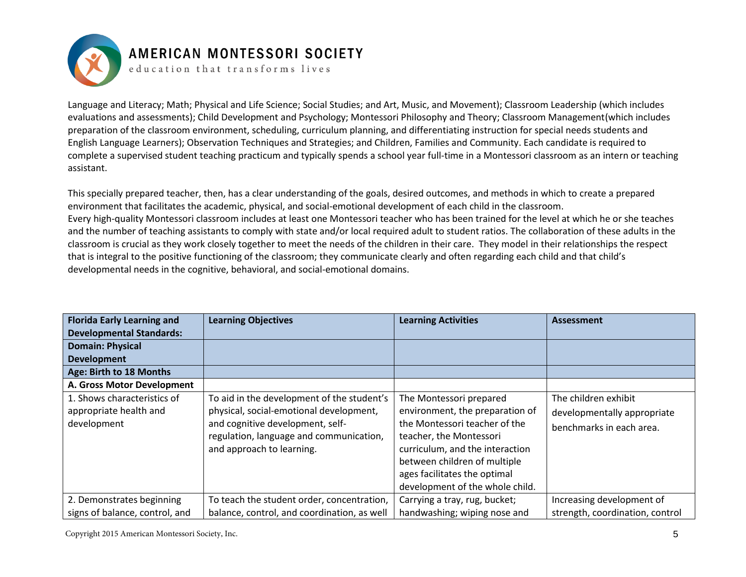

education that transforms lives

Language and Literacy; Math; Physical and Life Science; Social Studies; and Art, Music, and Movement); Classroom Leadership (which includes evaluations and assessments); Child Development and Psychology; Montessori Philosophy and Theory; Classroom Management(which includes preparation of the classroom environment, scheduling, curriculum planning, and differentiating instruction for special needs students and English Language Learners); Observation Techniques and Strategies; and Children, Families and Community. Each candidate is required to complete a supervised student teaching practicum and typically spends a school year full-time in a Montessori classroom as an intern or teaching assistant.

This specially prepared teacher, then, has a clear understanding of the goals, desired outcomes, and methods in which to create a prepared environment that facilitates the academic, physical, and social-emotional development of each child in the classroom. Every high-quality Montessori classroom includes at least one Montessori teacher who has been trained for the level at which he or she teaches and the number of teaching assistants to comply with state and/or local required adult to student ratios. The collaboration of these adults in the classroom is crucial as they work closely together to meet the needs of the children in their care. They model in their relationships the respect that is integral to the positive functioning of the classroom; they communicate clearly and often regarding each child and that child's developmental needs in the cognitive, behavioral, and social-emotional domains.

| <b>Florida Early Learning and</b>                                    | <b>Learning Objectives</b>                                                                                                                                                                        | <b>Learning Activities</b>                                                                                                                                                                                                                                   | <b>Assessment</b>                                                               |
|----------------------------------------------------------------------|---------------------------------------------------------------------------------------------------------------------------------------------------------------------------------------------------|--------------------------------------------------------------------------------------------------------------------------------------------------------------------------------------------------------------------------------------------------------------|---------------------------------------------------------------------------------|
| <b>Developmental Standards:</b>                                      |                                                                                                                                                                                                   |                                                                                                                                                                                                                                                              |                                                                                 |
| <b>Domain: Physical</b>                                              |                                                                                                                                                                                                   |                                                                                                                                                                                                                                                              |                                                                                 |
| <b>Development</b>                                                   |                                                                                                                                                                                                   |                                                                                                                                                                                                                                                              |                                                                                 |
| Age: Birth to 18 Months                                              |                                                                                                                                                                                                   |                                                                                                                                                                                                                                                              |                                                                                 |
| A. Gross Motor Development                                           |                                                                                                                                                                                                   |                                                                                                                                                                                                                                                              |                                                                                 |
| 1. Shows characteristics of<br>appropriate health and<br>development | To aid in the development of the student's<br>physical, social-emotional development,<br>and cognitive development, self-<br>regulation, language and communication,<br>and approach to learning. | The Montessori prepared<br>environment, the preparation of<br>the Montessori teacher of the<br>teacher, the Montessori<br>curriculum, and the interaction<br>between children of multiple<br>ages facilitates the optimal<br>development of the whole child. | The children exhibit<br>developmentally appropriate<br>benchmarks in each area. |
| 2. Demonstrates beginning<br>signs of balance, control, and          | To teach the student order, concentration,<br>balance, control, and coordination, as well                                                                                                         | Carrying a tray, rug, bucket;<br>handwashing; wiping nose and                                                                                                                                                                                                | Increasing development of<br>strength, coordination, control                    |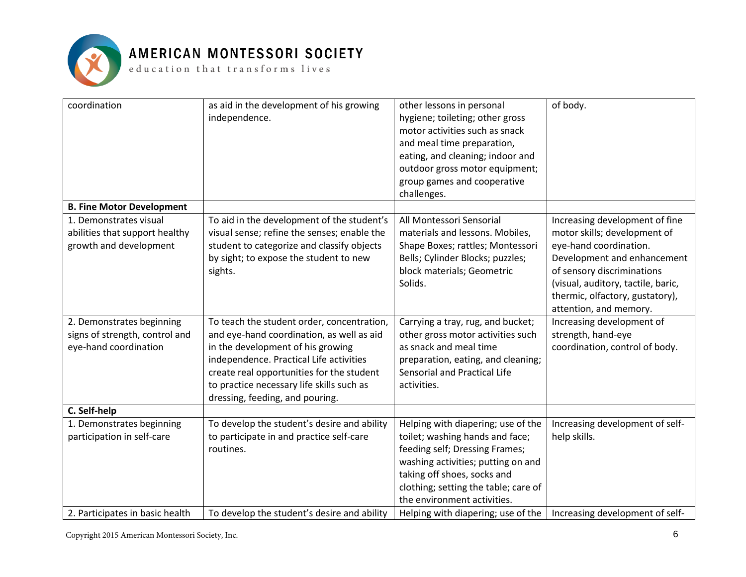

 ${\tt e}$  ducation that  ${\tt trains}$  forms lives

| coordination                                                                       | as aid in the development of his growing<br>independence.                                                                                                                                                 | other lessons in personal<br>hygiene; toileting; other gross<br>motor activities such as snack<br>and meal time preparation,<br>eating, and cleaning; indoor and<br>outdoor gross motor equipment;<br>group games and cooperative<br>challenges.    | of body.                                                                                                                                                                                                                                                 |
|------------------------------------------------------------------------------------|-----------------------------------------------------------------------------------------------------------------------------------------------------------------------------------------------------------|-----------------------------------------------------------------------------------------------------------------------------------------------------------------------------------------------------------------------------------------------------|----------------------------------------------------------------------------------------------------------------------------------------------------------------------------------------------------------------------------------------------------------|
| <b>B. Fine Motor Development</b>                                                   |                                                                                                                                                                                                           |                                                                                                                                                                                                                                                     |                                                                                                                                                                                                                                                          |
| 1. Demonstrates visual<br>abilities that support healthy<br>growth and development | To aid in the development of the student's<br>visual sense; refine the senses; enable the<br>student to categorize and classify objects<br>by sight; to expose the student to new<br>sights.              | All Montessori Sensorial<br>materials and lessons. Mobiles,<br>Shape Boxes; rattles; Montessori<br>Bells; Cylinder Blocks; puzzles;<br>block materials; Geometric<br>Solids.                                                                        | Increasing development of fine<br>motor skills; development of<br>eye-hand coordination.<br>Development and enhancement<br>of sensory discriminations<br>(visual, auditory, tactile, baric,<br>thermic, olfactory, gustatory),<br>attention, and memory. |
| 2. Demonstrates beginning                                                          | To teach the student order, concentration,                                                                                                                                                                | Carrying a tray, rug, and bucket;                                                                                                                                                                                                                   | Increasing development of                                                                                                                                                                                                                                |
| signs of strength, control and                                                     | and eye-hand coordination, as well as aid                                                                                                                                                                 | other gross motor activities such                                                                                                                                                                                                                   | strength, hand-eye                                                                                                                                                                                                                                       |
| eye-hand coordination                                                              | in the development of his growing<br>independence. Practical Life activities<br>create real opportunities for the student<br>to practice necessary life skills such as<br>dressing, feeding, and pouring. | as snack and meal time<br>preparation, eating, and cleaning;<br>Sensorial and Practical Life<br>activities.                                                                                                                                         | coordination, control of body.                                                                                                                                                                                                                           |
| C. Self-help                                                                       |                                                                                                                                                                                                           |                                                                                                                                                                                                                                                     |                                                                                                                                                                                                                                                          |
| 1. Demonstrates beginning<br>participation in self-care                            | To develop the student's desire and ability<br>to participate in and practice self-care<br>routines.                                                                                                      | Helping with diapering; use of the<br>toilet; washing hands and face;<br>feeding self; Dressing Frames;<br>washing activities; putting on and<br>taking off shoes, socks and<br>clothing; setting the table; care of<br>the environment activities. | Increasing development of self-<br>help skills.                                                                                                                                                                                                          |
| 2. Participates in basic health                                                    | To develop the student's desire and ability                                                                                                                                                               | Helping with diapering; use of the                                                                                                                                                                                                                  | Increasing development of self-                                                                                                                                                                                                                          |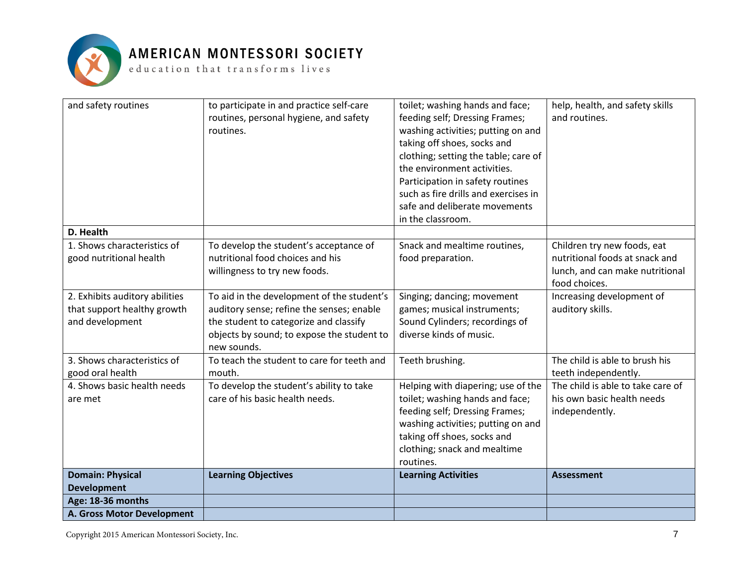

| and safety routines                                    | to participate in and practice self-care<br>routines, personal hygiene, and safety<br>routines.                                                  | toilet; washing hands and face;<br>feeding self; Dressing Frames;<br>washing activities; putting on and<br>taking off shoes, socks and<br>clothing; setting the table; care of<br>the environment activities.<br>Participation in safety routines<br>such as fire drills and exercises in<br>safe and deliberate movements<br>in the classroom. | help, health, and safety skills<br>and routines.                                                                  |
|--------------------------------------------------------|--------------------------------------------------------------------------------------------------------------------------------------------------|-------------------------------------------------------------------------------------------------------------------------------------------------------------------------------------------------------------------------------------------------------------------------------------------------------------------------------------------------|-------------------------------------------------------------------------------------------------------------------|
| D. Health                                              |                                                                                                                                                  |                                                                                                                                                                                                                                                                                                                                                 |                                                                                                                   |
| 1. Shows characteristics of<br>good nutritional health | To develop the student's acceptance of<br>nutritional food choices and his<br>willingness to try new foods.                                      | Snack and mealtime routines,<br>food preparation.                                                                                                                                                                                                                                                                                               | Children try new foods, eat<br>nutritional foods at snack and<br>lunch, and can make nutritional<br>food choices. |
| 2. Exhibits auditory abilities                         | To aid in the development of the student's                                                                                                       | Singing; dancing; movement                                                                                                                                                                                                                                                                                                                      | Increasing development of                                                                                         |
| that support healthy growth<br>and development         | auditory sense; refine the senses; enable<br>the student to categorize and classify<br>objects by sound; to expose the student to<br>new sounds. | games; musical instruments;<br>Sound Cylinders; recordings of<br>diverse kinds of music.                                                                                                                                                                                                                                                        | auditory skills.                                                                                                  |
| 3. Shows characteristics of                            | To teach the student to care for teeth and                                                                                                       | Teeth brushing.                                                                                                                                                                                                                                                                                                                                 | The child is able to brush his                                                                                    |
| good oral health                                       | mouth.                                                                                                                                           |                                                                                                                                                                                                                                                                                                                                                 | teeth independently.                                                                                              |
| 4. Shows basic health needs                            | To develop the student's ability to take                                                                                                         | Helping with diapering; use of the                                                                                                                                                                                                                                                                                                              | The child is able to take care of                                                                                 |
| are met                                                | care of his basic health needs.                                                                                                                  | toilet; washing hands and face;<br>feeding self; Dressing Frames;<br>washing activities; putting on and<br>taking off shoes, socks and<br>clothing; snack and mealtime<br>routines.                                                                                                                                                             | his own basic health needs<br>independently.                                                                      |
| <b>Domain: Physical</b>                                | <b>Learning Objectives</b>                                                                                                                       | <b>Learning Activities</b>                                                                                                                                                                                                                                                                                                                      | <b>Assessment</b>                                                                                                 |
| <b>Development</b>                                     |                                                                                                                                                  |                                                                                                                                                                                                                                                                                                                                                 |                                                                                                                   |
| Age: 18-36 months                                      |                                                                                                                                                  |                                                                                                                                                                                                                                                                                                                                                 |                                                                                                                   |
| A. Gross Motor Development                             |                                                                                                                                                  |                                                                                                                                                                                                                                                                                                                                                 |                                                                                                                   |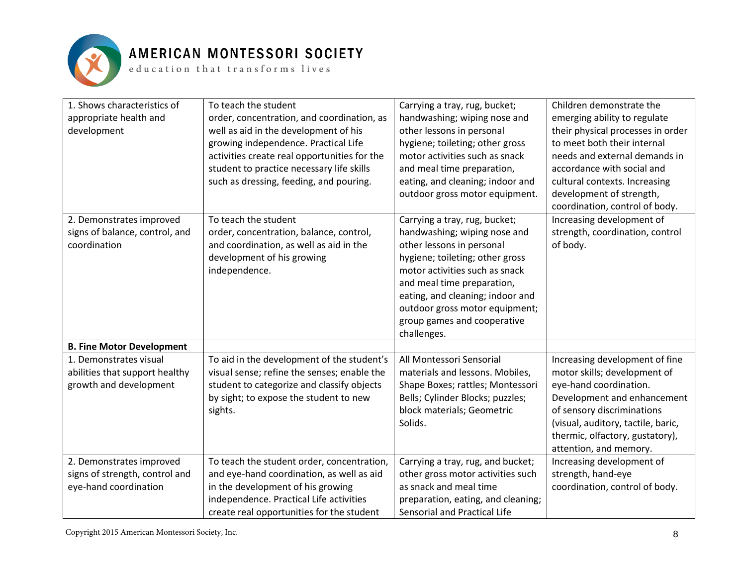

 ${\tt e}$  ducation that transforms lives

| 1. Shows characteristics of<br>appropriate health and<br>development                | To teach the student<br>order, concentration, and coordination, as<br>well as aid in the development of his<br>growing independence. Practical Life<br>activities create real opportunities for the<br>student to practice necessary life skills<br>such as dressing, feeding, and pouring. | Carrying a tray, rug, bucket;<br>handwashing; wiping nose and<br>other lessons in personal<br>hygiene; toileting; other gross<br>motor activities such as snack<br>and meal time preparation,<br>eating, and cleaning; indoor and<br>outdoor gross motor equipment.                                               | Children demonstrate the<br>emerging ability to regulate<br>their physical processes in order<br>to meet both their internal<br>needs and external demands in<br>accordance with social and<br>cultural contexts. Increasing<br>development of strength,<br>coordination, control of body. |
|-------------------------------------------------------------------------------------|---------------------------------------------------------------------------------------------------------------------------------------------------------------------------------------------------------------------------------------------------------------------------------------------|-------------------------------------------------------------------------------------------------------------------------------------------------------------------------------------------------------------------------------------------------------------------------------------------------------------------|--------------------------------------------------------------------------------------------------------------------------------------------------------------------------------------------------------------------------------------------------------------------------------------------|
| 2. Demonstrates improved<br>signs of balance, control, and<br>coordination          | To teach the student<br>order, concentration, balance, control,<br>and coordination, as well as aid in the<br>development of his growing<br>independence.                                                                                                                                   | Carrying a tray, rug, bucket;<br>handwashing; wiping nose and<br>other lessons in personal<br>hygiene; toileting; other gross<br>motor activities such as snack<br>and meal time preparation,<br>eating, and cleaning; indoor and<br>outdoor gross motor equipment;<br>group games and cooperative<br>challenges. | Increasing development of<br>strength, coordination, control<br>of body.                                                                                                                                                                                                                   |
| <b>B. Fine Motor Development</b>                                                    |                                                                                                                                                                                                                                                                                             |                                                                                                                                                                                                                                                                                                                   |                                                                                                                                                                                                                                                                                            |
| 1. Demonstrates visual<br>abilities that support healthy<br>growth and development  | To aid in the development of the student's<br>visual sense; refine the senses; enable the<br>student to categorize and classify objects<br>by sight; to expose the student to new<br>sights.                                                                                                | All Montessori Sensorial<br>materials and lessons. Mobiles,<br>Shape Boxes; rattles; Montessori<br>Bells; Cylinder Blocks; puzzles;<br>block materials; Geometric<br>Solids.                                                                                                                                      | Increasing development of fine<br>motor skills; development of<br>eye-hand coordination.<br>Development and enhancement<br>of sensory discriminations<br>(visual, auditory, tactile, baric,<br>thermic, olfactory, gustatory),<br>attention, and memory.                                   |
| 2. Demonstrates improved<br>signs of strength, control and<br>eye-hand coordination | To teach the student order, concentration,<br>and eye-hand coordination, as well as aid<br>in the development of his growing<br>independence. Practical Life activities<br>create real opportunities for the student                                                                        | Carrying a tray, rug, and bucket;<br>other gross motor activities such<br>as snack and meal time<br>preparation, eating, and cleaning;<br>Sensorial and Practical Life                                                                                                                                            | Increasing development of<br>strength, hand-eye<br>coordination, control of body.                                                                                                                                                                                                          |

Copyright 2015 American Montessori Society, Inc.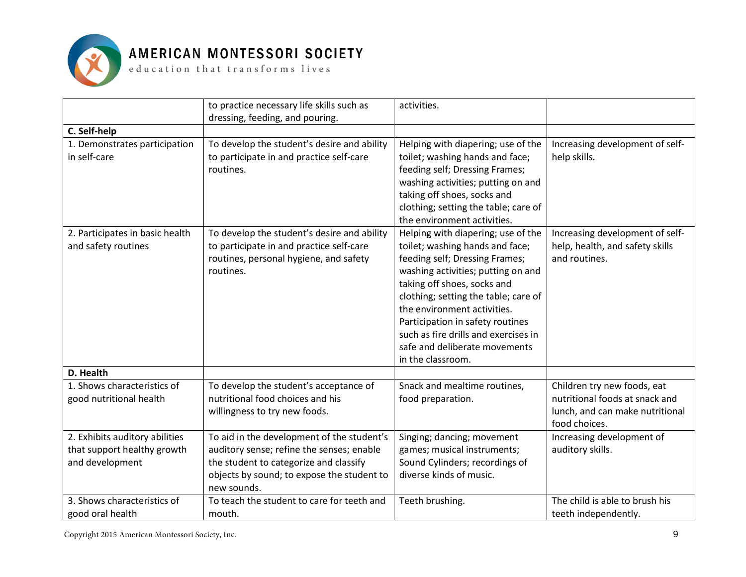

|                                                                                  | to practice necessary life skills such as<br>dressing, feeding, and pouring.                                                                                                                   | activities.                                                                                                                                                                                                                                                                                                                                                                           |                                                                                                                   |
|----------------------------------------------------------------------------------|------------------------------------------------------------------------------------------------------------------------------------------------------------------------------------------------|---------------------------------------------------------------------------------------------------------------------------------------------------------------------------------------------------------------------------------------------------------------------------------------------------------------------------------------------------------------------------------------|-------------------------------------------------------------------------------------------------------------------|
| C. Self-help                                                                     |                                                                                                                                                                                                |                                                                                                                                                                                                                                                                                                                                                                                       |                                                                                                                   |
| 1. Demonstrates participation<br>in self-care                                    | To develop the student's desire and ability<br>to participate in and practice self-care<br>routines.                                                                                           | Helping with diapering; use of the<br>toilet; washing hands and face;<br>feeding self; Dressing Frames;<br>washing activities; putting on and<br>taking off shoes, socks and<br>clothing; setting the table; care of<br>the environment activities.                                                                                                                                   | Increasing development of self-<br>help skills.                                                                   |
| 2. Participates in basic health<br>and safety routines                           | To develop the student's desire and ability<br>to participate in and practice self-care<br>routines, personal hygiene, and safety<br>routines.                                                 | Helping with diapering; use of the<br>toilet; washing hands and face;<br>feeding self; Dressing Frames;<br>washing activities; putting on and<br>taking off shoes, socks and<br>clothing; setting the table; care of<br>the environment activities.<br>Participation in safety routines<br>such as fire drills and exercises in<br>safe and deliberate movements<br>in the classroom. | Increasing development of self-<br>help, health, and safety skills<br>and routines.                               |
| D. Health                                                                        |                                                                                                                                                                                                |                                                                                                                                                                                                                                                                                                                                                                                       |                                                                                                                   |
| 1. Shows characteristics of<br>good nutritional health                           | To develop the student's acceptance of<br>nutritional food choices and his<br>willingness to try new foods.                                                                                    | Snack and mealtime routines,<br>food preparation.                                                                                                                                                                                                                                                                                                                                     | Children try new foods, eat<br>nutritional foods at snack and<br>lunch, and can make nutritional<br>food choices. |
| 2. Exhibits auditory abilities<br>that support healthy growth<br>and development | To aid in the development of the student's<br>auditory sense; refine the senses; enable<br>the student to categorize and classify<br>objects by sound; to expose the student to<br>new sounds. | Singing; dancing; movement<br>games; musical instruments;<br>Sound Cylinders; recordings of<br>diverse kinds of music.                                                                                                                                                                                                                                                                | Increasing development of<br>auditory skills.                                                                     |
| 3. Shows characteristics of<br>good oral health                                  | To teach the student to care for teeth and<br>mouth.                                                                                                                                           | Teeth brushing.                                                                                                                                                                                                                                                                                                                                                                       | The child is able to brush his<br>teeth independently.                                                            |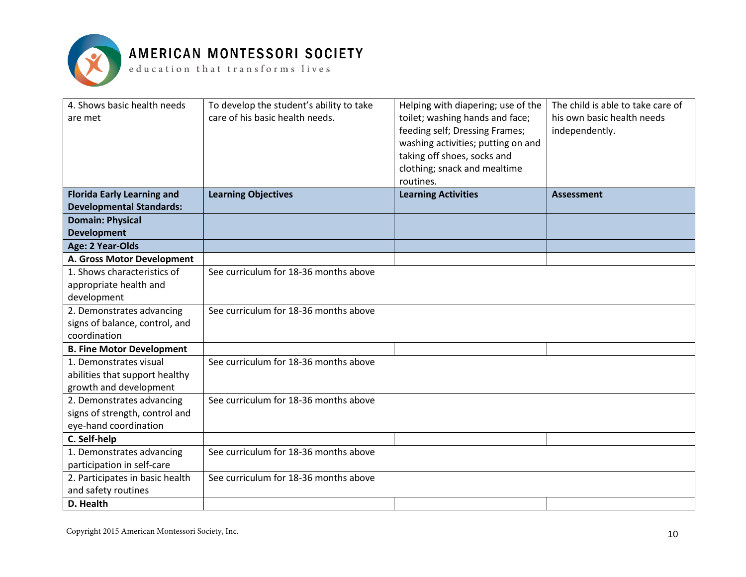

| 4. Shows basic health needs<br>are met | To develop the student's ability to take<br>care of his basic health needs. | Helping with diapering; use of the<br>toilet; washing hands and face;<br>feeding self; Dressing Frames;<br>washing activities; putting on and<br>taking off shoes, socks and<br>clothing; snack and mealtime<br>routines. | The child is able to take care of<br>his own basic health needs<br>independently. |
|----------------------------------------|-----------------------------------------------------------------------------|---------------------------------------------------------------------------------------------------------------------------------------------------------------------------------------------------------------------------|-----------------------------------------------------------------------------------|
| <b>Florida Early Learning and</b>      | <b>Learning Objectives</b>                                                  | <b>Learning Activities</b>                                                                                                                                                                                                | <b>Assessment</b>                                                                 |
| <b>Developmental Standards:</b>        |                                                                             |                                                                                                                                                                                                                           |                                                                                   |
| <b>Domain: Physical</b>                |                                                                             |                                                                                                                                                                                                                           |                                                                                   |
| <b>Development</b>                     |                                                                             |                                                                                                                                                                                                                           |                                                                                   |
| Age: 2 Year-Olds                       |                                                                             |                                                                                                                                                                                                                           |                                                                                   |
| A. Gross Motor Development             |                                                                             |                                                                                                                                                                                                                           |                                                                                   |
| 1. Shows characteristics of            | See curriculum for 18-36 months above                                       |                                                                                                                                                                                                                           |                                                                                   |
| appropriate health and                 |                                                                             |                                                                                                                                                                                                                           |                                                                                   |
| development                            |                                                                             |                                                                                                                                                                                                                           |                                                                                   |
| 2. Demonstrates advancing              | See curriculum for 18-36 months above                                       |                                                                                                                                                                                                                           |                                                                                   |
| signs of balance, control, and         |                                                                             |                                                                                                                                                                                                                           |                                                                                   |
| coordination                           |                                                                             |                                                                                                                                                                                                                           |                                                                                   |
| <b>B. Fine Motor Development</b>       |                                                                             |                                                                                                                                                                                                                           |                                                                                   |
| 1. Demonstrates visual                 | See curriculum for 18-36 months above                                       |                                                                                                                                                                                                                           |                                                                                   |
| abilities that support healthy         |                                                                             |                                                                                                                                                                                                                           |                                                                                   |
| growth and development                 |                                                                             |                                                                                                                                                                                                                           |                                                                                   |
| 2. Demonstrates advancing              | See curriculum for 18-36 months above                                       |                                                                                                                                                                                                                           |                                                                                   |
| signs of strength, control and         |                                                                             |                                                                                                                                                                                                                           |                                                                                   |
| eye-hand coordination                  |                                                                             |                                                                                                                                                                                                                           |                                                                                   |
| C. Self-help                           |                                                                             |                                                                                                                                                                                                                           |                                                                                   |
| 1. Demonstrates advancing              | See curriculum for 18-36 months above                                       |                                                                                                                                                                                                                           |                                                                                   |
| participation in self-care             |                                                                             |                                                                                                                                                                                                                           |                                                                                   |
| 2. Participates in basic health        | See curriculum for 18-36 months above                                       |                                                                                                                                                                                                                           |                                                                                   |
| and safety routines                    |                                                                             |                                                                                                                                                                                                                           |                                                                                   |
| D. Health                              |                                                                             |                                                                                                                                                                                                                           |                                                                                   |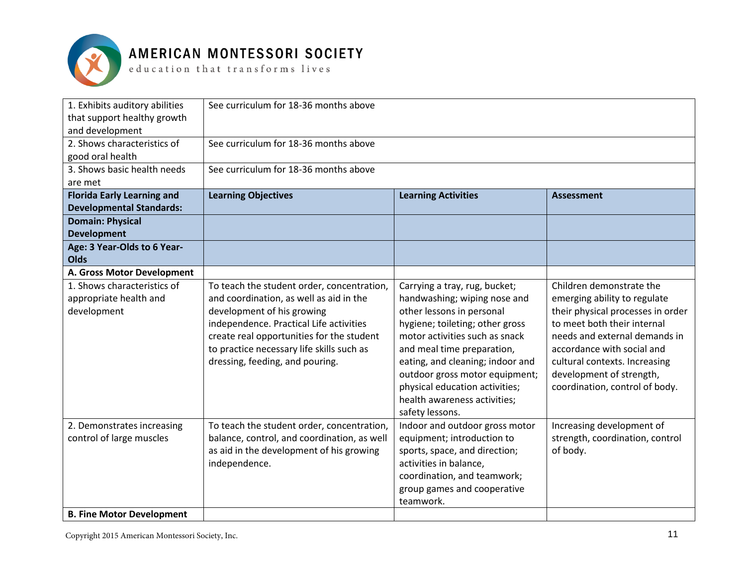

 ${\tt e}$  ducation that  ${\tt trains}$  forms lives

| 1. Exhibits auditory abilities<br>that support healthy growth<br>and development | See curriculum for 18-36 months above       |                                  |                                   |  |
|----------------------------------------------------------------------------------|---------------------------------------------|----------------------------------|-----------------------------------|--|
| 2. Shows characteristics of                                                      | See curriculum for 18-36 months above       |                                  |                                   |  |
| good oral health                                                                 |                                             |                                  |                                   |  |
| 3. Shows basic health needs                                                      | See curriculum for 18-36 months above       |                                  |                                   |  |
| are met                                                                          |                                             |                                  |                                   |  |
| <b>Florida Early Learning and</b>                                                | <b>Learning Objectives</b>                  | <b>Learning Activities</b>       | <b>Assessment</b>                 |  |
| <b>Developmental Standards:</b>                                                  |                                             |                                  |                                   |  |
| <b>Domain: Physical</b>                                                          |                                             |                                  |                                   |  |
| <b>Development</b>                                                               |                                             |                                  |                                   |  |
| Age: 3 Year-Olds to 6 Year-<br><b>Olds</b>                                       |                                             |                                  |                                   |  |
| A. Gross Motor Development                                                       |                                             |                                  |                                   |  |
|                                                                                  |                                             |                                  |                                   |  |
| 1. Shows characteristics of                                                      | To teach the student order, concentration,  | Carrying a tray, rug, bucket;    | Children demonstrate the          |  |
| appropriate health and                                                           | and coordination, as well as aid in the     | handwashing; wiping nose and     | emerging ability to regulate      |  |
| development                                                                      | development of his growing                  | other lessons in personal        | their physical processes in order |  |
|                                                                                  | independence. Practical Life activities     | hygiene; toileting; other gross  | to meet both their internal       |  |
|                                                                                  | create real opportunities for the student   | motor activities such as snack   | needs and external demands in     |  |
|                                                                                  | to practice necessary life skills such as   | and meal time preparation,       | accordance with social and        |  |
|                                                                                  | dressing, feeding, and pouring.             | eating, and cleaning; indoor and | cultural contexts. Increasing     |  |
|                                                                                  |                                             | outdoor gross motor equipment;   | development of strength,          |  |
|                                                                                  |                                             | physical education activities;   | coordination, control of body.    |  |
|                                                                                  |                                             | health awareness activities;     |                                   |  |
|                                                                                  |                                             | safety lessons.                  |                                   |  |
| 2. Demonstrates increasing                                                       | To teach the student order, concentration,  | Indoor and outdoor gross motor   | Increasing development of         |  |
| control of large muscles                                                         | balance, control, and coordination, as well | equipment; introduction to       | strength, coordination, control   |  |
|                                                                                  | as aid in the development of his growing    | sports, space, and direction;    | of body.                          |  |
|                                                                                  | independence.                               | activities in balance,           |                                   |  |
|                                                                                  |                                             | coordination, and teamwork;      |                                   |  |
|                                                                                  |                                             | group games and cooperative      |                                   |  |
|                                                                                  |                                             | teamwork.                        |                                   |  |
| <b>B. Fine Motor Development</b>                                                 |                                             |                                  |                                   |  |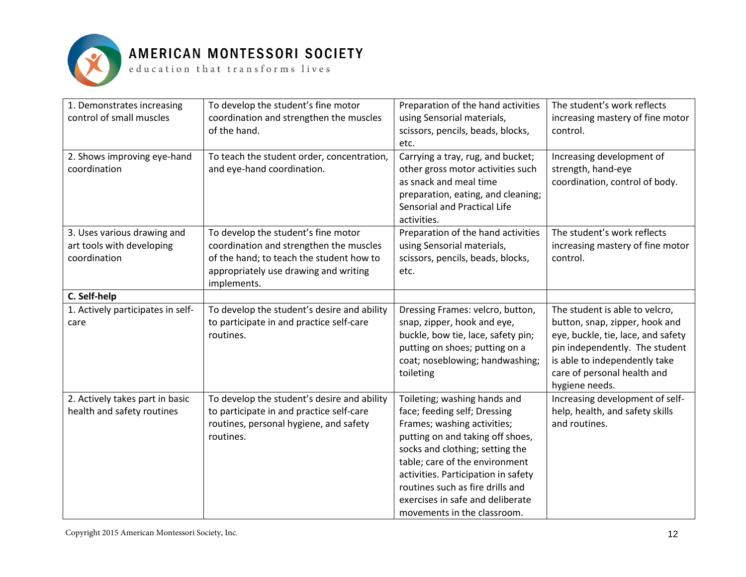

| 1. Demonstrates increasing<br>control of small muscles                   | To develop the student's fine motor<br>coordination and strengthen the muscles<br>of the hand.                                                                                     | Preparation of the hand activities<br>using Sensorial materials,<br>scissors, pencils, beads, blocks,<br>etc.                                                                                                                                                                                                                                      | The student's work reflects<br>increasing mastery of fine motor<br>control.                                                                                                                                                |
|--------------------------------------------------------------------------|------------------------------------------------------------------------------------------------------------------------------------------------------------------------------------|----------------------------------------------------------------------------------------------------------------------------------------------------------------------------------------------------------------------------------------------------------------------------------------------------------------------------------------------------|----------------------------------------------------------------------------------------------------------------------------------------------------------------------------------------------------------------------------|
| 2. Shows improving eye-hand<br>coordination                              | To teach the student order, concentration,<br>and eye-hand coordination.                                                                                                           | Carrying a tray, rug, and bucket;<br>other gross motor activities such<br>as snack and meal time<br>preparation, eating, and cleaning;<br>Sensorial and Practical Life<br>activities.                                                                                                                                                              | Increasing development of<br>strength, hand-eye<br>coordination, control of body.                                                                                                                                          |
| 3. Uses various drawing and<br>art tools with developing<br>coordination | To develop the student's fine motor<br>coordination and strengthen the muscles<br>of the hand; to teach the student how to<br>appropriately use drawing and writing<br>implements. | Preparation of the hand activities<br>using Sensorial materials,<br>scissors, pencils, beads, blocks,<br>etc.                                                                                                                                                                                                                                      | The student's work reflects<br>increasing mastery of fine motor<br>control.                                                                                                                                                |
| C. Self-help                                                             |                                                                                                                                                                                    |                                                                                                                                                                                                                                                                                                                                                    |                                                                                                                                                                                                                            |
| 1. Actively participates in self-<br>care                                | To develop the student's desire and ability<br>to participate in and practice self-care<br>routines.                                                                               | Dressing Frames: velcro, button,<br>snap, zipper, hook and eye,<br>buckle, bow tie, lace, safety pin;<br>putting on shoes; putting on a<br>coat; noseblowing; handwashing;<br>toileting                                                                                                                                                            | The student is able to velcro,<br>button, snap, zipper, hook and<br>eye, buckle, tie, lace, and safety<br>pin independently. The student<br>is able to independently take<br>care of personal health and<br>hygiene needs. |
| 2. Actively takes part in basic<br>health and safety routines            | To develop the student's desire and ability<br>to participate in and practice self-care<br>routines, personal hygiene, and safety<br>routines.                                     | Toileting; washing hands and<br>face; feeding self; Dressing<br>Frames; washing activities;<br>putting on and taking off shoes,<br>socks and clothing; setting the<br>table; care of the environment<br>activities. Participation in safety<br>routines such as fire drills and<br>exercises in safe and deliberate<br>movements in the classroom. | Increasing development of self-<br>help, health, and safety skills<br>and routines.                                                                                                                                        |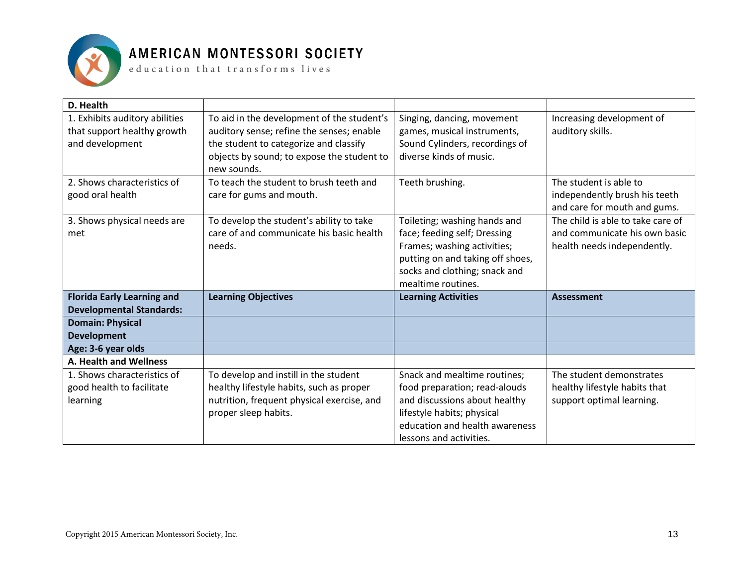

| D. Health                         |                                            |                                  |                                   |
|-----------------------------------|--------------------------------------------|----------------------------------|-----------------------------------|
| 1. Exhibits auditory abilities    | To aid in the development of the student's | Singing, dancing, movement       | Increasing development of         |
| that support healthy growth       | auditory sense; refine the senses; enable  | games, musical instruments,      | auditory skills.                  |
| and development                   | the student to categorize and classify     | Sound Cylinders, recordings of   |                                   |
|                                   | objects by sound; to expose the student to | diverse kinds of music.          |                                   |
|                                   | new sounds.                                |                                  |                                   |
| 2. Shows characteristics of       | To teach the student to brush teeth and    | Teeth brushing.                  | The student is able to            |
| good oral health                  | care for gums and mouth.                   |                                  | independently brush his teeth     |
|                                   |                                            |                                  | and care for mouth and gums.      |
| 3. Shows physical needs are       | To develop the student's ability to take   | Toileting; washing hands and     | The child is able to take care of |
| met                               | care of and communicate his basic health   | face; feeding self; Dressing     | and communicate his own basic     |
|                                   | needs.                                     | Frames; washing activities;      | health needs independently.       |
|                                   |                                            | putting on and taking off shoes, |                                   |
|                                   |                                            | socks and clothing; snack and    |                                   |
|                                   |                                            | mealtime routines.               |                                   |
| <b>Florida Early Learning and</b> | <b>Learning Objectives</b>                 | <b>Learning Activities</b>       | <b>Assessment</b>                 |
| <b>Developmental Standards:</b>   |                                            |                                  |                                   |
| <b>Domain: Physical</b>           |                                            |                                  |                                   |
| <b>Development</b>                |                                            |                                  |                                   |
| Age: 3-6 year olds                |                                            |                                  |                                   |
| A. Health and Wellness            |                                            |                                  |                                   |
| 1. Shows characteristics of       | To develop and instill in the student      | Snack and mealtime routines;     | The student demonstrates          |
| good health to facilitate         | healthy lifestyle habits, such as proper   | food preparation; read-alouds    | healthy lifestyle habits that     |
| learning                          | nutrition, frequent physical exercise, and | and discussions about healthy    | support optimal learning.         |
|                                   | proper sleep habits.                       | lifestyle habits; physical       |                                   |
|                                   |                                            | education and health awareness   |                                   |
|                                   |                                            | lessons and activities.          |                                   |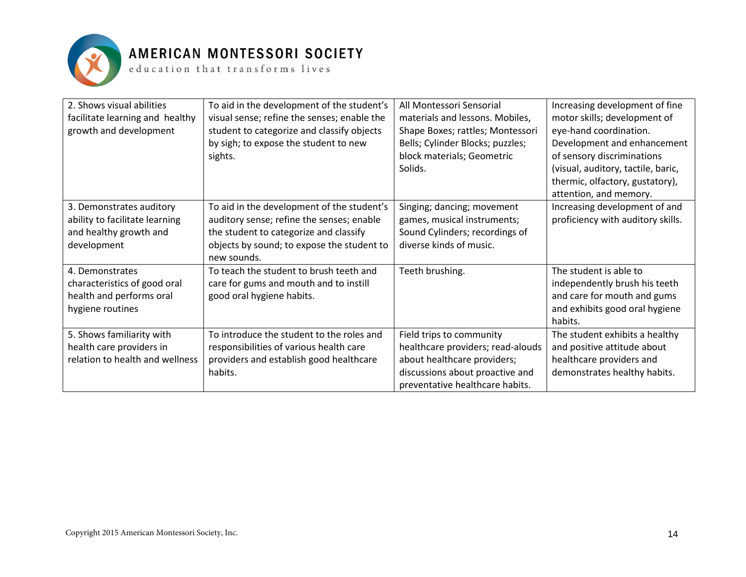

| 2. Shows visual abilities<br>facilitate learning and healthy<br>growth and development              | To aid in the development of the student's<br>visual sense; refine the senses; enable the<br>student to categorize and classify objects<br>by sigh; to expose the student to new<br>sights.    | All Montessori Sensorial<br>materials and lessons. Mobiles,<br>Shape Boxes; rattles; Montessori<br>Bells; Cylinder Blocks; puzzles;<br>block materials; Geometric<br>Solids. | Increasing development of fine<br>motor skills; development of<br>eye-hand coordination.<br>Development and enhancement<br>of sensory discriminations<br>(visual, auditory, tactile, baric,<br>thermic, olfactory, gustatory),<br>attention, and memory. |
|-----------------------------------------------------------------------------------------------------|------------------------------------------------------------------------------------------------------------------------------------------------------------------------------------------------|------------------------------------------------------------------------------------------------------------------------------------------------------------------------------|----------------------------------------------------------------------------------------------------------------------------------------------------------------------------------------------------------------------------------------------------------|
| 3. Demonstrates auditory<br>ability to facilitate learning<br>and healthy growth and<br>development | To aid in the development of the student's<br>auditory sense; refine the senses; enable<br>the student to categorize and classify<br>objects by sound; to expose the student to<br>new sounds. | Singing; dancing; movement<br>games, musical instruments;<br>Sound Cylinders; recordings of<br>diverse kinds of music.                                                       | Increasing development of and<br>proficiency with auditory skills.                                                                                                                                                                                       |
| 4. Demonstrates<br>characteristics of good oral<br>health and performs oral<br>hygiene routines     | To teach the student to brush teeth and<br>care for gums and mouth and to instill<br>good oral hygiene habits.                                                                                 | Teeth brushing.                                                                                                                                                              | The student is able to<br>independently brush his teeth<br>and care for mouth and gums<br>and exhibits good oral hygiene<br>habits.                                                                                                                      |
| 5. Shows familiarity with<br>health care providers in<br>relation to health and wellness            | To introduce the student to the roles and<br>responsibilities of various health care<br>providers and establish good healthcare<br>habits.                                                     | Field trips to community<br>healthcare providers; read-alouds<br>about healthcare providers;<br>discussions about proactive and<br>preventative healthcare habits.           | The student exhibits a healthy<br>and positive attitude about<br>healthcare providers and<br>demonstrates healthy habits.                                                                                                                                |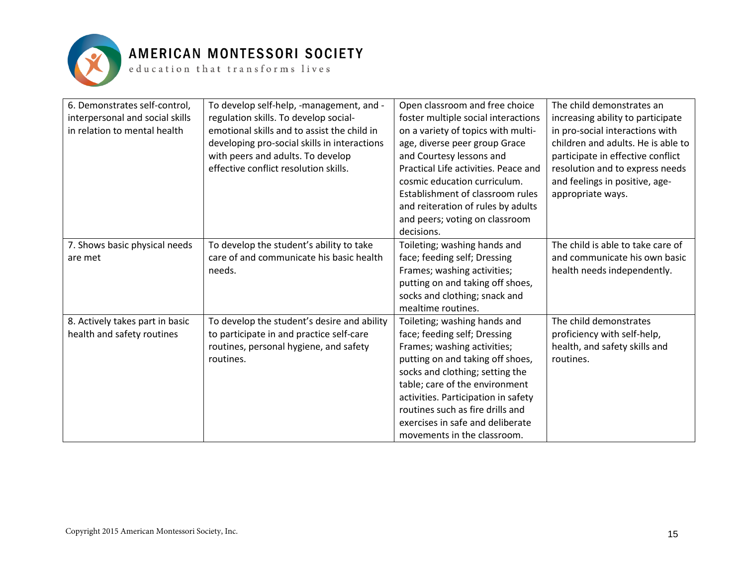

| 6. Demonstrates self-control,   | To develop self-help, -management, and -     | Open classroom and free choice       | The child demonstrates an          |
|---------------------------------|----------------------------------------------|--------------------------------------|------------------------------------|
| interpersonal and social skills | regulation skills. To develop social-        | foster multiple social interactions  | increasing ability to participate  |
| in relation to mental health    | emotional skills and to assist the child in  | on a variety of topics with multi-   | in pro-social interactions with    |
|                                 | developing pro-social skills in interactions | age, diverse peer group Grace        | children and adults. He is able to |
|                                 | with peers and adults. To develop            | and Courtesy lessons and             | participate in effective conflict  |
|                                 | effective conflict resolution skills.        | Practical Life activities. Peace and | resolution and to express needs    |
|                                 |                                              | cosmic education curriculum.         | and feelings in positive, age-     |
|                                 |                                              | Establishment of classroom rules     | appropriate ways.                  |
|                                 |                                              | and reiteration of rules by adults   |                                    |
|                                 |                                              | and peers; voting on classroom       |                                    |
|                                 |                                              | decisions.                           |                                    |
| 7. Shows basic physical needs   | To develop the student's ability to take     | Toileting; washing hands and         | The child is able to take care of  |
| are met                         | care of and communicate his basic health     | face; feeding self; Dressing         | and communicate his own basic      |
|                                 | needs.                                       | Frames; washing activities;          | health needs independently.        |
|                                 |                                              | putting on and taking off shoes,     |                                    |
|                                 |                                              | socks and clothing; snack and        |                                    |
|                                 |                                              | mealtime routines.                   |                                    |
| 8. Actively takes part in basic | To develop the student's desire and ability  | Toileting; washing hands and         | The child demonstrates             |
| health and safety routines      | to participate in and practice self-care     | face; feeding self; Dressing         | proficiency with self-help,        |
|                                 | routines, personal hygiene, and safety       | Frames; washing activities;          | health, and safety skills and      |
|                                 | routines.                                    | putting on and taking off shoes,     | routines.                          |
|                                 |                                              | socks and clothing; setting the      |                                    |
|                                 |                                              | table; care of the environment       |                                    |
|                                 |                                              | activities. Participation in safety  |                                    |
|                                 |                                              | routines such as fire drills and     |                                    |
|                                 |                                              | exercises in safe and deliberate     |                                    |
|                                 |                                              | movements in the classroom.          |                                    |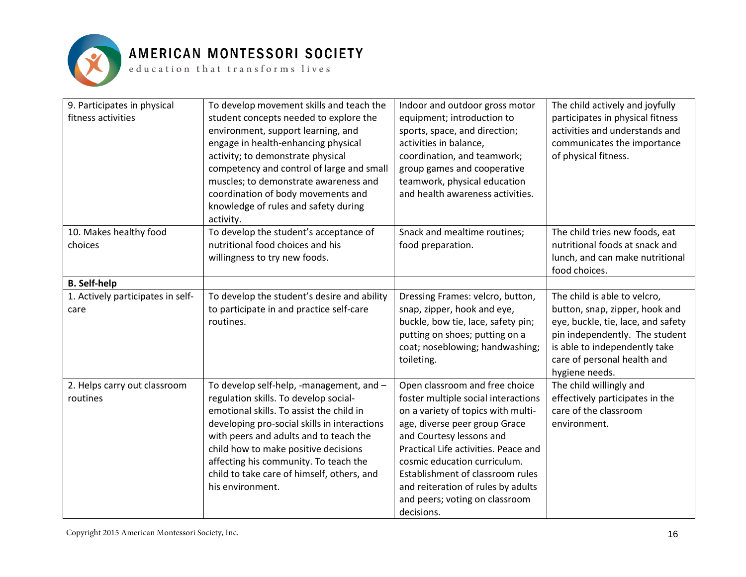

| 9. Participates in physical<br>fitness activities | To develop movement skills and teach the<br>student concepts needed to explore the<br>environment, support learning, and<br>engage in health-enhancing physical<br>activity; to demonstrate physical<br>competency and control of large and small<br>muscles; to demonstrate awareness and<br>coordination of body movements and<br>knowledge of rules and safety during<br>activity. | Indoor and outdoor gross motor<br>equipment; introduction to<br>sports, space, and direction;<br>activities in balance,<br>coordination, and teamwork;<br>group games and cooperative<br>teamwork, physical education<br>and health awareness activities.                                                                                | The child actively and joyfully<br>participates in physical fitness<br>activities and understands and<br>communicates the importance<br>of physical fitness.                             |
|---------------------------------------------------|---------------------------------------------------------------------------------------------------------------------------------------------------------------------------------------------------------------------------------------------------------------------------------------------------------------------------------------------------------------------------------------|------------------------------------------------------------------------------------------------------------------------------------------------------------------------------------------------------------------------------------------------------------------------------------------------------------------------------------------|------------------------------------------------------------------------------------------------------------------------------------------------------------------------------------------|
| 10. Makes healthy food                            | To develop the student's acceptance of                                                                                                                                                                                                                                                                                                                                                | Snack and mealtime routines;                                                                                                                                                                                                                                                                                                             | The child tries new foods, eat                                                                                                                                                           |
| choices                                           | nutritional food choices and his<br>willingness to try new foods.                                                                                                                                                                                                                                                                                                                     | food preparation.                                                                                                                                                                                                                                                                                                                        | nutritional foods at snack and<br>lunch, and can make nutritional<br>food choices.                                                                                                       |
| <b>B.</b> Self-help                               |                                                                                                                                                                                                                                                                                                                                                                                       |                                                                                                                                                                                                                                                                                                                                          |                                                                                                                                                                                          |
| 1. Actively participates in self-                 | To develop the student's desire and ability                                                                                                                                                                                                                                                                                                                                           | Dressing Frames: velcro, button,                                                                                                                                                                                                                                                                                                         | The child is able to velcro,                                                                                                                                                             |
| care                                              | to participate in and practice self-care<br>routines.                                                                                                                                                                                                                                                                                                                                 | snap, zipper, hook and eye,<br>buckle, bow tie, lace, safety pin;<br>putting on shoes; putting on a<br>coat; noseblowing; handwashing;<br>toileting.                                                                                                                                                                                     | button, snap, zipper, hook and<br>eye, buckle, tie, lace, and safety<br>pin independently. The student<br>is able to independently take<br>care of personal health and<br>hygiene needs. |
| 2. Helps carry out classroom                      | To develop self-help, -management, and -                                                                                                                                                                                                                                                                                                                                              | Open classroom and free choice                                                                                                                                                                                                                                                                                                           | The child willingly and                                                                                                                                                                  |
| routines                                          | regulation skills. To develop social-<br>emotional skills. To assist the child in<br>developing pro-social skills in interactions<br>with peers and adults and to teach the<br>child how to make positive decisions<br>affecting his community. To teach the<br>child to take care of himself, others, and<br>his environment.                                                        | foster multiple social interactions<br>on a variety of topics with multi-<br>age, diverse peer group Grace<br>and Courtesy lessons and<br>Practical Life activities. Peace and<br>cosmic education curriculum.<br>Establishment of classroom rules<br>and reiteration of rules by adults<br>and peers; voting on classroom<br>decisions. | effectively participates in the<br>care of the classroom<br>environment.                                                                                                                 |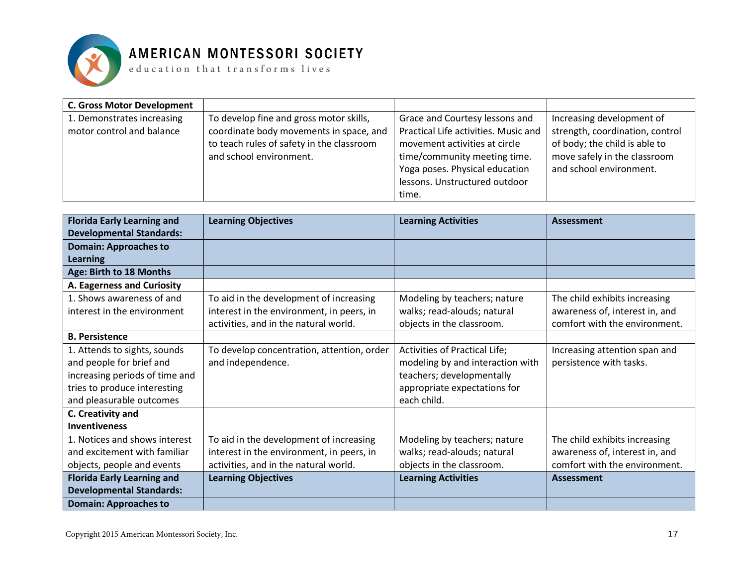

| <b>C. Gross Motor Development</b>                       |                                                                                                                                                            |                                                                                                                                                                                                                     |                                                                                                                                                          |
|---------------------------------------------------------|------------------------------------------------------------------------------------------------------------------------------------------------------------|---------------------------------------------------------------------------------------------------------------------------------------------------------------------------------------------------------------------|----------------------------------------------------------------------------------------------------------------------------------------------------------|
| 1. Demonstrates increasing<br>motor control and balance | To develop fine and gross motor skills,<br>coordinate body movements in space, and<br>to teach rules of safety in the classroom<br>and school environment. | Grace and Courtesy lessons and<br>Practical Life activities. Music and<br>movement activities at circle<br>time/community meeting time.<br>Yoga poses. Physical education<br>lessons. Unstructured outdoor<br>time. | Increasing development of<br>strength, coordination, control<br>of body; the child is able to<br>move safely in the classroom<br>and school environment. |

| <b>Florida Early Learning and</b> | <b>Learning Objectives</b>                 | <b>Learning Activities</b>       | <b>Assessment</b>              |
|-----------------------------------|--------------------------------------------|----------------------------------|--------------------------------|
| <b>Developmental Standards:</b>   |                                            |                                  |                                |
| <b>Domain: Approaches to</b>      |                                            |                                  |                                |
| Learning                          |                                            |                                  |                                |
| Age: Birth to 18 Months           |                                            |                                  |                                |
| A. Eagerness and Curiosity        |                                            |                                  |                                |
| 1. Shows awareness of and         | To aid in the development of increasing    | Modeling by teachers; nature     | The child exhibits increasing  |
| interest in the environment       | interest in the environment, in peers, in  | walks; read-alouds; natural      | awareness of, interest in, and |
|                                   | activities, and in the natural world.      | objects in the classroom.        | comfort with the environment.  |
| <b>B. Persistence</b>             |                                            |                                  |                                |
| 1. Attends to sights, sounds      | To develop concentration, attention, order | Activities of Practical Life;    | Increasing attention span and  |
| and people for brief and          | and independence.                          | modeling by and interaction with | persistence with tasks.        |
| increasing periods of time and    |                                            | teachers; developmentally        |                                |
| tries to produce interesting      |                                            | appropriate expectations for     |                                |
| and pleasurable outcomes          |                                            | each child.                      |                                |
| C. Creativity and                 |                                            |                                  |                                |
| <b>Inventiveness</b>              |                                            |                                  |                                |
| 1. Notices and shows interest     | To aid in the development of increasing    | Modeling by teachers; nature     | The child exhibits increasing  |
| and excitement with familiar      | interest in the environment, in peers, in  | walks; read-alouds; natural      | awareness of, interest in, and |
| objects, people and events        | activities, and in the natural world.      | objects in the classroom.        | comfort with the environment.  |
| <b>Florida Early Learning and</b> | <b>Learning Objectives</b>                 | <b>Learning Activities</b>       | <b>Assessment</b>              |
| <b>Developmental Standards:</b>   |                                            |                                  |                                |
| <b>Domain: Approaches to</b>      |                                            |                                  |                                |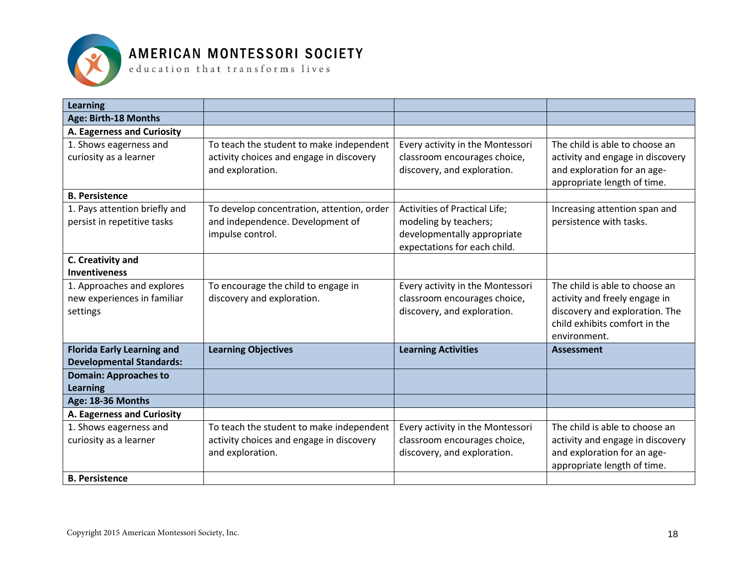

| Learning                          |                                            |                                      |                                  |
|-----------------------------------|--------------------------------------------|--------------------------------------|----------------------------------|
| Age: Birth-18 Months              |                                            |                                      |                                  |
| A. Eagerness and Curiosity        |                                            |                                      |                                  |
| 1. Shows eagerness and            | To teach the student to make independent   | Every activity in the Montessori     | The child is able to choose an   |
| curiosity as a learner            | activity choices and engage in discovery   | classroom encourages choice,         | activity and engage in discovery |
|                                   | and exploration.                           | discovery, and exploration.          | and exploration for an age-      |
|                                   |                                            |                                      | appropriate length of time.      |
| <b>B. Persistence</b>             |                                            |                                      |                                  |
| 1. Pays attention briefly and     | To develop concentration, attention, order | <b>Activities of Practical Life;</b> | Increasing attention span and    |
| persist in repetitive tasks       | and independence. Development of           | modeling by teachers;                | persistence with tasks.          |
|                                   | impulse control.                           | developmentally appropriate          |                                  |
|                                   |                                            | expectations for each child.         |                                  |
| C. Creativity and                 |                                            |                                      |                                  |
| <b>Inventiveness</b>              |                                            |                                      |                                  |
| 1. Approaches and explores        | To encourage the child to engage in        | Every activity in the Montessori     | The child is able to choose an   |
| new experiences in familiar       | discovery and exploration.                 | classroom encourages choice,         | activity and freely engage in    |
| settings                          |                                            | discovery, and exploration.          | discovery and exploration. The   |
|                                   |                                            |                                      | child exhibits comfort in the    |
|                                   |                                            |                                      | environment.                     |
| <b>Florida Early Learning and</b> | <b>Learning Objectives</b>                 | <b>Learning Activities</b>           | <b>Assessment</b>                |
| <b>Developmental Standards:</b>   |                                            |                                      |                                  |
| <b>Domain: Approaches to</b>      |                                            |                                      |                                  |
| <b>Learning</b>                   |                                            |                                      |                                  |
| Age: 18-36 Months                 |                                            |                                      |                                  |
| A. Eagerness and Curiosity        |                                            |                                      |                                  |
| 1. Shows eagerness and            | To teach the student to make independent   | Every activity in the Montessori     | The child is able to choose an   |
| curiosity as a learner            | activity choices and engage in discovery   | classroom encourages choice,         | activity and engage in discovery |
|                                   | and exploration.                           | discovery, and exploration.          | and exploration for an age-      |
|                                   |                                            |                                      | appropriate length of time.      |
| <b>B. Persistence</b>             |                                            |                                      |                                  |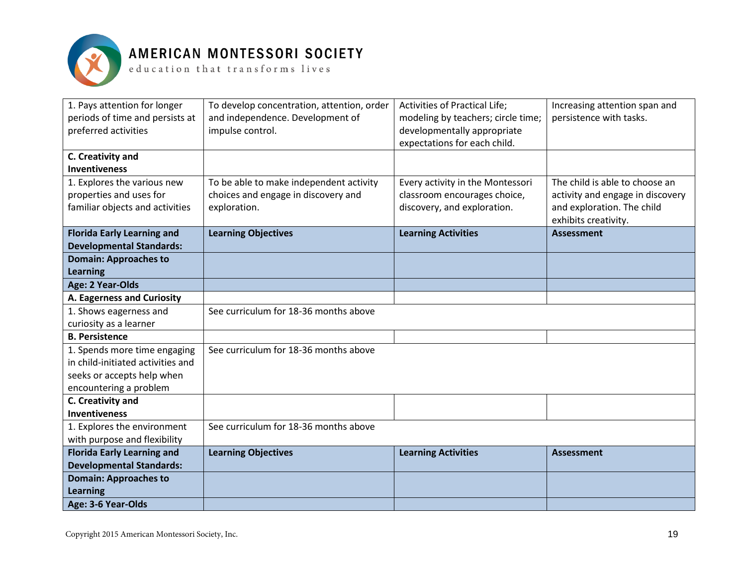

| 1. Pays attention for longer<br>periods of time and persists at<br>preferred activities | To develop concentration, attention, order<br>and independence. Development of<br>impulse control. | Activities of Practical Life;<br>modeling by teachers; circle time;<br>developmentally appropriate<br>expectations for each child. | Increasing attention span and<br>persistence with tasks. |
|-----------------------------------------------------------------------------------------|----------------------------------------------------------------------------------------------------|------------------------------------------------------------------------------------------------------------------------------------|----------------------------------------------------------|
| C. Creativity and                                                                       |                                                                                                    |                                                                                                                                    |                                                          |
| <b>Inventiveness</b>                                                                    |                                                                                                    |                                                                                                                                    |                                                          |
| 1. Explores the various new                                                             | To be able to make independent activity                                                            | Every activity in the Montessori                                                                                                   | The child is able to choose an                           |
| properties and uses for                                                                 | choices and engage in discovery and                                                                | classroom encourages choice,                                                                                                       | activity and engage in discovery                         |
| familiar objects and activities                                                         | exploration.                                                                                       | discovery, and exploration.                                                                                                        | and exploration. The child<br>exhibits creativity.       |
| <b>Florida Early Learning and</b>                                                       | <b>Learning Objectives</b>                                                                         | <b>Learning Activities</b>                                                                                                         | <b>Assessment</b>                                        |
| <b>Developmental Standards:</b>                                                         |                                                                                                    |                                                                                                                                    |                                                          |
| <b>Domain: Approaches to</b><br><b>Learning</b>                                         |                                                                                                    |                                                                                                                                    |                                                          |
| Age: 2 Year-Olds                                                                        |                                                                                                    |                                                                                                                                    |                                                          |
| A. Eagerness and Curiosity                                                              |                                                                                                    |                                                                                                                                    |                                                          |
| 1. Shows eagerness and                                                                  | See curriculum for 18-36 months above                                                              |                                                                                                                                    |                                                          |
| curiosity as a learner                                                                  |                                                                                                    |                                                                                                                                    |                                                          |
| <b>B. Persistence</b>                                                                   |                                                                                                    |                                                                                                                                    |                                                          |
| 1. Spends more time engaging                                                            | See curriculum for 18-36 months above                                                              |                                                                                                                                    |                                                          |
| in child-initiated activities and                                                       |                                                                                                    |                                                                                                                                    |                                                          |
| seeks or accepts help when                                                              |                                                                                                    |                                                                                                                                    |                                                          |
| encountering a problem                                                                  |                                                                                                    |                                                                                                                                    |                                                          |
| C. Creativity and                                                                       |                                                                                                    |                                                                                                                                    |                                                          |
| <b>Inventiveness</b>                                                                    |                                                                                                    |                                                                                                                                    |                                                          |
| 1. Explores the environment                                                             | See curriculum for 18-36 months above                                                              |                                                                                                                                    |                                                          |
| with purpose and flexibility                                                            |                                                                                                    |                                                                                                                                    |                                                          |
| <b>Florida Early Learning and</b>                                                       | <b>Learning Objectives</b>                                                                         | <b>Learning Activities</b>                                                                                                         | <b>Assessment</b>                                        |
| <b>Developmental Standards:</b>                                                         |                                                                                                    |                                                                                                                                    |                                                          |
| <b>Domain: Approaches to</b>                                                            |                                                                                                    |                                                                                                                                    |                                                          |
| <b>Learning</b>                                                                         |                                                                                                    |                                                                                                                                    |                                                          |
| Age: 3-6 Year-Olds                                                                      |                                                                                                    |                                                                                                                                    |                                                          |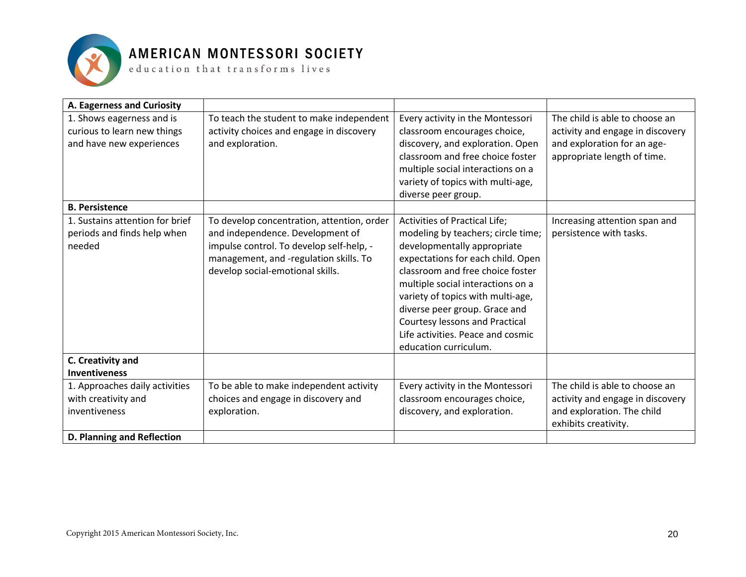

| A. Eagerness and Curiosity                                                           |                                                                                                                                                                                                          |                                                                                                                                                                                                                                                                                                                                                                                               |                                                                                                                                  |
|--------------------------------------------------------------------------------------|----------------------------------------------------------------------------------------------------------------------------------------------------------------------------------------------------------|-----------------------------------------------------------------------------------------------------------------------------------------------------------------------------------------------------------------------------------------------------------------------------------------------------------------------------------------------------------------------------------------------|----------------------------------------------------------------------------------------------------------------------------------|
| 1. Shows eagerness and is<br>curious to learn new things<br>and have new experiences | To teach the student to make independent<br>activity choices and engage in discovery<br>and exploration.                                                                                                 | Every activity in the Montessori<br>classroom encourages choice,<br>discovery, and exploration. Open<br>classroom and free choice foster<br>multiple social interactions on a<br>variety of topics with multi-age,<br>diverse peer group.                                                                                                                                                     | The child is able to choose an<br>activity and engage in discovery<br>and exploration for an age-<br>appropriate length of time. |
| <b>B. Persistence</b>                                                                |                                                                                                                                                                                                          |                                                                                                                                                                                                                                                                                                                                                                                               |                                                                                                                                  |
| 1. Sustains attention for brief<br>periods and finds help when<br>needed             | To develop concentration, attention, order<br>and independence. Development of<br>impulse control. To develop self-help, -<br>management, and -regulation skills. To<br>develop social-emotional skills. | <b>Activities of Practical Life;</b><br>modeling by teachers; circle time;<br>developmentally appropriate<br>expectations for each child. Open<br>classroom and free choice foster<br>multiple social interactions on a<br>variety of topics with multi-age,<br>diverse peer group. Grace and<br>Courtesy lessons and Practical<br>Life activities. Peace and cosmic<br>education curriculum. | Increasing attention span and<br>persistence with tasks.                                                                         |
| C. Creativity and                                                                    |                                                                                                                                                                                                          |                                                                                                                                                                                                                                                                                                                                                                                               |                                                                                                                                  |
| <b>Inventiveness</b>                                                                 |                                                                                                                                                                                                          |                                                                                                                                                                                                                                                                                                                                                                                               |                                                                                                                                  |
| 1. Approaches daily activities<br>with creativity and<br>inventiveness               | To be able to make independent activity<br>choices and engage in discovery and<br>exploration.                                                                                                           | Every activity in the Montessori<br>classroom encourages choice,<br>discovery, and exploration.                                                                                                                                                                                                                                                                                               | The child is able to choose an<br>activity and engage in discovery<br>and exploration. The child<br>exhibits creativity.         |
| D. Planning and Reflection                                                           |                                                                                                                                                                                                          |                                                                                                                                                                                                                                                                                                                                                                                               |                                                                                                                                  |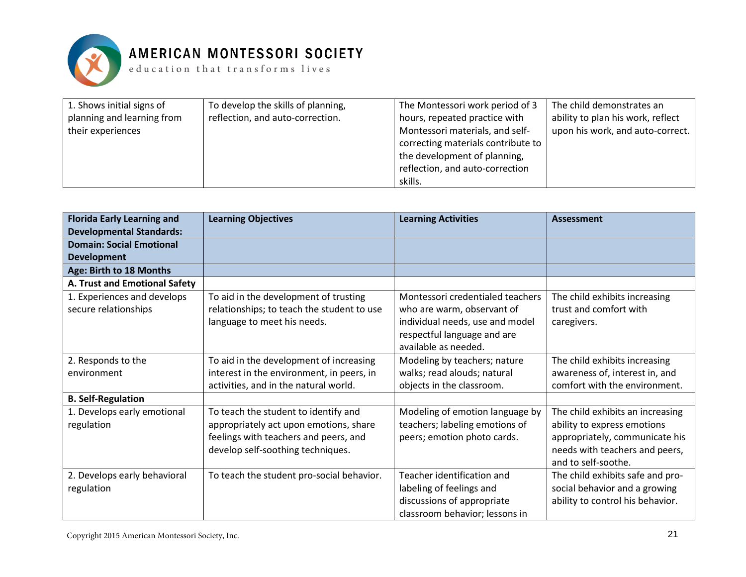

| 1. Shows initial signs of  | To develop the skills of planning, | The Montessori work period of 3    | The child demonstrates an         |
|----------------------------|------------------------------------|------------------------------------|-----------------------------------|
| planning and learning from | reflection, and auto-correction.   | hours, repeated practice with      | ability to plan his work, reflect |
| their experiences          |                                    | Montessori materials, and self-    | upon his work, and auto-correct.  |
|                            |                                    | correcting materials contribute to |                                   |
|                            |                                    | the development of planning,       |                                   |
|                            |                                    | reflection, and auto-correction    |                                   |
|                            |                                    | skills.                            |                                   |

| <b>Florida Early Learning and</b> | <b>Learning Objectives</b>                 | <b>Learning Activities</b>       | <b>Assessment</b>                |
|-----------------------------------|--------------------------------------------|----------------------------------|----------------------------------|
| <b>Developmental Standards:</b>   |                                            |                                  |                                  |
| <b>Domain: Social Emotional</b>   |                                            |                                  |                                  |
| <b>Development</b>                |                                            |                                  |                                  |
| Age: Birth to 18 Months           |                                            |                                  |                                  |
| A. Trust and Emotional Safety     |                                            |                                  |                                  |
| 1. Experiences and develops       | To aid in the development of trusting      | Montessori credentialed teachers | The child exhibits increasing    |
| secure relationships              | relationships; to teach the student to use | who are warm, observant of       | trust and comfort with           |
|                                   | language to meet his needs.                | individual needs, use and model  | caregivers.                      |
|                                   |                                            | respectful language and are      |                                  |
|                                   |                                            | available as needed.             |                                  |
| 2. Responds to the                | To aid in the development of increasing    | Modeling by teachers; nature     | The child exhibits increasing    |
| environment                       | interest in the environment, in peers, in  | walks; read alouds; natural      | awareness of, interest in, and   |
|                                   | activities, and in the natural world.      | objects in the classroom.        | comfort with the environment.    |
| <b>B. Self-Regulation</b>         |                                            |                                  |                                  |
| 1. Develops early emotional       | To teach the student to identify and       | Modeling of emotion language by  | The child exhibits an increasing |
| regulation                        | appropriately act upon emotions, share     | teachers; labeling emotions of   | ability to express emotions      |
|                                   | feelings with teachers and peers, and      | peers; emotion photo cards.      | appropriately, communicate his   |
|                                   | develop self-soothing techniques.          |                                  | needs with teachers and peers,   |
|                                   |                                            |                                  | and to self-soothe.              |
| 2. Develops early behavioral      | To teach the student pro-social behavior.  | Teacher identification and       | The child exhibits safe and pro- |
| regulation                        |                                            | labeling of feelings and         | social behavior and a growing    |
|                                   |                                            | discussions of appropriate       | ability to control his behavior. |
|                                   |                                            | classroom behavior; lessons in   |                                  |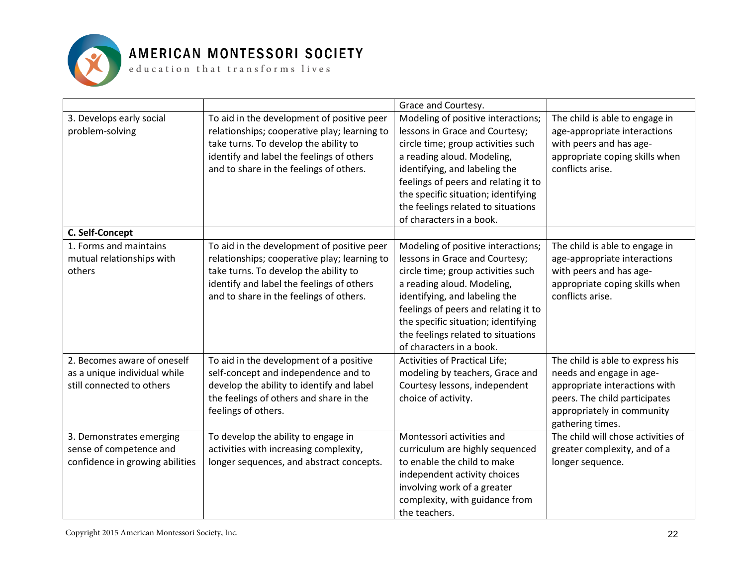

|                                                                                        |                                                                                                                                                                                                                             | Grace and Courtesy.                                                                                                                                                                                                                                                                                                        |                                                                                                                                                 |
|----------------------------------------------------------------------------------------|-----------------------------------------------------------------------------------------------------------------------------------------------------------------------------------------------------------------------------|----------------------------------------------------------------------------------------------------------------------------------------------------------------------------------------------------------------------------------------------------------------------------------------------------------------------------|-------------------------------------------------------------------------------------------------------------------------------------------------|
| 3. Develops early social<br>problem-solving                                            | To aid in the development of positive peer<br>relationships; cooperative play; learning to<br>take turns. To develop the ability to<br>identify and label the feelings of others<br>and to share in the feelings of others. | Modeling of positive interactions;<br>lessons in Grace and Courtesy;<br>circle time; group activities such<br>a reading aloud. Modeling,<br>identifying, and labeling the<br>feelings of peers and relating it to<br>the specific situation; identifying<br>the feelings related to situations<br>of characters in a book. | The child is able to engage in<br>age-appropriate interactions<br>with peers and has age-<br>appropriate coping skills when<br>conflicts arise. |
| C. Self-Concept                                                                        |                                                                                                                                                                                                                             |                                                                                                                                                                                                                                                                                                                            |                                                                                                                                                 |
| 1. Forms and maintains<br>mutual relationships with<br>others                          | To aid in the development of positive peer<br>relationships; cooperative play; learning to<br>take turns. To develop the ability to<br>identify and label the feelings of others<br>and to share in the feelings of others. | Modeling of positive interactions;<br>lessons in Grace and Courtesy;<br>circle time; group activities such<br>a reading aloud. Modeling,<br>identifying, and labeling the<br>feelings of peers and relating it to<br>the specific situation; identifying<br>the feelings related to situations<br>of characters in a book. | The child is able to engage in<br>age-appropriate interactions<br>with peers and has age-<br>appropriate coping skills when<br>conflicts arise. |
| 2. Becomes aware of oneself                                                            | To aid in the development of a positive                                                                                                                                                                                     | <b>Activities of Practical Life;</b>                                                                                                                                                                                                                                                                                       | The child is able to express his                                                                                                                |
| as a unique individual while<br>still connected to others                              | self-concept and independence and to<br>develop the ability to identify and label<br>the feelings of others and share in the<br>feelings of others.                                                                         | modeling by teachers, Grace and<br>Courtesy lessons, independent<br>choice of activity.                                                                                                                                                                                                                                    | needs and engage in age-<br>appropriate interactions with<br>peers. The child participates<br>appropriately in community<br>gathering times.    |
| 3. Demonstrates emerging<br>sense of competence and<br>confidence in growing abilities | To develop the ability to engage in<br>activities with increasing complexity,<br>longer sequences, and abstract concepts.                                                                                                   | Montessori activities and<br>curriculum are highly sequenced<br>to enable the child to make<br>independent activity choices<br>involving work of a greater<br>complexity, with guidance from<br>the teachers.                                                                                                              | The child will chose activities of<br>greater complexity, and of a<br>longer sequence.                                                          |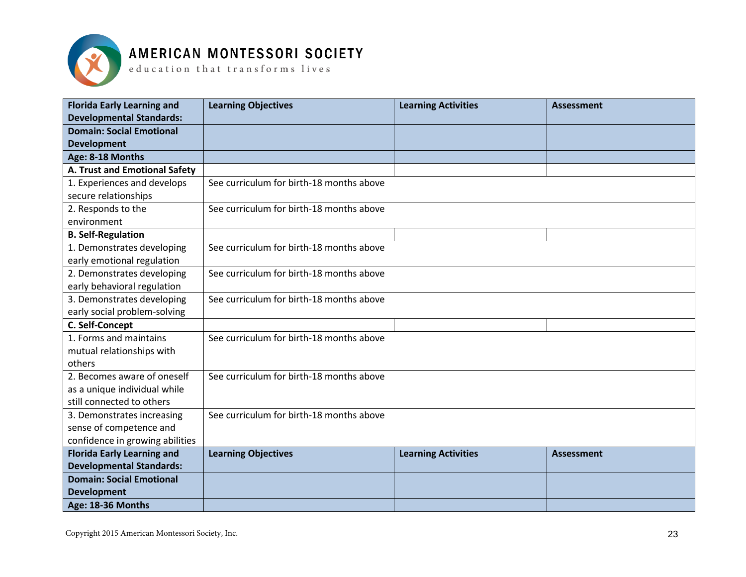

 ${\tt e}$  ducation that  ${\tt trains}$  forms lives

| <b>Florida Early Learning and</b><br><b>Developmental Standards:</b> | <b>Learning Objectives</b>               | <b>Learning Activities</b> | <b>Assessment</b> |
|----------------------------------------------------------------------|------------------------------------------|----------------------------|-------------------|
| <b>Domain: Social Emotional</b>                                      |                                          |                            |                   |
| <b>Development</b>                                                   |                                          |                            |                   |
| Age: 8-18 Months                                                     |                                          |                            |                   |
| A. Trust and Emotional Safety                                        |                                          |                            |                   |
| 1. Experiences and develops                                          | See curriculum for birth-18 months above |                            |                   |
| secure relationships                                                 |                                          |                            |                   |
| 2. Responds to the                                                   | See curriculum for birth-18 months above |                            |                   |
| environment                                                          |                                          |                            |                   |
| <b>B. Self-Regulation</b>                                            |                                          |                            |                   |
| 1. Demonstrates developing                                           | See curriculum for birth-18 months above |                            |                   |
| early emotional regulation                                           |                                          |                            |                   |
| 2. Demonstrates developing                                           | See curriculum for birth-18 months above |                            |                   |
| early behavioral regulation                                          |                                          |                            |                   |
| 3. Demonstrates developing                                           | See curriculum for birth-18 months above |                            |                   |
| early social problem-solving                                         |                                          |                            |                   |
| C. Self-Concept                                                      |                                          |                            |                   |
| 1. Forms and maintains                                               | See curriculum for birth-18 months above |                            |                   |
| mutual relationships with                                            |                                          |                            |                   |
| others                                                               |                                          |                            |                   |
| 2. Becomes aware of oneself                                          | See curriculum for birth-18 months above |                            |                   |
| as a unique individual while                                         |                                          |                            |                   |
| still connected to others                                            |                                          |                            |                   |
| 3. Demonstrates increasing                                           | See curriculum for birth-18 months above |                            |                   |
| sense of competence and                                              |                                          |                            |                   |
| confidence in growing abilities                                      |                                          |                            |                   |
| <b>Florida Early Learning and</b>                                    | <b>Learning Objectives</b>               | <b>Learning Activities</b> | <b>Assessment</b> |
| <b>Developmental Standards:</b>                                      |                                          |                            |                   |
| <b>Domain: Social Emotional</b>                                      |                                          |                            |                   |
| <b>Development</b>                                                   |                                          |                            |                   |
| Age: 18-36 Months                                                    |                                          |                            |                   |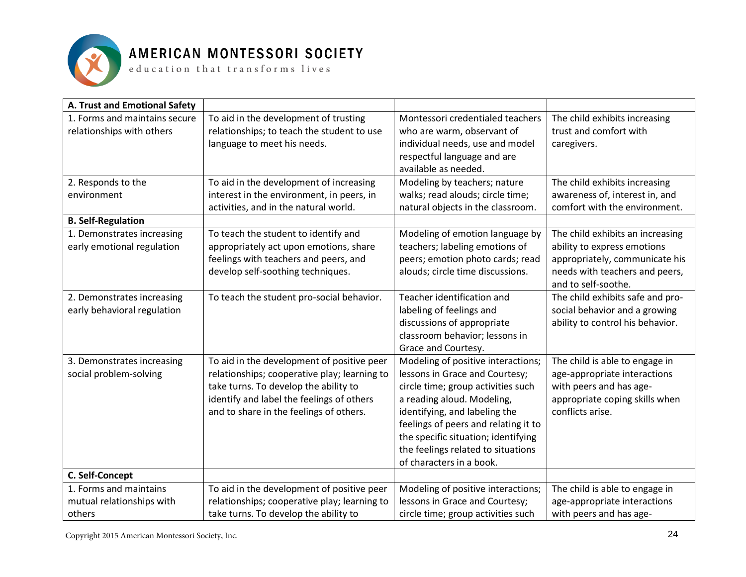

 ${\tt e}$  ducation that transforms lives

| A. Trust and Emotional Safety |                                              |                                      |                                  |
|-------------------------------|----------------------------------------------|--------------------------------------|----------------------------------|
| 1. Forms and maintains secure | To aid in the development of trusting        | Montessori credentialed teachers     | The child exhibits increasing    |
| relationships with others     | relationships; to teach the student to use   | who are warm, observant of           | trust and comfort with           |
|                               | language to meet his needs.                  | individual needs, use and model      | caregivers.                      |
|                               |                                              | respectful language and are          |                                  |
|                               |                                              | available as needed.                 |                                  |
| 2. Responds to the            | To aid in the development of increasing      | Modeling by teachers; nature         | The child exhibits increasing    |
| environment                   | interest in the environment, in peers, in    | walks; read alouds; circle time;     | awareness of, interest in, and   |
|                               | activities, and in the natural world.        | natural objects in the classroom.    | comfort with the environment.    |
| <b>B. Self-Regulation</b>     |                                              |                                      |                                  |
| 1. Demonstrates increasing    | To teach the student to identify and         | Modeling of emotion language by      | The child exhibits an increasing |
| early emotional regulation    | appropriately act upon emotions, share       | teachers; labeling emotions of       | ability to express emotions      |
|                               | feelings with teachers and peers, and        | peers; emotion photo cards; read     | appropriately, communicate his   |
|                               | develop self-soothing techniques.            | alouds; circle time discussions.     | needs with teachers and peers,   |
|                               |                                              |                                      | and to self-soothe.              |
| 2. Demonstrates increasing    | To teach the student pro-social behavior.    | Teacher identification and           | The child exhibits safe and pro- |
| early behavioral regulation   |                                              | labeling of feelings and             | social behavior and a growing    |
|                               |                                              | discussions of appropriate           | ability to control his behavior. |
|                               |                                              | classroom behavior; lessons in       |                                  |
|                               |                                              | Grace and Courtesy.                  |                                  |
| 3. Demonstrates increasing    | To aid in the development of positive peer   | Modeling of positive interactions;   | The child is able to engage in   |
| social problem-solving        | relationships; cooperative play; learning to | lessons in Grace and Courtesy;       | age-appropriate interactions     |
|                               | take turns. To develop the ability to        | circle time; group activities such   | with peers and has age-          |
|                               | identify and label the feelings of others    | a reading aloud. Modeling,           | appropriate coping skills when   |
|                               | and to share in the feelings of others.      | identifying, and labeling the        | conflicts arise.                 |
|                               |                                              | feelings of peers and relating it to |                                  |
|                               |                                              | the specific situation; identifying  |                                  |
|                               |                                              | the feelings related to situations   |                                  |
|                               |                                              | of characters in a book.             |                                  |
| C. Self-Concept               |                                              |                                      |                                  |
| 1. Forms and maintains        | To aid in the development of positive peer   | Modeling of positive interactions;   | The child is able to engage in   |
| mutual relationships with     | relationships; cooperative play; learning to | lessons in Grace and Courtesy;       | age-appropriate interactions     |
| others                        | take turns. To develop the ability to        | circle time; group activities such   | with peers and has age-          |

Copyright 2015 American Montessori Society, Inc.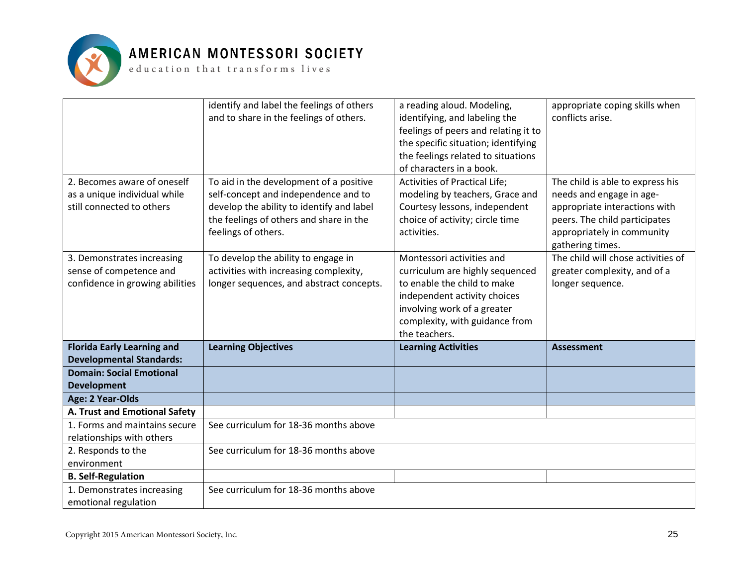

|                                                             | identify and label the feelings of others<br>and to share in the feelings of others. | a reading aloud. Modeling,<br>identifying, and labeling the<br>feelings of peers and relating it to<br>the specific situation; identifying<br>the feelings related to situations<br>of characters in a book. | appropriate coping skills when<br>conflicts arise.                              |
|-------------------------------------------------------------|--------------------------------------------------------------------------------------|--------------------------------------------------------------------------------------------------------------------------------------------------------------------------------------------------------------|---------------------------------------------------------------------------------|
| 2. Becomes aware of oneself<br>as a unique individual while | To aid in the development of a positive<br>self-concept and independence and to      | <b>Activities of Practical Life;</b><br>modeling by teachers, Grace and                                                                                                                                      | The child is able to express his<br>needs and engage in age-                    |
| still connected to others                                   | develop the ability to identify and label                                            | Courtesy lessons, independent                                                                                                                                                                                | appropriate interactions with                                                   |
|                                                             | the feelings of others and share in the<br>feelings of others.                       | choice of activity; circle time<br>activities.                                                                                                                                                               | peers. The child participates<br>appropriately in community<br>gathering times. |
| 3. Demonstrates increasing                                  | To develop the ability to engage in                                                  | Montessori activities and                                                                                                                                                                                    | The child will chose activities of                                              |
| sense of competence and                                     | activities with increasing complexity,                                               | curriculum are highly sequenced                                                                                                                                                                              | greater complexity, and of a                                                    |
| confidence in growing abilities                             | longer sequences, and abstract concepts.                                             | to enable the child to make                                                                                                                                                                                  | longer sequence.                                                                |
|                                                             |                                                                                      | independent activity choices                                                                                                                                                                                 |                                                                                 |
|                                                             |                                                                                      | involving work of a greater                                                                                                                                                                                  |                                                                                 |
|                                                             |                                                                                      | complexity, with guidance from<br>the teachers.                                                                                                                                                              |                                                                                 |
| <b>Florida Early Learning and</b>                           | <b>Learning Objectives</b>                                                           | <b>Learning Activities</b>                                                                                                                                                                                   | <b>Assessment</b>                                                               |
| <b>Developmental Standards:</b>                             |                                                                                      |                                                                                                                                                                                                              |                                                                                 |
| <b>Domain: Social Emotional</b>                             |                                                                                      |                                                                                                                                                                                                              |                                                                                 |
| <b>Development</b>                                          |                                                                                      |                                                                                                                                                                                                              |                                                                                 |
| Age: 2 Year-Olds                                            |                                                                                      |                                                                                                                                                                                                              |                                                                                 |
| A. Trust and Emotional Safety                               |                                                                                      |                                                                                                                                                                                                              |                                                                                 |
| 1. Forms and maintains secure                               | See curriculum for 18-36 months above                                                |                                                                                                                                                                                                              |                                                                                 |
| relationships with others                                   |                                                                                      |                                                                                                                                                                                                              |                                                                                 |
| 2. Responds to the                                          | See curriculum for 18-36 months above                                                |                                                                                                                                                                                                              |                                                                                 |
| environment                                                 |                                                                                      |                                                                                                                                                                                                              |                                                                                 |
| <b>B. Self-Regulation</b>                                   |                                                                                      |                                                                                                                                                                                                              |                                                                                 |
| 1. Demonstrates increasing                                  | See curriculum for 18-36 months above                                                |                                                                                                                                                                                                              |                                                                                 |
| emotional regulation                                        |                                                                                      |                                                                                                                                                                                                              |                                                                                 |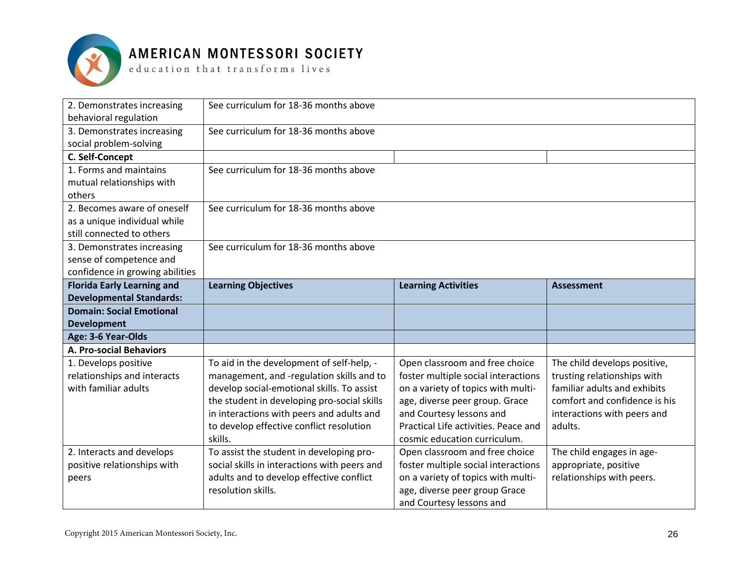

| 2. Demonstrates increasing<br>behavioral regulation                                      | See curriculum for 18-36 months above        |                                      |                               |
|------------------------------------------------------------------------------------------|----------------------------------------------|--------------------------------------|-------------------------------|
| 3. Demonstrates increasing<br>social problem-solving                                     | See curriculum for 18-36 months above        |                                      |                               |
| C. Self-Concept                                                                          |                                              |                                      |                               |
| 1. Forms and maintains<br>mutual relationships with<br>others                            | See curriculum for 18-36 months above        |                                      |                               |
| 2. Becomes aware of oneself<br>as a unique individual while<br>still connected to others | See curriculum for 18-36 months above        |                                      |                               |
| 3. Demonstrates increasing<br>sense of competence and<br>confidence in growing abilities | See curriculum for 18-36 months above        |                                      |                               |
| <b>Florida Early Learning and</b>                                                        | <b>Learning Objectives</b>                   | <b>Learning Activities</b>           | <b>Assessment</b>             |
| <b>Developmental Standards:</b>                                                          |                                              |                                      |                               |
| <b>Domain: Social Emotional</b>                                                          |                                              |                                      |                               |
| <b>Development</b>                                                                       |                                              |                                      |                               |
| Age: 3-6 Year-Olds                                                                       |                                              |                                      |                               |
| <b>A. Pro-social Behaviors</b>                                                           |                                              |                                      |                               |
| 1. Develops positive                                                                     | To aid in the development of self-help, -    | Open classroom and free choice       | The child develops positive,  |
| relationships and interacts                                                              | management, and -regulation skills and to    | foster multiple social interactions  | trusting relationships with   |
| with familiar adults                                                                     | develop social-emotional skills. To assist   | on a variety of topics with multi-   | familiar adults and exhibits  |
|                                                                                          | the student in developing pro-social skills  | age, diverse peer group. Grace       | comfort and confidence is his |
|                                                                                          | in interactions with peers and adults and    | and Courtesy lessons and             | interactions with peers and   |
|                                                                                          | to develop effective conflict resolution     | Practical Life activities. Peace and | adults.                       |
|                                                                                          | skills.                                      | cosmic education curriculum.         |                               |
| 2. Interacts and develops                                                                | To assist the student in developing pro-     | Open classroom and free choice       | The child engages in age-     |
| positive relationships with                                                              | social skills in interactions with peers and | foster multiple social interactions  | appropriate, positive         |
| peers                                                                                    | adults and to develop effective conflict     | on a variety of topics with multi-   | relationships with peers.     |
|                                                                                          | resolution skills.                           | age, diverse peer group Grace        |                               |
|                                                                                          |                                              | and Courtesy lessons and             |                               |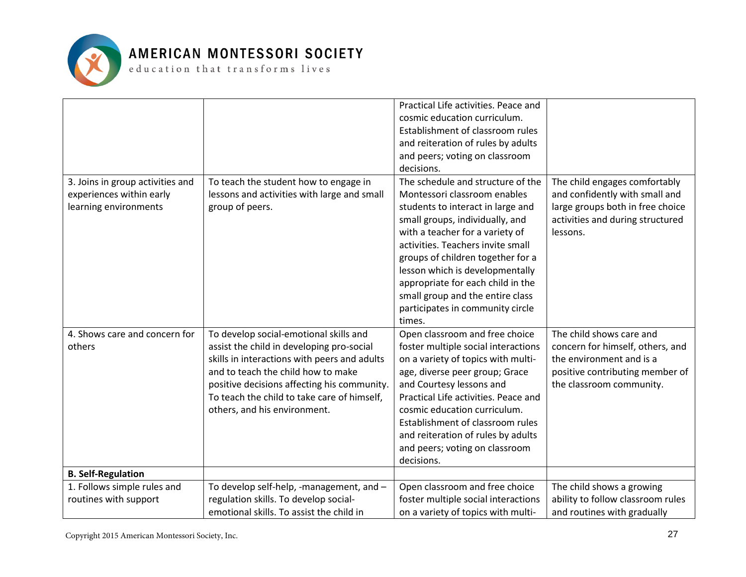

|                                  |                                              | Practical Life activities. Peace and |                                   |
|----------------------------------|----------------------------------------------|--------------------------------------|-----------------------------------|
|                                  |                                              | cosmic education curriculum.         |                                   |
|                                  |                                              | Establishment of classroom rules     |                                   |
|                                  |                                              | and reiteration of rules by adults   |                                   |
|                                  |                                              | and peers; voting on classroom       |                                   |
|                                  |                                              | decisions.                           |                                   |
| 3. Joins in group activities and | To teach the student how to engage in        | The schedule and structure of the    | The child engages comfortably     |
| experiences within early         | lessons and activities with large and small  | Montessori classroom enables         | and confidently with small and    |
| learning environments            | group of peers.                              | students to interact in large and    | large groups both in free choice  |
|                                  |                                              | small groups, individually, and      | activities and during structured  |
|                                  |                                              | with a teacher for a variety of      | lessons.                          |
|                                  |                                              | activities. Teachers invite small    |                                   |
|                                  |                                              | groups of children together for a    |                                   |
|                                  |                                              | lesson which is developmentally      |                                   |
|                                  |                                              | appropriate for each child in the    |                                   |
|                                  |                                              | small group and the entire class     |                                   |
|                                  |                                              | participates in community circle     |                                   |
|                                  |                                              | times.                               |                                   |
| 4. Shows care and concern for    | To develop social-emotional skills and       | Open classroom and free choice       | The child shows care and          |
| others                           | assist the child in developing pro-social    | foster multiple social interactions  | concern for himself, others, and  |
|                                  | skills in interactions with peers and adults | on a variety of topics with multi-   | the environment and is a          |
|                                  | and to teach the child how to make           | age, diverse peer group; Grace       | positive contributing member of   |
|                                  | positive decisions affecting his community.  | and Courtesy lessons and             | the classroom community.          |
|                                  | To teach the child to take care of himself,  | Practical Life activities. Peace and |                                   |
|                                  | others, and his environment.                 | cosmic education curriculum.         |                                   |
|                                  |                                              | Establishment of classroom rules     |                                   |
|                                  |                                              |                                      |                                   |
|                                  |                                              | and reiteration of rules by adults   |                                   |
|                                  |                                              | and peers; voting on classroom       |                                   |
|                                  |                                              | decisions.                           |                                   |
| <b>B. Self-Regulation</b>        |                                              |                                      |                                   |
| 1. Follows simple rules and      | To develop self-help, -management, and -     | Open classroom and free choice       | The child shows a growing         |
| routines with support            | regulation skills. To develop social-        | foster multiple social interactions  | ability to follow classroom rules |
|                                  | emotional skills. To assist the child in     | on a variety of topics with multi-   | and routines with gradually       |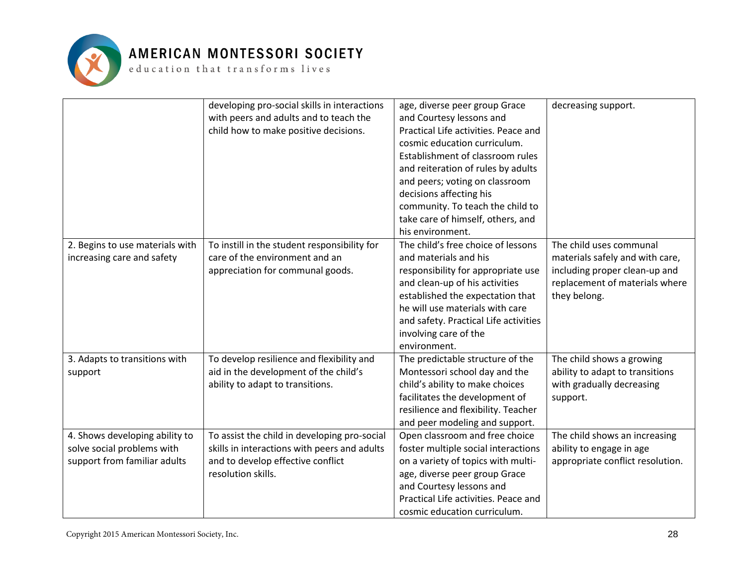

|                                 | developing pro-social skills in interactions | age, diverse peer group Grace         | decreasing support.              |
|---------------------------------|----------------------------------------------|---------------------------------------|----------------------------------|
|                                 | with peers and adults and to teach the       | and Courtesy lessons and              |                                  |
|                                 | child how to make positive decisions.        | Practical Life activities. Peace and  |                                  |
|                                 |                                              | cosmic education curriculum.          |                                  |
|                                 |                                              | Establishment of classroom rules      |                                  |
|                                 |                                              | and reiteration of rules by adults    |                                  |
|                                 |                                              | and peers; voting on classroom        |                                  |
|                                 |                                              | decisions affecting his               |                                  |
|                                 |                                              | community. To teach the child to      |                                  |
|                                 |                                              | take care of himself, others, and     |                                  |
|                                 |                                              | his environment.                      |                                  |
| 2. Begins to use materials with | To instill in the student responsibility for | The child's free choice of lessons    | The child uses communal          |
| increasing care and safety      | care of the environment and an               | and materials and his                 | materials safely and with care,  |
|                                 | appreciation for communal goods.             | responsibility for appropriate use    | including proper clean-up and    |
|                                 |                                              | and clean-up of his activities        | replacement of materials where   |
|                                 |                                              | established the expectation that      | they belong.                     |
|                                 |                                              | he will use materials with care       |                                  |
|                                 |                                              | and safety. Practical Life activities |                                  |
|                                 |                                              | involving care of the                 |                                  |
|                                 |                                              | environment.                          |                                  |
| 3. Adapts to transitions with   | To develop resilience and flexibility and    | The predictable structure of the      | The child shows a growing        |
| support                         | aid in the development of the child's        | Montessori school day and the         | ability to adapt to transitions  |
|                                 | ability to adapt to transitions.             | child's ability to make choices       | with gradually decreasing        |
|                                 |                                              | facilitates the development of        | support.                         |
|                                 |                                              | resilience and flexibility. Teacher   |                                  |
|                                 |                                              | and peer modeling and support.        |                                  |
| 4. Shows developing ability to  | To assist the child in developing pro-social | Open classroom and free choice        | The child shows an increasing    |
| solve social problems with      | skills in interactions with peers and adults | foster multiple social interactions   | ability to engage in age         |
| support from familiar adults    | and to develop effective conflict            | on a variety of topics with multi-    | appropriate conflict resolution. |
|                                 | resolution skills.                           | age, diverse peer group Grace         |                                  |
|                                 |                                              | and Courtesy lessons and              |                                  |
|                                 |                                              | Practical Life activities. Peace and  |                                  |
|                                 |                                              | cosmic education curriculum.          |                                  |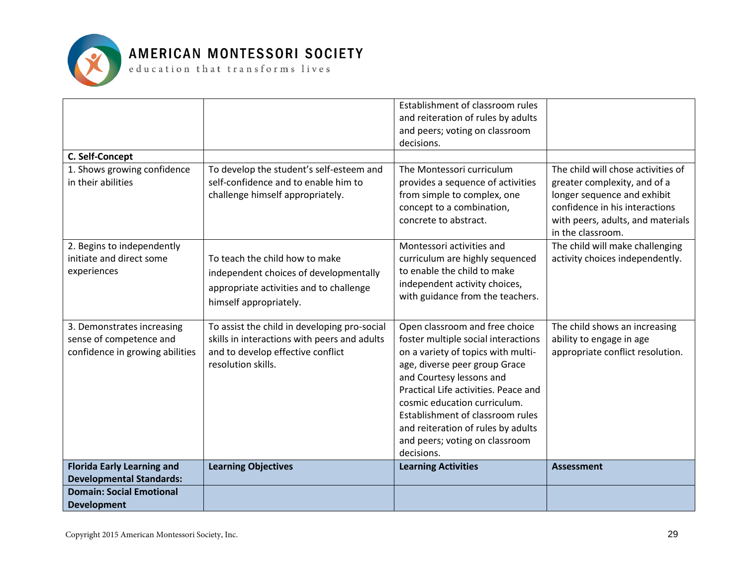

|                                   |                                              | Establishment of classroom rules<br>and reiteration of rules by adults |                                                        |
|-----------------------------------|----------------------------------------------|------------------------------------------------------------------------|--------------------------------------------------------|
|                                   |                                              | and peers; voting on classroom                                         |                                                        |
|                                   |                                              | decisions.                                                             |                                                        |
| C. Self-Concept                   |                                              |                                                                        |                                                        |
| 1. Shows growing confidence       | To develop the student's self-esteem and     | The Montessori curriculum                                              | The child will chose activities of                     |
| in their abilities                | self-confidence and to enable him to         | provides a sequence of activities                                      | greater complexity, and of a                           |
|                                   | challenge himself appropriately.             | from simple to complex, one                                            | longer sequence and exhibit                            |
|                                   |                                              | concept to a combination,                                              | confidence in his interactions                         |
|                                   |                                              | concrete to abstract.                                                  | with peers, adults, and materials<br>in the classroom. |
| 2. Begins to independently        |                                              | Montessori activities and                                              | The child will make challenging                        |
| initiate and direct some          | To teach the child how to make               | curriculum are highly sequenced                                        | activity choices independently.                        |
| experiences                       | independent choices of developmentally       | to enable the child to make                                            |                                                        |
|                                   | appropriate activities and to challenge      | independent activity choices,                                          |                                                        |
|                                   | himself appropriately.                       | with guidance from the teachers.                                       |                                                        |
|                                   |                                              |                                                                        |                                                        |
| 3. Demonstrates increasing        | To assist the child in developing pro-social | Open classroom and free choice                                         | The child shows an increasing                          |
| sense of competence and           | skills in interactions with peers and adults | foster multiple social interactions                                    | ability to engage in age                               |
| confidence in growing abilities   | and to develop effective conflict            | on a variety of topics with multi-                                     | appropriate conflict resolution.                       |
|                                   | resolution skills.                           | age, diverse peer group Grace                                          |                                                        |
|                                   |                                              | and Courtesy lessons and                                               |                                                        |
|                                   |                                              | Practical Life activities. Peace and                                   |                                                        |
|                                   |                                              | cosmic education curriculum.                                           |                                                        |
|                                   |                                              | Establishment of classroom rules                                       |                                                        |
|                                   |                                              | and reiteration of rules by adults                                     |                                                        |
|                                   |                                              | and peers; voting on classroom                                         |                                                        |
|                                   |                                              | decisions.                                                             |                                                        |
| <b>Florida Early Learning and</b> | <b>Learning Objectives</b>                   | <b>Learning Activities</b>                                             | <b>Assessment</b>                                      |
| <b>Developmental Standards:</b>   |                                              |                                                                        |                                                        |
| <b>Domain: Social Emotional</b>   |                                              |                                                                        |                                                        |
| <b>Development</b>                |                                              |                                                                        |                                                        |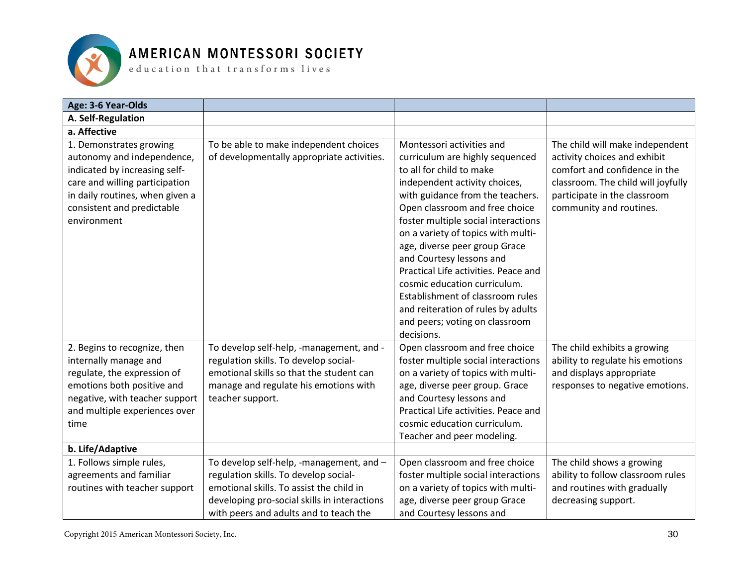

| Age: 3-6 Year-Olds                                                                                                                                                                                       |                                                                                                                                                                                                                         |                                                                                                                                                                                                                                                                                                                                                                                                                                                                                                                                             |                                                                                                                                                                                                   |
|----------------------------------------------------------------------------------------------------------------------------------------------------------------------------------------------------------|-------------------------------------------------------------------------------------------------------------------------------------------------------------------------------------------------------------------------|---------------------------------------------------------------------------------------------------------------------------------------------------------------------------------------------------------------------------------------------------------------------------------------------------------------------------------------------------------------------------------------------------------------------------------------------------------------------------------------------------------------------------------------------|---------------------------------------------------------------------------------------------------------------------------------------------------------------------------------------------------|
| A. Self-Regulation                                                                                                                                                                                       |                                                                                                                                                                                                                         |                                                                                                                                                                                                                                                                                                                                                                                                                                                                                                                                             |                                                                                                                                                                                                   |
| a. Affective                                                                                                                                                                                             |                                                                                                                                                                                                                         |                                                                                                                                                                                                                                                                                                                                                                                                                                                                                                                                             |                                                                                                                                                                                                   |
| 1. Demonstrates growing<br>autonomy and independence,<br>indicated by increasing self-<br>care and willing participation<br>in daily routines, when given a<br>consistent and predictable<br>environment | To be able to make independent choices<br>of developmentally appropriate activities.                                                                                                                                    | Montessori activities and<br>curriculum are highly sequenced<br>to all for child to make<br>independent activity choices,<br>with guidance from the teachers.<br>Open classroom and free choice<br>foster multiple social interactions<br>on a variety of topics with multi-<br>age, diverse peer group Grace<br>and Courtesy lessons and<br>Practical Life activities. Peace and<br>cosmic education curriculum.<br>Establishment of classroom rules<br>and reiteration of rules by adults<br>and peers; voting on classroom<br>decisions. | The child will make independent<br>activity choices and exhibit<br>comfort and confidence in the<br>classroom. The child will joyfully<br>participate in the classroom<br>community and routines. |
| 2. Begins to recognize, then<br>internally manage and<br>regulate, the expression of<br>emotions both positive and<br>negative, with teacher support<br>and multiple experiences over<br>time            | To develop self-help, -management, and -<br>regulation skills. To develop social-<br>emotional skills so that the student can<br>manage and regulate his emotions with<br>teacher support.                              | Open classroom and free choice<br>foster multiple social interactions<br>on a variety of topics with multi-<br>age, diverse peer group. Grace<br>and Courtesy lessons and<br>Practical Life activities. Peace and<br>cosmic education curriculum.<br>Teacher and peer modeling.                                                                                                                                                                                                                                                             | The child exhibits a growing<br>ability to regulate his emotions<br>and displays appropriate<br>responses to negative emotions.                                                                   |
| b. Life/Adaptive                                                                                                                                                                                         |                                                                                                                                                                                                                         |                                                                                                                                                                                                                                                                                                                                                                                                                                                                                                                                             |                                                                                                                                                                                                   |
| 1. Follows simple rules,<br>agreements and familiar<br>routines with teacher support                                                                                                                     | To develop self-help, -management, and -<br>regulation skills. To develop social-<br>emotional skills. To assist the child in<br>developing pro-social skills in interactions<br>with peers and adults and to teach the | Open classroom and free choice<br>foster multiple social interactions<br>on a variety of topics with multi-<br>age, diverse peer group Grace<br>and Courtesy lessons and                                                                                                                                                                                                                                                                                                                                                                    | The child shows a growing<br>ability to follow classroom rules<br>and routines with gradually<br>decreasing support.                                                                              |

Copyright 2015 American Montessori Society, Inc.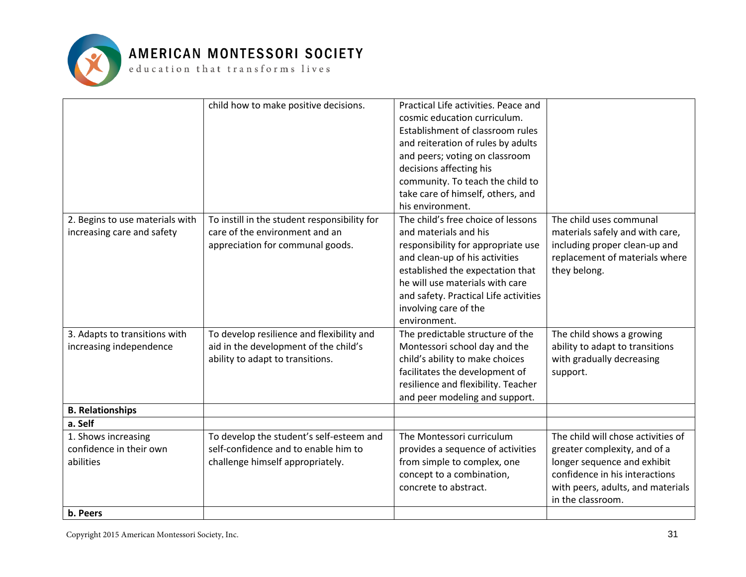

 ${\tt e}$  ducation that  ${\tt trains}$  forms lives

|                                 | child how to make positive decisions.        | Practical Life activities. Peace and  |                                    |
|---------------------------------|----------------------------------------------|---------------------------------------|------------------------------------|
|                                 |                                              | cosmic education curriculum.          |                                    |
|                                 |                                              | Establishment of classroom rules      |                                    |
|                                 |                                              | and reiteration of rules by adults    |                                    |
|                                 |                                              | and peers; voting on classroom        |                                    |
|                                 |                                              | decisions affecting his               |                                    |
|                                 |                                              | community. To teach the child to      |                                    |
|                                 |                                              | take care of himself, others, and     |                                    |
|                                 |                                              | his environment.                      |                                    |
| 2. Begins to use materials with | To instill in the student responsibility for | The child's free choice of lessons    | The child uses communal            |
| increasing care and safety      | care of the environment and an               | and materials and his                 | materials safely and with care,    |
|                                 | appreciation for communal goods.             | responsibility for appropriate use    | including proper clean-up and      |
|                                 |                                              | and clean-up of his activities        | replacement of materials where     |
|                                 |                                              | established the expectation that      | they belong.                       |
|                                 |                                              | he will use materials with care       |                                    |
|                                 |                                              | and safety. Practical Life activities |                                    |
|                                 |                                              | involving care of the                 |                                    |
|                                 |                                              | environment.                          |                                    |
| 3. Adapts to transitions with   | To develop resilience and flexibility and    | The predictable structure of the      | The child shows a growing          |
| increasing independence         | aid in the development of the child's        | Montessori school day and the         | ability to adapt to transitions    |
|                                 | ability to adapt to transitions.             | child's ability to make choices       | with gradually decreasing          |
|                                 |                                              | facilitates the development of        | support.                           |
|                                 |                                              | resilience and flexibility. Teacher   |                                    |
|                                 |                                              | and peer modeling and support.        |                                    |
| <b>B. Relationships</b>         |                                              |                                       |                                    |
| a. Self                         |                                              |                                       |                                    |
| 1. Shows increasing             | To develop the student's self-esteem and     | The Montessori curriculum             | The child will chose activities of |
| confidence in their own         | self-confidence and to enable him to         | provides a sequence of activities     | greater complexity, and of a       |
| abilities                       | challenge himself appropriately.             | from simple to complex, one           | longer sequence and exhibit        |
|                                 |                                              | concept to a combination,             | confidence in his interactions     |
|                                 |                                              | concrete to abstract.                 | with peers, adults, and materials  |
|                                 |                                              |                                       | in the classroom.                  |
| b. Peers                        |                                              |                                       |                                    |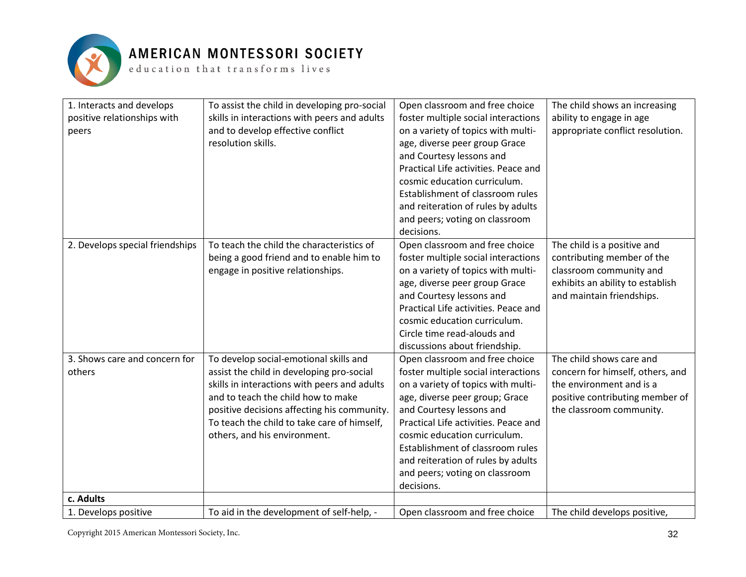

| 1. Interacts and develops<br>positive relationships with<br>peers | To assist the child in developing pro-social<br>skills in interactions with peers and adults<br>and to develop effective conflict<br>resolution skills.                                                                                                                                                 | Open classroom and free choice<br>foster multiple social interactions<br>on a variety of topics with multi-<br>age, diverse peer group Grace<br>and Courtesy lessons and<br>Practical Life activities. Peace and<br>cosmic education curriculum.<br>Establishment of classroom rules<br>and reiteration of rules by adults<br>and peers; voting on classroom<br>decisions.  | The child shows an increasing<br>ability to engage in age<br>appropriate conflict resolution.                                                           |
|-------------------------------------------------------------------|---------------------------------------------------------------------------------------------------------------------------------------------------------------------------------------------------------------------------------------------------------------------------------------------------------|-----------------------------------------------------------------------------------------------------------------------------------------------------------------------------------------------------------------------------------------------------------------------------------------------------------------------------------------------------------------------------|---------------------------------------------------------------------------------------------------------------------------------------------------------|
| 2. Develops special friendships                                   | To teach the child the characteristics of<br>being a good friend and to enable him to<br>engage in positive relationships.                                                                                                                                                                              | Open classroom and free choice<br>foster multiple social interactions<br>on a variety of topics with multi-<br>age, diverse peer group Grace<br>and Courtesy lessons and<br>Practical Life activities. Peace and<br>cosmic education curriculum.<br>Circle time read-alouds and<br>discussions about friendship.                                                            | The child is a positive and<br>contributing member of the<br>classroom community and<br>exhibits an ability to establish<br>and maintain friendships.   |
| 3. Shows care and concern for<br>others                           | To develop social-emotional skills and<br>assist the child in developing pro-social<br>skills in interactions with peers and adults<br>and to teach the child how to make<br>positive decisions affecting his community.<br>To teach the child to take care of himself,<br>others, and his environment. | Open classroom and free choice<br>foster multiple social interactions<br>on a variety of topics with multi-<br>age, diverse peer group; Grace<br>and Courtesy lessons and<br>Practical Life activities. Peace and<br>cosmic education curriculum.<br>Establishment of classroom rules<br>and reiteration of rules by adults<br>and peers; voting on classroom<br>decisions. | The child shows care and<br>concern for himself, others, and<br>the environment and is a<br>positive contributing member of<br>the classroom community. |
| c. Adults                                                         |                                                                                                                                                                                                                                                                                                         |                                                                                                                                                                                                                                                                                                                                                                             |                                                                                                                                                         |
| 1. Develops positive                                              | To aid in the development of self-help, -                                                                                                                                                                                                                                                               | Open classroom and free choice                                                                                                                                                                                                                                                                                                                                              | The child develops positive,                                                                                                                            |

Copyright 2015 American Montessori Society, Inc.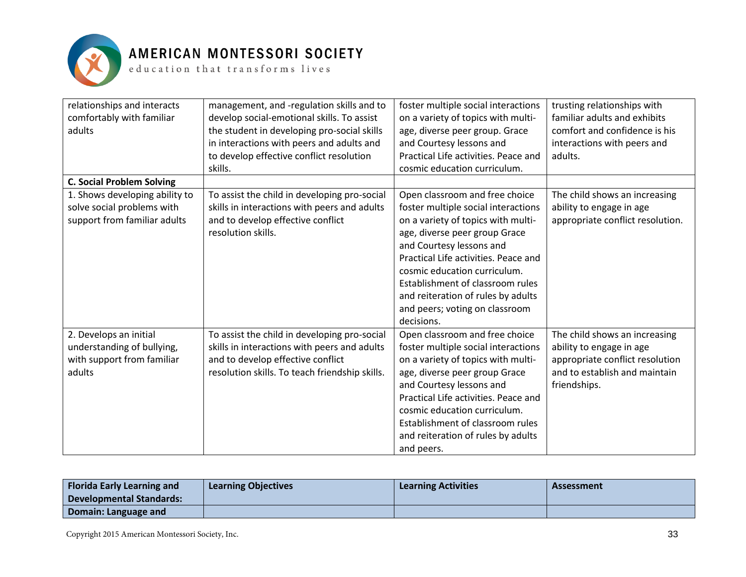

| relationships and interacts      | management, and -regulation skills and to      | foster multiple social interactions  | trusting relationships with      |
|----------------------------------|------------------------------------------------|--------------------------------------|----------------------------------|
| comfortably with familiar        | develop social-emotional skills. To assist     | on a variety of topics with multi-   | familiar adults and exhibits     |
| adults                           | the student in developing pro-social skills    | age, diverse peer group. Grace       | comfort and confidence is his    |
|                                  | in interactions with peers and adults and      | and Courtesy lessons and             | interactions with peers and      |
|                                  | to develop effective conflict resolution       | Practical Life activities. Peace and | adults.                          |
|                                  | skills.                                        | cosmic education curriculum.         |                                  |
| <b>C. Social Problem Solving</b> |                                                |                                      |                                  |
| 1. Shows developing ability to   | To assist the child in developing pro-social   | Open classroom and free choice       | The child shows an increasing    |
| solve social problems with       | skills in interactions with peers and adults   | foster multiple social interactions  | ability to engage in age         |
| support from familiar adults     | and to develop effective conflict              | on a variety of topics with multi-   | appropriate conflict resolution. |
|                                  | resolution skills.                             | age, diverse peer group Grace        |                                  |
|                                  |                                                | and Courtesy lessons and             |                                  |
|                                  |                                                | Practical Life activities. Peace and |                                  |
|                                  |                                                | cosmic education curriculum.         |                                  |
|                                  |                                                | Establishment of classroom rules     |                                  |
|                                  |                                                | and reiteration of rules by adults   |                                  |
|                                  |                                                | and peers; voting on classroom       |                                  |
|                                  |                                                | decisions.                           |                                  |
| 2. Develops an initial           | To assist the child in developing pro-social   | Open classroom and free choice       | The child shows an increasing    |
| understanding of bullying,       | skills in interactions with peers and adults   | foster multiple social interactions  | ability to engage in age         |
| with support from familiar       | and to develop effective conflict              | on a variety of topics with multi-   | appropriate conflict resolution  |
| adults                           | resolution skills. To teach friendship skills. | age, diverse peer group Grace        | and to establish and maintain    |
|                                  |                                                | and Courtesy lessons and             | friendships.                     |
|                                  |                                                | Practical Life activities. Peace and |                                  |
|                                  |                                                | cosmic education curriculum.         |                                  |
|                                  |                                                | Establishment of classroom rules     |                                  |
|                                  |                                                | and reiteration of rules by adults   |                                  |
|                                  |                                                | and peers.                           |                                  |

| <b>Florida Early Learning and</b><br>Developmental Standards: | <b>Learning Objectives</b> | <b>Learning Activities</b> | Assessment |
|---------------------------------------------------------------|----------------------------|----------------------------|------------|
| Domain: Language and                                          |                            |                            |            |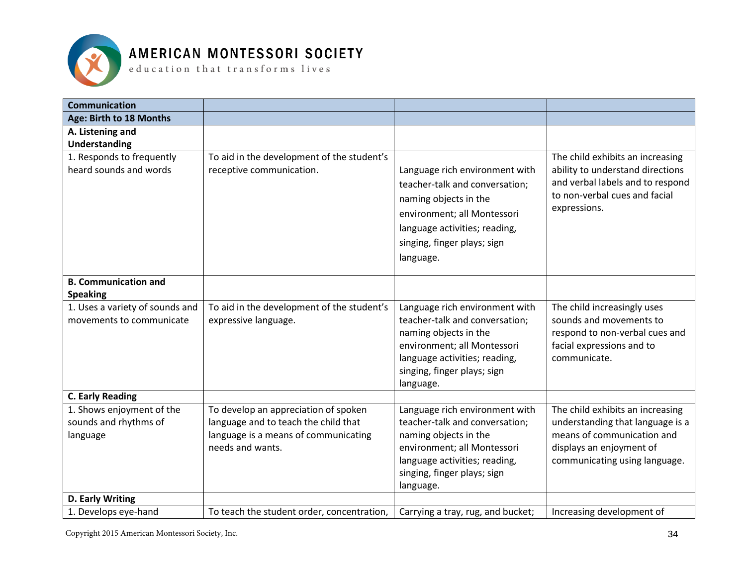

 ${\tt e}$  ducation that transforms lives

| <b>Communication</b>                                        |                                                                                                  |                                                                                                                                                                                                       |                                                                                                                                                           |
|-------------------------------------------------------------|--------------------------------------------------------------------------------------------------|-------------------------------------------------------------------------------------------------------------------------------------------------------------------------------------------------------|-----------------------------------------------------------------------------------------------------------------------------------------------------------|
| Age: Birth to 18 Months                                     |                                                                                                  |                                                                                                                                                                                                       |                                                                                                                                                           |
| A. Listening and<br><b>Understanding</b>                    |                                                                                                  |                                                                                                                                                                                                       |                                                                                                                                                           |
| 1. Responds to frequently<br>heard sounds and words         | To aid in the development of the student's<br>receptive communication.                           | Language rich environment with<br>teacher-talk and conversation;<br>naming objects in the<br>environment; all Montessori<br>language activities; reading,<br>singing, finger plays; sign<br>language. | The child exhibits an increasing<br>ability to understand directions<br>and verbal labels and to respond<br>to non-verbal cues and facial<br>expressions. |
| <b>B. Communication and</b><br><b>Speaking</b>              |                                                                                                  |                                                                                                                                                                                                       |                                                                                                                                                           |
| 1. Uses a variety of sounds and<br>movements to communicate | To aid in the development of the student's<br>expressive language.                               | Language rich environment with<br>teacher-talk and conversation;<br>naming objects in the<br>environment; all Montessori<br>language activities; reading,<br>singing, finger plays; sign<br>language. | The child increasingly uses<br>sounds and movements to<br>respond to non-verbal cues and<br>facial expressions and to<br>communicate.                     |
| <b>C. Early Reading</b><br>1. Shows enjoyment of the        | To develop an appreciation of spoken                                                             | Language rich environment with                                                                                                                                                                        | The child exhibits an increasing                                                                                                                          |
| sounds and rhythms of<br>language                           | language and to teach the child that<br>language is a means of communicating<br>needs and wants. | teacher-talk and conversation;<br>naming objects in the<br>environment; all Montessori<br>language activities; reading,<br>singing, finger plays; sign<br>language.                                   | understanding that language is a<br>means of communication and<br>displays an enjoyment of<br>communicating using language.                               |
| D. Early Writing                                            |                                                                                                  |                                                                                                                                                                                                       |                                                                                                                                                           |
| 1. Develops eye-hand                                        | To teach the student order, concentration,                                                       | Carrying a tray, rug, and bucket;                                                                                                                                                                     | Increasing development of                                                                                                                                 |

Copyright 2015 American Montessori Society, Inc.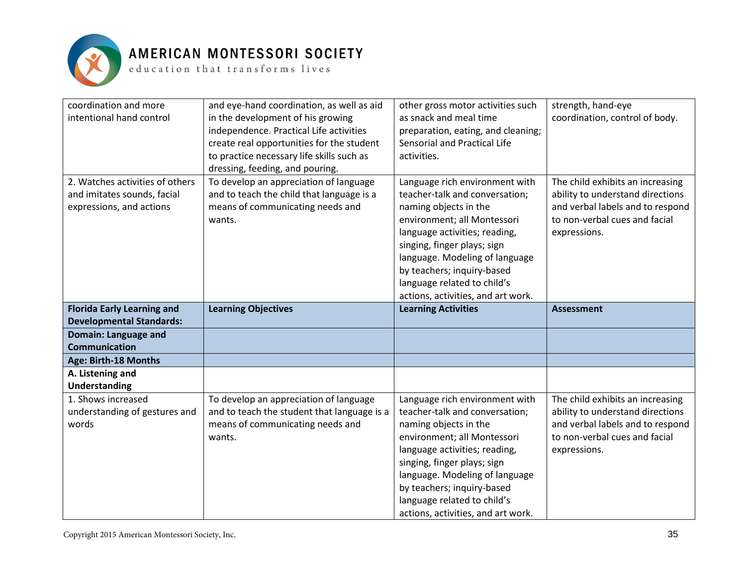

| coordination and more<br>intentional hand control                                          | and eye-hand coordination, as well as aid<br>in the development of his growing<br>independence. Practical Life activities<br>create real opportunities for the student<br>to practice necessary life skills such as<br>dressing, feeding, and pouring. | other gross motor activities such<br>as snack and meal time<br>preparation, eating, and cleaning;<br>Sensorial and Practical Life<br>activities. | strength, hand-eye<br>coordination, control of body.                                                     |
|--------------------------------------------------------------------------------------------|--------------------------------------------------------------------------------------------------------------------------------------------------------------------------------------------------------------------------------------------------------|--------------------------------------------------------------------------------------------------------------------------------------------------|----------------------------------------------------------------------------------------------------------|
| 2. Watches activities of others<br>and imitates sounds, facial<br>expressions, and actions | To develop an appreciation of language<br>and to teach the child that language is a<br>means of communicating needs and                                                                                                                                | Language rich environment with<br>teacher-talk and conversation;<br>naming objects in the                                                        | The child exhibits an increasing<br>ability to understand directions<br>and verbal labels and to respond |
|                                                                                            | wants.                                                                                                                                                                                                                                                 | environment; all Montessori<br>language activities; reading,<br>singing, finger plays; sign                                                      | to non-verbal cues and facial<br>expressions.                                                            |
|                                                                                            |                                                                                                                                                                                                                                                        | language. Modeling of language<br>by teachers; inquiry-based<br>language related to child's<br>actions, activities, and art work.                |                                                                                                          |
|                                                                                            |                                                                                                                                                                                                                                                        |                                                                                                                                                  |                                                                                                          |
|                                                                                            |                                                                                                                                                                                                                                                        |                                                                                                                                                  |                                                                                                          |
| <b>Florida Early Learning and</b>                                                          | <b>Learning Objectives</b>                                                                                                                                                                                                                             | <b>Learning Activities</b>                                                                                                                       | <b>Assessment</b>                                                                                        |
| <b>Developmental Standards:</b><br>Domain: Language and                                    |                                                                                                                                                                                                                                                        |                                                                                                                                                  |                                                                                                          |
| <b>Communication</b>                                                                       |                                                                                                                                                                                                                                                        |                                                                                                                                                  |                                                                                                          |
| Age: Birth-18 Months                                                                       |                                                                                                                                                                                                                                                        |                                                                                                                                                  |                                                                                                          |
| A. Listening and                                                                           |                                                                                                                                                                                                                                                        |                                                                                                                                                  |                                                                                                          |
| <b>Understanding</b>                                                                       |                                                                                                                                                                                                                                                        |                                                                                                                                                  |                                                                                                          |
| 1. Shows increased                                                                         | To develop an appreciation of language                                                                                                                                                                                                                 | Language rich environment with                                                                                                                   | The child exhibits an increasing                                                                         |
| understanding of gestures and                                                              | and to teach the student that language is a                                                                                                                                                                                                            | teacher-talk and conversation;                                                                                                                   | ability to understand directions                                                                         |
| words                                                                                      | means of communicating needs and                                                                                                                                                                                                                       | naming objects in the                                                                                                                            | and verbal labels and to respond                                                                         |
|                                                                                            | wants.                                                                                                                                                                                                                                                 | environment; all Montessori                                                                                                                      | to non-verbal cues and facial                                                                            |
|                                                                                            |                                                                                                                                                                                                                                                        | language activities; reading,                                                                                                                    | expressions.                                                                                             |
|                                                                                            |                                                                                                                                                                                                                                                        | singing, finger plays; sign                                                                                                                      |                                                                                                          |
|                                                                                            |                                                                                                                                                                                                                                                        | language. Modeling of language                                                                                                                   |                                                                                                          |
|                                                                                            |                                                                                                                                                                                                                                                        | by teachers; inquiry-based                                                                                                                       |                                                                                                          |
|                                                                                            |                                                                                                                                                                                                                                                        | language related to child's<br>actions, activities, and art work.                                                                                |                                                                                                          |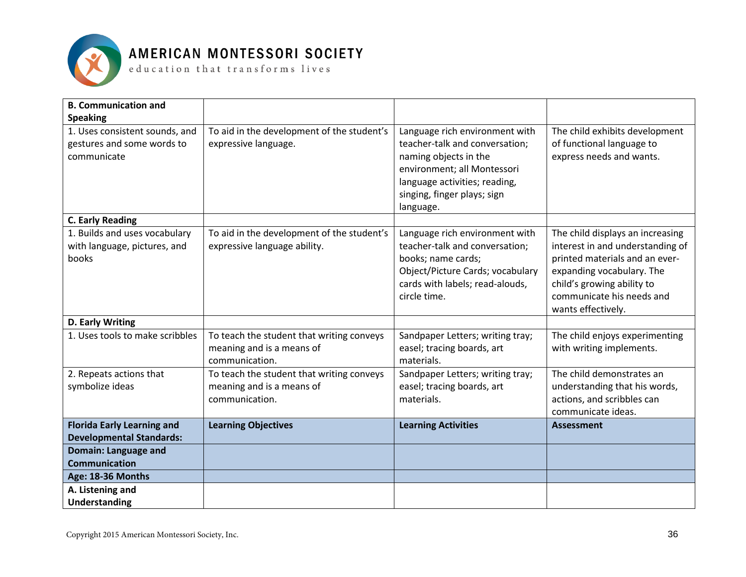

| <b>B. Communication and</b>                                                 |                                                                                          |                                                                                                                                                                                          |                                                                                                                                                                                                                      |
|-----------------------------------------------------------------------------|------------------------------------------------------------------------------------------|------------------------------------------------------------------------------------------------------------------------------------------------------------------------------------------|----------------------------------------------------------------------------------------------------------------------------------------------------------------------------------------------------------------------|
| <b>Speaking</b>                                                             |                                                                                          |                                                                                                                                                                                          |                                                                                                                                                                                                                      |
| 1. Uses consistent sounds, and<br>gestures and some words to<br>communicate | To aid in the development of the student's<br>expressive language.                       | Language rich environment with<br>teacher-talk and conversation;<br>naming objects in the<br>environment; all Montessori<br>language activities; reading,<br>singing, finger plays; sign | The child exhibits development<br>of functional language to<br>express needs and wants.                                                                                                                              |
|                                                                             |                                                                                          | language.                                                                                                                                                                                |                                                                                                                                                                                                                      |
| <b>C. Early Reading</b>                                                     |                                                                                          |                                                                                                                                                                                          |                                                                                                                                                                                                                      |
| 1. Builds and uses vocabulary<br>with language, pictures, and<br>books      | To aid in the development of the student's<br>expressive language ability.               | Language rich environment with<br>teacher-talk and conversation;<br>books; name cards;<br>Object/Picture Cards; vocabulary<br>cards with labels; read-alouds,<br>circle time.            | The child displays an increasing<br>interest in and understanding of<br>printed materials and an ever-<br>expanding vocabulary. The<br>child's growing ability to<br>communicate his needs and<br>wants effectively. |
| D. Early Writing                                                            |                                                                                          |                                                                                                                                                                                          |                                                                                                                                                                                                                      |
| 1. Uses tools to make scribbles                                             | To teach the student that writing conveys<br>meaning and is a means of<br>communication. | Sandpaper Letters; writing tray;<br>easel; tracing boards, art<br>materials.                                                                                                             | The child enjoys experimenting<br>with writing implements.                                                                                                                                                           |
| 2. Repeats actions that                                                     | To teach the student that writing conveys                                                | Sandpaper Letters; writing tray;                                                                                                                                                         | The child demonstrates an                                                                                                                                                                                            |
| symbolize ideas                                                             | meaning and is a means of                                                                | easel; tracing boards, art                                                                                                                                                               | understanding that his words,                                                                                                                                                                                        |
|                                                                             | communication.                                                                           | materials.                                                                                                                                                                               | actions, and scribbles can                                                                                                                                                                                           |
|                                                                             |                                                                                          |                                                                                                                                                                                          | communicate ideas.                                                                                                                                                                                                   |
| <b>Florida Early Learning and</b><br><b>Developmental Standards:</b>        | <b>Learning Objectives</b>                                                               | <b>Learning Activities</b>                                                                                                                                                               | <b>Assessment</b>                                                                                                                                                                                                    |
| <b>Domain: Language and</b>                                                 |                                                                                          |                                                                                                                                                                                          |                                                                                                                                                                                                                      |
| <b>Communication</b>                                                        |                                                                                          |                                                                                                                                                                                          |                                                                                                                                                                                                                      |
| Age: 18-36 Months                                                           |                                                                                          |                                                                                                                                                                                          |                                                                                                                                                                                                                      |
| A. Listening and                                                            |                                                                                          |                                                                                                                                                                                          |                                                                                                                                                                                                                      |
| Understanding                                                               |                                                                                          |                                                                                                                                                                                          |                                                                                                                                                                                                                      |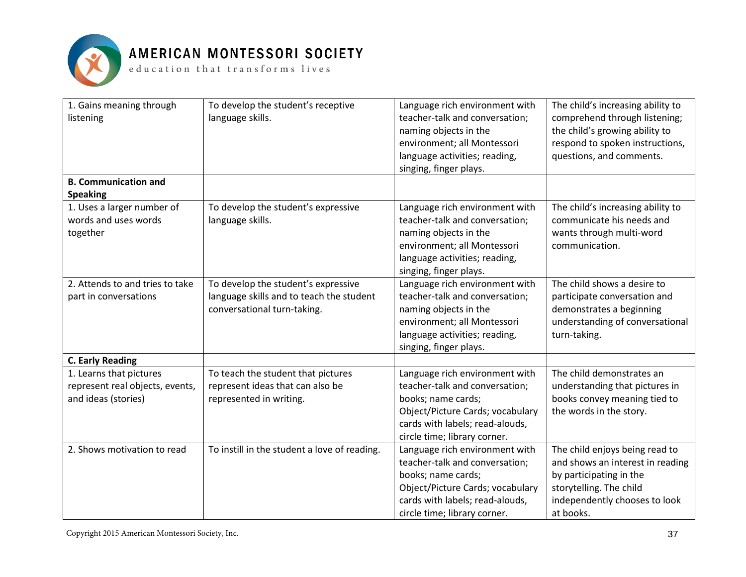

| 1. Gains meaning through<br>listening                                             | To develop the student's receptive<br>language skills.                                                         | Language rich environment with<br>teacher-talk and conversation;<br>naming objects in the<br>environment; all Montessori<br>language activities; reading,<br>singing, finger plays.           | The child's increasing ability to<br>comprehend through listening;<br>the child's growing ability to<br>respond to spoken instructions,<br>questions, and comments.    |
|-----------------------------------------------------------------------------------|----------------------------------------------------------------------------------------------------------------|-----------------------------------------------------------------------------------------------------------------------------------------------------------------------------------------------|------------------------------------------------------------------------------------------------------------------------------------------------------------------------|
| <b>B. Communication and</b><br><b>Speaking</b>                                    |                                                                                                                |                                                                                                                                                                                               |                                                                                                                                                                        |
| 1. Uses a larger number of<br>words and uses words<br>together                    | To develop the student's expressive<br>language skills.                                                        | Language rich environment with<br>teacher-talk and conversation;<br>naming objects in the<br>environment; all Montessori<br>language activities; reading,<br>singing, finger plays.           | The child's increasing ability to<br>communicate his needs and<br>wants through multi-word<br>communication.                                                           |
| 2. Attends to and tries to take<br>part in conversations                          | To develop the student's expressive<br>language skills and to teach the student<br>conversational turn-taking. | Language rich environment with<br>teacher-talk and conversation;<br>naming objects in the<br>environment; all Montessori<br>language activities; reading,<br>singing, finger plays.           | The child shows a desire to<br>participate conversation and<br>demonstrates a beginning<br>understanding of conversational<br>turn-taking.                             |
| <b>C. Early Reading</b>                                                           |                                                                                                                |                                                                                                                                                                                               |                                                                                                                                                                        |
| 1. Learns that pictures<br>represent real objects, events,<br>and ideas (stories) | To teach the student that pictures<br>represent ideas that can also be<br>represented in writing.              | Language rich environment with<br>teacher-talk and conversation;<br>books; name cards;<br>Object/Picture Cards; vocabulary<br>cards with labels; read-alouds,<br>circle time; library corner. | The child demonstrates an<br>understanding that pictures in<br>books convey meaning tied to<br>the words in the story.                                                 |
| 2. Shows motivation to read                                                       | To instill in the student a love of reading.                                                                   | Language rich environment with<br>teacher-talk and conversation;<br>books; name cards;<br>Object/Picture Cards; vocabulary<br>cards with labels; read-alouds,<br>circle time; library corner. | The child enjoys being read to<br>and shows an interest in reading<br>by participating in the<br>storytelling. The child<br>independently chooses to look<br>at books. |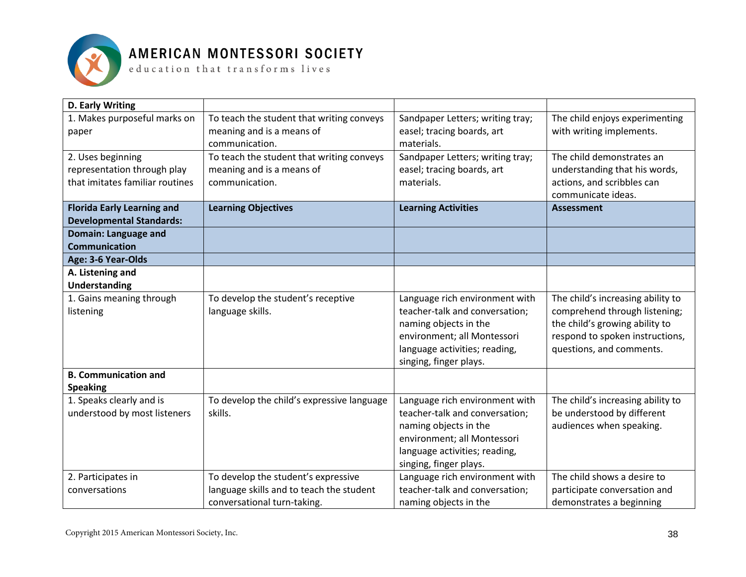

| D. Early Writing                             |                                            |                                  |                                   |
|----------------------------------------------|--------------------------------------------|----------------------------------|-----------------------------------|
| 1. Makes purposeful marks on                 | To teach the student that writing conveys  | Sandpaper Letters; writing tray; | The child enjoys experimenting    |
| paper                                        | meaning and is a means of                  | easel; tracing boards, art       | with writing implements.          |
|                                              | communication.                             | materials.                       |                                   |
| 2. Uses beginning                            | To teach the student that writing conveys  | Sandpaper Letters; writing tray; | The child demonstrates an         |
| representation through play                  | meaning and is a means of                  | easel; tracing boards, art       | understanding that his words,     |
| that imitates familiar routines              | communication.                             | materials.                       | actions, and scribbles can        |
|                                              |                                            |                                  | communicate ideas.                |
| <b>Florida Early Learning and</b>            | <b>Learning Objectives</b>                 | <b>Learning Activities</b>       | <b>Assessment</b>                 |
| <b>Developmental Standards:</b>              |                                            |                                  |                                   |
| Domain: Language and<br><b>Communication</b> |                                            |                                  |                                   |
| Age: 3-6 Year-Olds                           |                                            |                                  |                                   |
| A. Listening and                             |                                            |                                  |                                   |
| <b>Understanding</b>                         |                                            |                                  |                                   |
| 1. Gains meaning through                     | To develop the student's receptive         | Language rich environment with   | The child's increasing ability to |
| listening                                    | language skills.                           | teacher-talk and conversation;   | comprehend through listening;     |
|                                              |                                            | naming objects in the            | the child's growing ability to    |
|                                              |                                            | environment; all Montessori      | respond to spoken instructions,   |
|                                              |                                            | language activities; reading,    | questions, and comments.          |
|                                              |                                            | singing, finger plays.           |                                   |
| <b>B. Communication and</b>                  |                                            |                                  |                                   |
| <b>Speaking</b>                              |                                            |                                  |                                   |
| 1. Speaks clearly and is                     | To develop the child's expressive language | Language rich environment with   | The child's increasing ability to |
| understood by most listeners                 | skills.                                    | teacher-talk and conversation;   | be understood by different        |
|                                              |                                            | naming objects in the            | audiences when speaking.          |
|                                              |                                            | environment; all Montessori      |                                   |
|                                              |                                            | language activities; reading,    |                                   |
|                                              |                                            | singing, finger plays.           |                                   |
| 2. Participates in                           | To develop the student's expressive        | Language rich environment with   | The child shows a desire to       |
| conversations                                | language skills and to teach the student   | teacher-talk and conversation;   | participate conversation and      |
|                                              | conversational turn-taking.                | naming objects in the            | demonstrates a beginning          |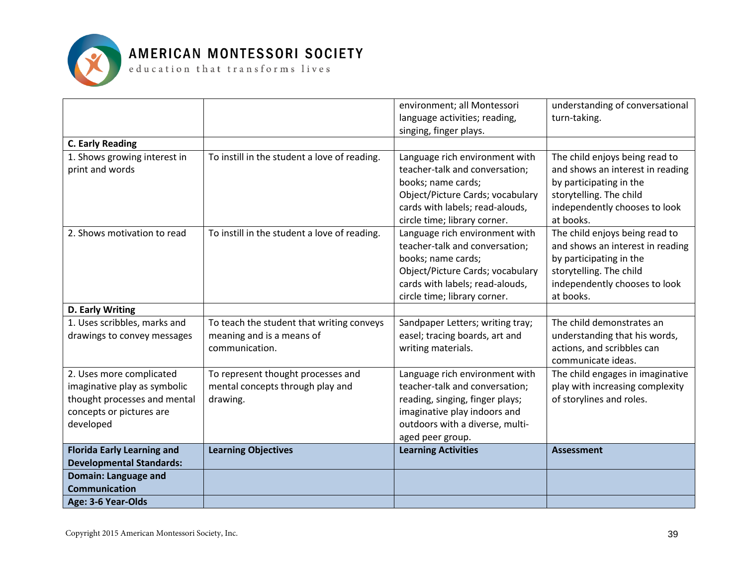

|                                   |                                              | environment; all Montessori                             | understanding of conversational  |
|-----------------------------------|----------------------------------------------|---------------------------------------------------------|----------------------------------|
|                                   |                                              | language activities; reading,<br>singing, finger plays. | turn-taking.                     |
| <b>C. Early Reading</b>           |                                              |                                                         |                                  |
| 1. Shows growing interest in      | To instill in the student a love of reading. | Language rich environment with                          | The child enjoys being read to   |
| print and words                   |                                              | teacher-talk and conversation;                          | and shows an interest in reading |
|                                   |                                              | books; name cards;                                      | by participating in the          |
|                                   |                                              | Object/Picture Cards; vocabulary                        | storytelling. The child          |
|                                   |                                              | cards with labels; read-alouds,                         | independently chooses to look    |
|                                   |                                              | circle time; library corner.                            | at books.                        |
| 2. Shows motivation to read       | To instill in the student a love of reading. | Language rich environment with                          | The child enjoys being read to   |
|                                   |                                              | teacher-talk and conversation;                          | and shows an interest in reading |
|                                   |                                              | books; name cards;                                      | by participating in the          |
|                                   |                                              | Object/Picture Cards; vocabulary                        | storytelling. The child          |
|                                   |                                              | cards with labels; read-alouds,                         | independently chooses to look    |
|                                   |                                              | circle time; library corner.                            | at books.                        |
| D. Early Writing                  |                                              |                                                         |                                  |
| 1. Uses scribbles, marks and      | To teach the student that writing conveys    | Sandpaper Letters; writing tray;                        | The child demonstrates an        |
| drawings to convey messages       | meaning and is a means of                    | easel; tracing boards, art and                          | understanding that his words,    |
|                                   | communication.                               | writing materials.                                      | actions, and scribbles can       |
|                                   |                                              |                                                         | communicate ideas.               |
| 2. Uses more complicated          | To represent thought processes and           | Language rich environment with                          | The child engages in imaginative |
| imaginative play as symbolic      | mental concepts through play and             | teacher-talk and conversation;                          | play with increasing complexity  |
| thought processes and mental      | drawing.                                     | reading, singing, finger plays;                         | of storylines and roles.         |
| concepts or pictures are          |                                              | imaginative play indoors and                            |                                  |
| developed                         |                                              | outdoors with a diverse, multi-                         |                                  |
| <b>Florida Early Learning and</b> | <b>Learning Objectives</b>                   | aged peer group.<br><b>Learning Activities</b>          | <b>Assessment</b>                |
| <b>Developmental Standards:</b>   |                                              |                                                         |                                  |
| <b>Domain: Language and</b>       |                                              |                                                         |                                  |
| <b>Communication</b>              |                                              |                                                         |                                  |
| Age: 3-6 Year-Olds                |                                              |                                                         |                                  |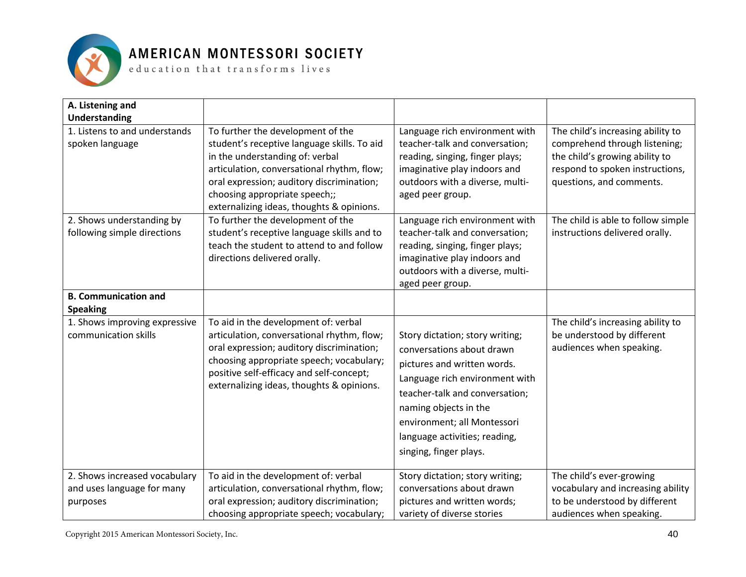

| A. Listening and                                         |                                                                                                                                                                                                                                                                                              |                                                                                                                                                                                                                                                                                    |                                                                                                                                                                     |
|----------------------------------------------------------|----------------------------------------------------------------------------------------------------------------------------------------------------------------------------------------------------------------------------------------------------------------------------------------------|------------------------------------------------------------------------------------------------------------------------------------------------------------------------------------------------------------------------------------------------------------------------------------|---------------------------------------------------------------------------------------------------------------------------------------------------------------------|
| <b>Understanding</b>                                     |                                                                                                                                                                                                                                                                                              |                                                                                                                                                                                                                                                                                    |                                                                                                                                                                     |
| 1. Listens to and understands<br>spoken language         | To further the development of the<br>student's receptive language skills. To aid<br>in the understanding of: verbal<br>articulation, conversational rhythm, flow;<br>oral expression; auditory discrimination;<br>choosing appropriate speech;;<br>externalizing ideas, thoughts & opinions. | Language rich environment with<br>teacher-talk and conversation;<br>reading, singing, finger plays;<br>imaginative play indoors and<br>outdoors with a diverse, multi-<br>aged peer group.                                                                                         | The child's increasing ability to<br>comprehend through listening;<br>the child's growing ability to<br>respond to spoken instructions,<br>questions, and comments. |
| 2. Shows understanding by<br>following simple directions | To further the development of the<br>student's receptive language skills and to<br>teach the student to attend to and follow<br>directions delivered orally.                                                                                                                                 | Language rich environment with<br>teacher-talk and conversation;<br>reading, singing, finger plays;<br>imaginative play indoors and<br>outdoors with a diverse, multi-<br>aged peer group.                                                                                         | The child is able to follow simple<br>instructions delivered orally.                                                                                                |
| <b>B. Communication and</b><br><b>Speaking</b>           |                                                                                                                                                                                                                                                                                              |                                                                                                                                                                                                                                                                                    |                                                                                                                                                                     |
| 1. Shows improving expressive<br>communication skills    | To aid in the development of: verbal<br>articulation, conversational rhythm, flow;<br>oral expression; auditory discrimination;<br>choosing appropriate speech; vocabulary;<br>positive self-efficacy and self-concept;<br>externalizing ideas, thoughts & opinions.                         | Story dictation; story writing;<br>conversations about drawn<br>pictures and written words.<br>Language rich environment with<br>teacher-talk and conversation;<br>naming objects in the<br>environment; all Montessori<br>language activities; reading,<br>singing, finger plays. | The child's increasing ability to<br>be understood by different<br>audiences when speaking.                                                                         |
| 2. Shows increased vocabulary                            | To aid in the development of: verbal                                                                                                                                                                                                                                                         | Story dictation; story writing;                                                                                                                                                                                                                                                    | The child's ever-growing                                                                                                                                            |
| and uses language for many                               | articulation, conversational rhythm, flow;                                                                                                                                                                                                                                                   | conversations about drawn                                                                                                                                                                                                                                                          | vocabulary and increasing ability                                                                                                                                   |
| purposes                                                 | oral expression; auditory discrimination;<br>choosing appropriate speech; vocabulary;                                                                                                                                                                                                        | pictures and written words;<br>variety of diverse stories                                                                                                                                                                                                                          | to be understood by different<br>audiences when speaking.                                                                                                           |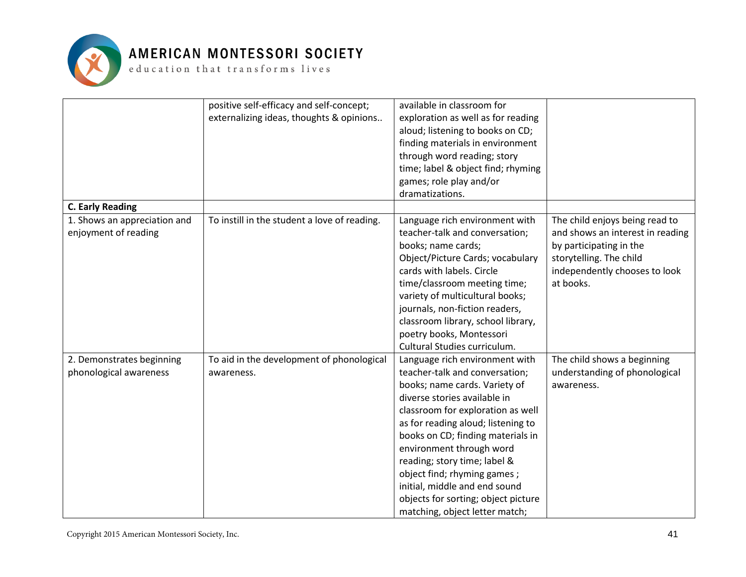

|                                                      | positive self-efficacy and self-concept;<br>externalizing ideas, thoughts & opinions | available in classroom for<br>exploration as well as for reading<br>aloud; listening to books on CD;<br>finding materials in environment<br>through word reading; story<br>time; label & object find; rhyming<br>games; role play and/or<br>dramatizations.                                                                                                                                                                                            |                                                                                                                                                                        |
|------------------------------------------------------|--------------------------------------------------------------------------------------|--------------------------------------------------------------------------------------------------------------------------------------------------------------------------------------------------------------------------------------------------------------------------------------------------------------------------------------------------------------------------------------------------------------------------------------------------------|------------------------------------------------------------------------------------------------------------------------------------------------------------------------|
| <b>C. Early Reading</b>                              |                                                                                      |                                                                                                                                                                                                                                                                                                                                                                                                                                                        |                                                                                                                                                                        |
| 1. Shows an appreciation and<br>enjoyment of reading | To instill in the student a love of reading.                                         | Language rich environment with<br>teacher-talk and conversation;<br>books; name cards;<br>Object/Picture Cards; vocabulary<br>cards with labels. Circle<br>time/classroom meeting time;<br>variety of multicultural books;<br>journals, non-fiction readers,<br>classroom library, school library,<br>poetry books, Montessori<br>Cultural Studies curriculum.                                                                                         | The child enjoys being read to<br>and shows an interest in reading<br>by participating in the<br>storytelling. The child<br>independently chooses to look<br>at books. |
| 2. Demonstrates beginning<br>phonological awareness  | To aid in the development of phonological<br>awareness.                              | Language rich environment with<br>teacher-talk and conversation;<br>books; name cards. Variety of<br>diverse stories available in<br>classroom for exploration as well<br>as for reading aloud; listening to<br>books on CD; finding materials in<br>environment through word<br>reading; story time; label &<br>object find; rhyming games;<br>initial, middle and end sound<br>objects for sorting; object picture<br>matching, object letter match; | The child shows a beginning<br>understanding of phonological<br>awareness.                                                                                             |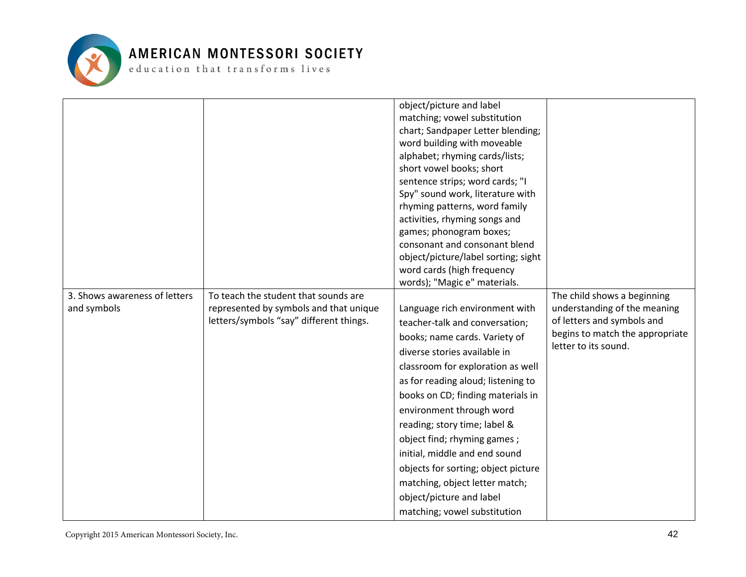

| 3. Shows awareness of letters<br>and symbols | To teach the student that sounds are<br>represented by symbols and that unique<br>letters/symbols "say" different things. | object/picture and label<br>matching; vowel substitution<br>chart; Sandpaper Letter blending;<br>word building with moveable<br>alphabet; rhyming cards/lists;<br>short vowel books; short<br>sentence strips; word cards; "I<br>Spy" sound work, literature with<br>rhyming patterns, word family<br>activities, rhyming songs and<br>games; phonogram boxes;<br>consonant and consonant blend<br>object/picture/label sorting; sight<br>word cards (high frequency<br>words); "Magic e" materials.<br>Language rich environment with<br>teacher-talk and conversation;<br>books; name cards. Variety of<br>diverse stories available in<br>classroom for exploration as well<br>as for reading aloud; listening to<br>books on CD; finding materials in<br>environment through word<br>reading; story time; label &<br>object find; rhyming games;<br>initial, middle and end sound | The child shows a beginning<br>understanding of the meaning<br>of letters and symbols and<br>begins to match the appropriate<br>letter to its sound. |
|----------------------------------------------|---------------------------------------------------------------------------------------------------------------------------|---------------------------------------------------------------------------------------------------------------------------------------------------------------------------------------------------------------------------------------------------------------------------------------------------------------------------------------------------------------------------------------------------------------------------------------------------------------------------------------------------------------------------------------------------------------------------------------------------------------------------------------------------------------------------------------------------------------------------------------------------------------------------------------------------------------------------------------------------------------------------------------|------------------------------------------------------------------------------------------------------------------------------------------------------|
|                                              |                                                                                                                           | objects for sorting; object picture                                                                                                                                                                                                                                                                                                                                                                                                                                                                                                                                                                                                                                                                                                                                                                                                                                                   |                                                                                                                                                      |
|                                              |                                                                                                                           | matching, object letter match;<br>object/picture and label<br>matching; vowel substitution                                                                                                                                                                                                                                                                                                                                                                                                                                                                                                                                                                                                                                                                                                                                                                                            |                                                                                                                                                      |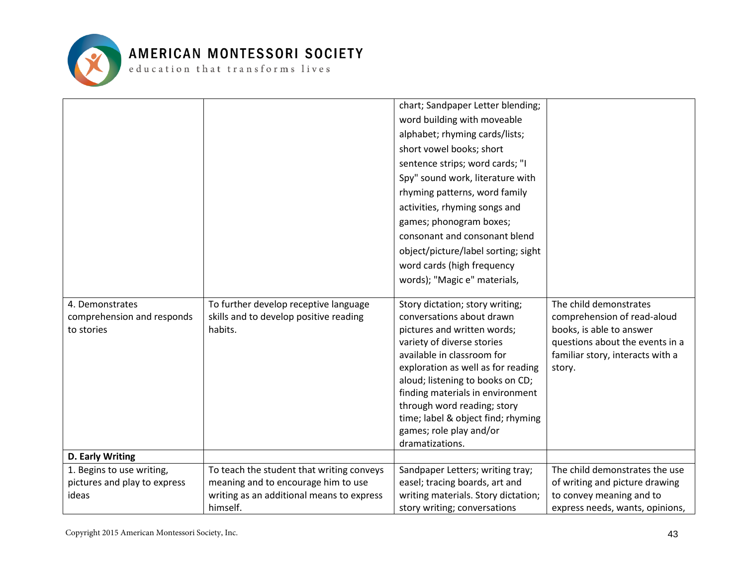

|                              |                                           | chart; Sandpaper Letter blending;                                      |                                  |
|------------------------------|-------------------------------------------|------------------------------------------------------------------------|----------------------------------|
|                              |                                           | word building with moveable                                            |                                  |
|                              |                                           | alphabet; rhyming cards/lists;                                         |                                  |
|                              |                                           | short vowel books; short                                               |                                  |
|                              |                                           | sentence strips; word cards; "I                                        |                                  |
|                              |                                           | Spy" sound work, literature with                                       |                                  |
|                              |                                           | rhyming patterns, word family                                          |                                  |
|                              |                                           | activities, rhyming songs and                                          |                                  |
|                              |                                           | games; phonogram boxes;                                                |                                  |
|                              |                                           | consonant and consonant blend                                          |                                  |
|                              |                                           | object/picture/label sorting; sight                                    |                                  |
|                              |                                           | word cards (high frequency                                             |                                  |
|                              |                                           | words); "Magic e" materials,                                           |                                  |
|                              |                                           |                                                                        |                                  |
| 4. Demonstrates              | To further develop receptive language     | Story dictation; story writing;                                        | The child demonstrates           |
| comprehension and responds   | skills and to develop positive reading    | conversations about drawn                                              | comprehension of read-aloud      |
| to stories                   | habits.                                   | pictures and written words;                                            | books, is able to answer         |
|                              |                                           | variety of diverse stories                                             | questions about the events in a  |
|                              |                                           | available in classroom for                                             | familiar story, interacts with a |
|                              |                                           | exploration as well as for reading<br>aloud; listening to books on CD; | story.                           |
|                              |                                           | finding materials in environment                                       |                                  |
|                              |                                           | through word reading; story                                            |                                  |
|                              |                                           | time; label & object find; rhyming                                     |                                  |
|                              |                                           | games; role play and/or                                                |                                  |
|                              |                                           | dramatizations.                                                        |                                  |
| D. Early Writing             |                                           |                                                                        |                                  |
| 1. Begins to use writing,    | To teach the student that writing conveys | Sandpaper Letters; writing tray;                                       | The child demonstrates the use   |
| pictures and play to express | meaning and to encourage him to use       | easel; tracing boards, art and                                         | of writing and picture drawing   |
| ideas                        | writing as an additional means to express | writing materials. Story dictation;                                    | to convey meaning and to         |
|                              | himself.                                  | story writing; conversations                                           | express needs, wants, opinions,  |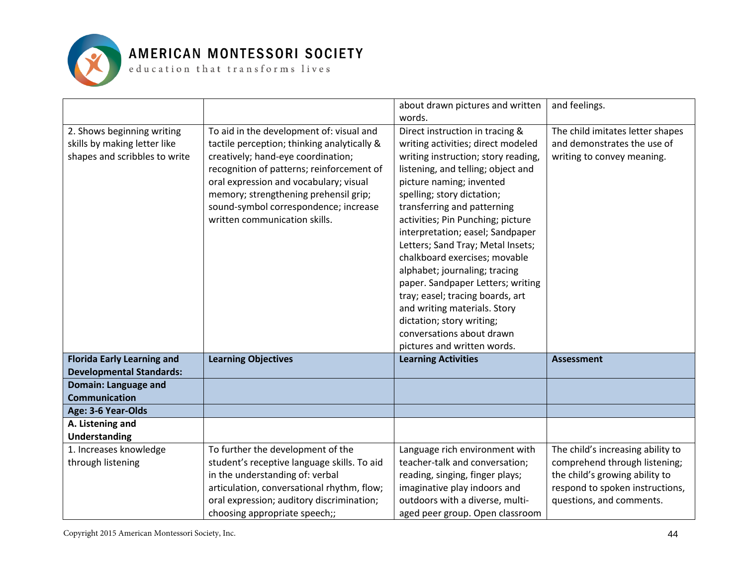

|                                   |                                             | about drawn pictures and written    | and feelings.                     |
|-----------------------------------|---------------------------------------------|-------------------------------------|-----------------------------------|
|                                   |                                             | words.                              |                                   |
| 2. Shows beginning writing        | To aid in the development of: visual and    | Direct instruction in tracing &     | The child imitates letter shapes  |
| skills by making letter like      | tactile perception; thinking analytically & | writing activities; direct modeled  | and demonstrates the use of       |
| shapes and scribbles to write     | creatively; hand-eye coordination;          | writing instruction; story reading, | writing to convey meaning.        |
|                                   | recognition of patterns; reinforcement of   | listening, and telling; object and  |                                   |
|                                   | oral expression and vocabulary; visual      | picture naming; invented            |                                   |
|                                   | memory; strengthening prehensil grip;       | spelling; story dictation;          |                                   |
|                                   | sound-symbol correspondence; increase       | transferring and patterning         |                                   |
|                                   | written communication skills.               | activities; Pin Punching; picture   |                                   |
|                                   |                                             | interpretation; easel; Sandpaper    |                                   |
|                                   |                                             | Letters; Sand Tray; Metal Insets;   |                                   |
|                                   |                                             | chalkboard exercises; movable       |                                   |
|                                   |                                             | alphabet; journaling; tracing       |                                   |
|                                   |                                             | paper. Sandpaper Letters; writing   |                                   |
|                                   |                                             | tray; easel; tracing boards, art    |                                   |
|                                   |                                             | and writing materials. Story        |                                   |
|                                   |                                             | dictation; story writing;           |                                   |
|                                   |                                             | conversations about drawn           |                                   |
|                                   |                                             | pictures and written words.         |                                   |
|                                   |                                             | <b>Learning Activities</b>          |                                   |
| <b>Florida Early Learning and</b> | <b>Learning Objectives</b>                  |                                     | <b>Assessment</b>                 |
| <b>Developmental Standards:</b>   |                                             |                                     |                                   |
| Domain: Language and              |                                             |                                     |                                   |
| <b>Communication</b>              |                                             |                                     |                                   |
| Age: 3-6 Year-Olds                |                                             |                                     |                                   |
| A. Listening and                  |                                             |                                     |                                   |
| <b>Understanding</b>              |                                             |                                     |                                   |
| 1. Increases knowledge            | To further the development of the           | Language rich environment with      | The child's increasing ability to |
| through listening                 | student's receptive language skills. To aid | teacher-talk and conversation;      | comprehend through listening;     |
|                                   | in the understanding of: verbal             | reading, singing, finger plays;     | the child's growing ability to    |
|                                   | articulation, conversational rhythm, flow;  | imaginative play indoors and        | respond to spoken instructions,   |
|                                   | oral expression; auditory discrimination;   | outdoors with a diverse, multi-     | questions, and comments.          |
|                                   | choosing appropriate speech;;               | aged peer group. Open classroom     |                                   |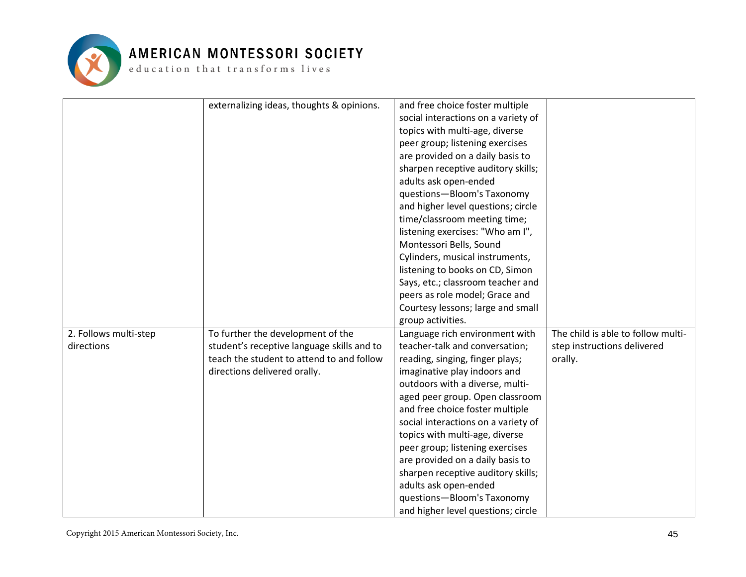

#### AMERICAN MONTESSORI SOCIETY

 ${\tt e}$  ducation that  ${\tt trains}$  forms lives

|                       | externalizing ideas, thoughts & opinions.  | and free choice foster multiple     |                                    |
|-----------------------|--------------------------------------------|-------------------------------------|------------------------------------|
|                       |                                            | social interactions on a variety of |                                    |
|                       |                                            | topics with multi-age, diverse      |                                    |
|                       |                                            | peer group; listening exercises     |                                    |
|                       |                                            | are provided on a daily basis to    |                                    |
|                       |                                            | sharpen receptive auditory skills;  |                                    |
|                       |                                            | adults ask open-ended               |                                    |
|                       |                                            | questions-Bloom's Taxonomy          |                                    |
|                       |                                            | and higher level questions; circle  |                                    |
|                       |                                            | time/classroom meeting time;        |                                    |
|                       |                                            | listening exercises: "Who am I",    |                                    |
|                       |                                            | Montessori Bells, Sound             |                                    |
|                       |                                            | Cylinders, musical instruments,     |                                    |
|                       |                                            | listening to books on CD, Simon     |                                    |
|                       |                                            | Says, etc.; classroom teacher and   |                                    |
|                       |                                            | peers as role model; Grace and      |                                    |
|                       |                                            | Courtesy lessons; large and small   |                                    |
|                       |                                            | group activities.                   |                                    |
| 2. Follows multi-step | To further the development of the          | Language rich environment with      | The child is able to follow multi- |
| directions            | student's receptive language skills and to | teacher-talk and conversation;      | step instructions delivered        |
|                       | teach the student to attend to and follow  | reading, singing, finger plays;     | orally.                            |
|                       | directions delivered orally.               | imaginative play indoors and        |                                    |
|                       |                                            | outdoors with a diverse, multi-     |                                    |
|                       |                                            | aged peer group. Open classroom     |                                    |
|                       |                                            | and free choice foster multiple     |                                    |
|                       |                                            | social interactions on a variety of |                                    |
|                       |                                            | topics with multi-age, diverse      |                                    |
|                       |                                            | peer group; listening exercises     |                                    |
|                       |                                            | are provided on a daily basis to    |                                    |
|                       |                                            | sharpen receptive auditory skills;  |                                    |
|                       |                                            | adults ask open-ended               |                                    |
|                       |                                            | questions-Bloom's Taxonomy          |                                    |
|                       |                                            | and higher level questions; circle  |                                    |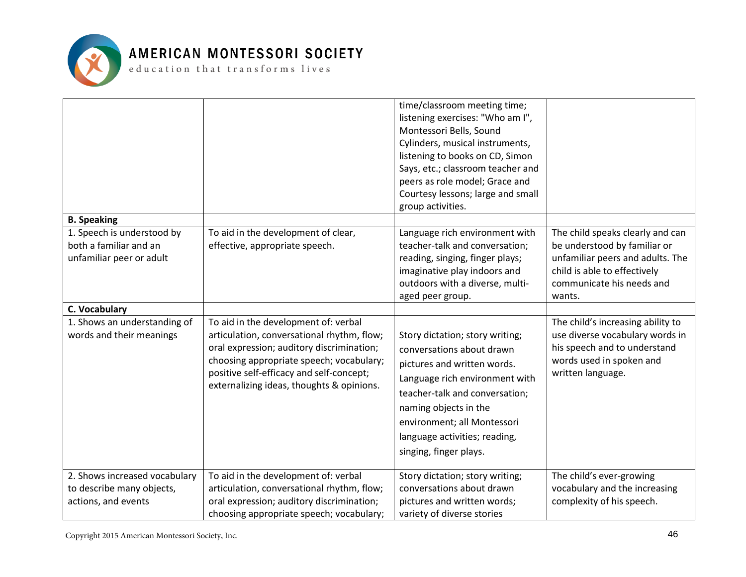

|                                                                                                        |                                                                                                                                                                                                                                                                      | time/classroom meeting time;<br>listening exercises: "Who am I",<br>Montessori Bells, Sound<br>Cylinders, musical instruments,<br>listening to books on CD, Simon<br>Says, etc.; classroom teacher and<br>peers as role model; Grace and<br>Courtesy lessons; large and small<br>group activities. |                                                                                                                                                                             |
|--------------------------------------------------------------------------------------------------------|----------------------------------------------------------------------------------------------------------------------------------------------------------------------------------------------------------------------------------------------------------------------|----------------------------------------------------------------------------------------------------------------------------------------------------------------------------------------------------------------------------------------------------------------------------------------------------|-----------------------------------------------------------------------------------------------------------------------------------------------------------------------------|
| <b>B.</b> Speaking<br>1. Speech is understood by<br>both a familiar and an<br>unfamiliar peer or adult | To aid in the development of clear,<br>effective, appropriate speech.                                                                                                                                                                                                | Language rich environment with<br>teacher-talk and conversation;<br>reading, singing, finger plays;<br>imaginative play indoors and<br>outdoors with a diverse, multi-<br>aged peer group.                                                                                                         | The child speaks clearly and can<br>be understood by familiar or<br>unfamiliar peers and adults. The<br>child is able to effectively<br>communicate his needs and<br>wants. |
| C. Vocabulary<br>1. Shows an understanding of<br>words and their meanings                              | To aid in the development of: verbal<br>articulation, conversational rhythm, flow;<br>oral expression; auditory discrimination;<br>choosing appropriate speech; vocabulary;<br>positive self-efficacy and self-concept;<br>externalizing ideas, thoughts & opinions. | Story dictation; story writing;<br>conversations about drawn<br>pictures and written words.<br>Language rich environment with<br>teacher-talk and conversation;<br>naming objects in the<br>environment; all Montessori<br>language activities; reading,<br>singing, finger plays.                 | The child's increasing ability to<br>use diverse vocabulary words in<br>his speech and to understand<br>words used in spoken and<br>written language.                       |
| 2. Shows increased vocabulary<br>to describe many objects,<br>actions, and events                      | To aid in the development of: verbal<br>articulation, conversational rhythm, flow;<br>oral expression; auditory discrimination;<br>choosing appropriate speech; vocabulary;                                                                                          | Story dictation; story writing;<br>conversations about drawn<br>pictures and written words;<br>variety of diverse stories                                                                                                                                                                          | The child's ever-growing<br>vocabulary and the increasing<br>complexity of his speech.                                                                                      |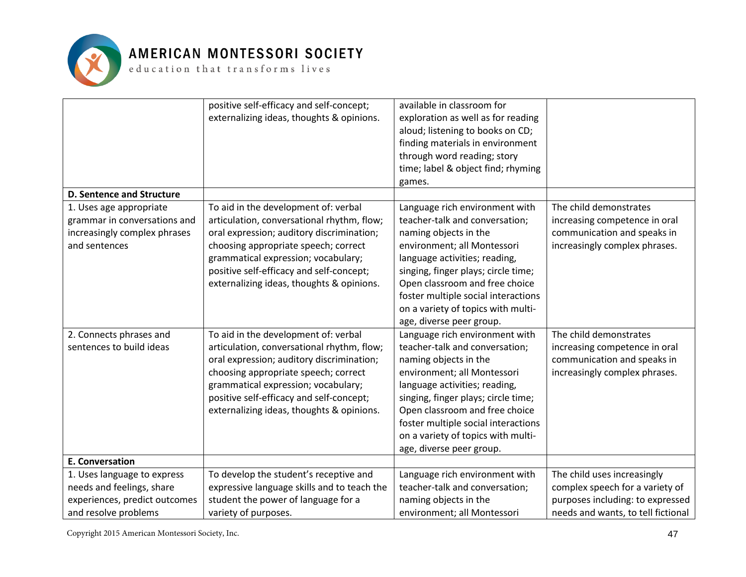

|                                  | positive self-efficacy and self-concept;    | available in classroom for          |                                    |
|----------------------------------|---------------------------------------------|-------------------------------------|------------------------------------|
|                                  | externalizing ideas, thoughts & opinions.   | exploration as well as for reading  |                                    |
|                                  |                                             | aloud; listening to books on CD;    |                                    |
|                                  |                                             | finding materials in environment    |                                    |
|                                  |                                             | through word reading; story         |                                    |
|                                  |                                             | time; label & object find; rhyming  |                                    |
|                                  |                                             | games.                              |                                    |
| <b>D. Sentence and Structure</b> |                                             |                                     |                                    |
| 1. Uses age appropriate          | To aid in the development of: verbal        | Language rich environment with      | The child demonstrates             |
| grammar in conversations and     | articulation, conversational rhythm, flow;  | teacher-talk and conversation;      | increasing competence in oral      |
| increasingly complex phrases     | oral expression; auditory discrimination;   | naming objects in the               | communication and speaks in        |
| and sentences                    | choosing appropriate speech; correct        | environment; all Montessori         | increasingly complex phrases.      |
|                                  | grammatical expression; vocabulary;         | language activities; reading,       |                                    |
|                                  | positive self-efficacy and self-concept;    | singing, finger plays; circle time; |                                    |
|                                  | externalizing ideas, thoughts & opinions.   | Open classroom and free choice      |                                    |
|                                  |                                             | foster multiple social interactions |                                    |
|                                  |                                             | on a variety of topics with multi-  |                                    |
|                                  |                                             | age, diverse peer group.            |                                    |
| 2. Connects phrases and          | To aid in the development of: verbal        | Language rich environment with      | The child demonstrates             |
| sentences to build ideas         | articulation, conversational rhythm, flow;  | teacher-talk and conversation;      | increasing competence in oral      |
|                                  | oral expression; auditory discrimination;   | naming objects in the               | communication and speaks in        |
|                                  |                                             | environment; all Montessori         | increasingly complex phrases.      |
|                                  | choosing appropriate speech; correct        |                                     |                                    |
|                                  | grammatical expression; vocabulary;         | language activities; reading,       |                                    |
|                                  | positive self-efficacy and self-concept;    | singing, finger plays; circle time; |                                    |
|                                  | externalizing ideas, thoughts & opinions.   | Open classroom and free choice      |                                    |
|                                  |                                             | foster multiple social interactions |                                    |
|                                  |                                             | on a variety of topics with multi-  |                                    |
|                                  |                                             | age, diverse peer group.            |                                    |
| <b>E. Conversation</b>           |                                             |                                     |                                    |
| 1. Uses language to express      | To develop the student's receptive and      | Language rich environment with      | The child uses increasingly        |
| needs and feelings, share        | expressive language skills and to teach the | teacher-talk and conversation;      | complex speech for a variety of    |
| experiences, predict outcomes    | student the power of language for a         | naming objects in the               | purposes including: to expressed   |
| and resolve problems             | variety of purposes.                        | environment; all Montessori         | needs and wants, to tell fictional |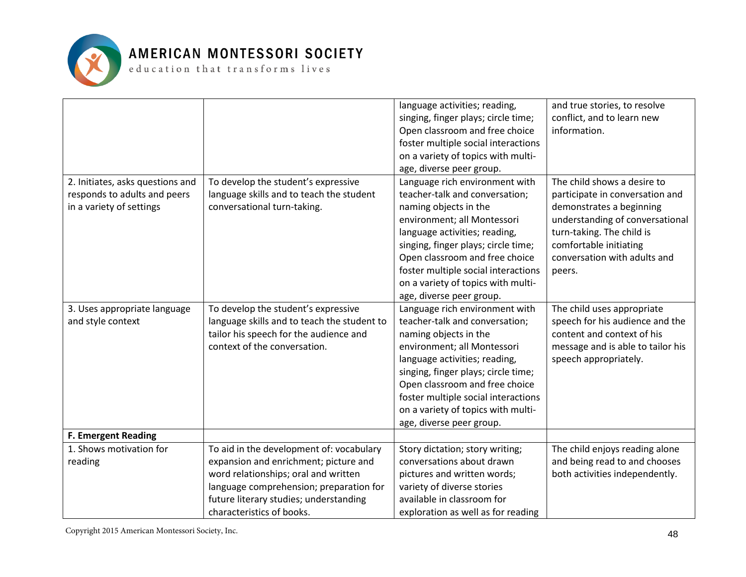

|                                  |                                             | language activities; reading,       | and true stories, to resolve      |
|----------------------------------|---------------------------------------------|-------------------------------------|-----------------------------------|
|                                  |                                             | singing, finger plays; circle time; | conflict, and to learn new        |
|                                  |                                             | Open classroom and free choice      | information.                      |
|                                  |                                             | foster multiple social interactions |                                   |
|                                  |                                             | on a variety of topics with multi-  |                                   |
|                                  |                                             | age, diverse peer group.            |                                   |
| 2. Initiates, asks questions and | To develop the student's expressive         | Language rich environment with      | The child shows a desire to       |
| responds to adults and peers     | language skills and to teach the student    | teacher-talk and conversation;      | participate in conversation and   |
| in a variety of settings         | conversational turn-taking.                 | naming objects in the               | demonstrates a beginning          |
|                                  |                                             | environment; all Montessori         | understanding of conversational   |
|                                  |                                             | language activities; reading,       | turn-taking. The child is         |
|                                  |                                             | singing, finger plays; circle time; | comfortable initiating            |
|                                  |                                             | Open classroom and free choice      | conversation with adults and      |
|                                  |                                             | foster multiple social interactions | peers.                            |
|                                  |                                             | on a variety of topics with multi-  |                                   |
|                                  |                                             | age, diverse peer group.            |                                   |
| 3. Uses appropriate language     | To develop the student's expressive         | Language rich environment with      | The child uses appropriate        |
| and style context                | language skills and to teach the student to | teacher-talk and conversation;      | speech for his audience and the   |
|                                  | tailor his speech for the audience and      | naming objects in the               | content and context of his        |
|                                  | context of the conversation.                | environment; all Montessori         | message and is able to tailor his |
|                                  |                                             | language activities; reading,       | speech appropriately.             |
|                                  |                                             | singing, finger plays; circle time; |                                   |
|                                  |                                             | Open classroom and free choice      |                                   |
|                                  |                                             | foster multiple social interactions |                                   |
|                                  |                                             | on a variety of topics with multi-  |                                   |
|                                  |                                             | age, diverse peer group.            |                                   |
| <b>F. Emergent Reading</b>       |                                             |                                     |                                   |
| 1. Shows motivation for          | To aid in the development of: vocabulary    | Story dictation; story writing;     | The child enjoys reading alone    |
| reading                          | expansion and enrichment; picture and       | conversations about drawn           | and being read to and chooses     |
|                                  | word relationships; oral and written        | pictures and written words;         | both activities independently.    |
|                                  | language comprehension; preparation for     | variety of diverse stories          |                                   |
|                                  | future literary studies; understanding      | available in classroom for          |                                   |
|                                  | characteristics of books.                   | exploration as well as for reading  |                                   |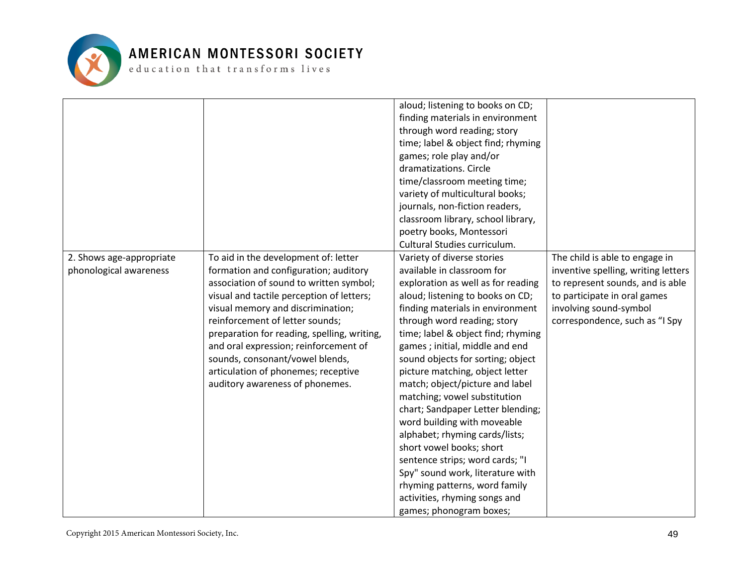

|                          |                                             | aloud; listening to books on CD;   |                                     |
|--------------------------|---------------------------------------------|------------------------------------|-------------------------------------|
|                          |                                             | finding materials in environment   |                                     |
|                          |                                             | through word reading; story        |                                     |
|                          |                                             | time; label & object find; rhyming |                                     |
|                          |                                             | games; role play and/or            |                                     |
|                          |                                             | dramatizations. Circle             |                                     |
|                          |                                             | time/classroom meeting time;       |                                     |
|                          |                                             | variety of multicultural books;    |                                     |
|                          |                                             | journals, non-fiction readers,     |                                     |
|                          |                                             | classroom library, school library, |                                     |
|                          |                                             | poetry books, Montessori           |                                     |
|                          |                                             | Cultural Studies curriculum.       |                                     |
| 2. Shows age-appropriate | To aid in the development of: letter        | Variety of diverse stories         | The child is able to engage in      |
| phonological awareness   | formation and configuration; auditory       | available in classroom for         | inventive spelling, writing letters |
|                          | association of sound to written symbol;     | exploration as well as for reading | to represent sounds, and is able    |
|                          | visual and tactile perception of letters;   | aloud; listening to books on CD;   | to participate in oral games        |
|                          | visual memory and discrimination;           | finding materials in environment   | involving sound-symbol              |
|                          | reinforcement of letter sounds;             | through word reading; story        | correspondence, such as "I Spy      |
|                          | preparation for reading, spelling, writing, | time; label & object find; rhyming |                                     |
|                          | and oral expression; reinforcement of       | games; initial, middle and end     |                                     |
|                          | sounds, consonant/vowel blends,             | sound objects for sorting; object  |                                     |
|                          | articulation of phonemes; receptive         | picture matching, object letter    |                                     |
|                          | auditory awareness of phonemes.             | match; object/picture and label    |                                     |
|                          |                                             | matching; vowel substitution       |                                     |
|                          |                                             | chart; Sandpaper Letter blending;  |                                     |
|                          |                                             | word building with moveable        |                                     |
|                          |                                             | alphabet; rhyming cards/lists;     |                                     |
|                          |                                             | short vowel books; short           |                                     |
|                          |                                             | sentence strips; word cards; "I    |                                     |
|                          |                                             | Spy" sound work, literature with   |                                     |
|                          |                                             | rhyming patterns, word family      |                                     |
|                          |                                             | activities, rhyming songs and      |                                     |
|                          |                                             | games; phonogram boxes;            |                                     |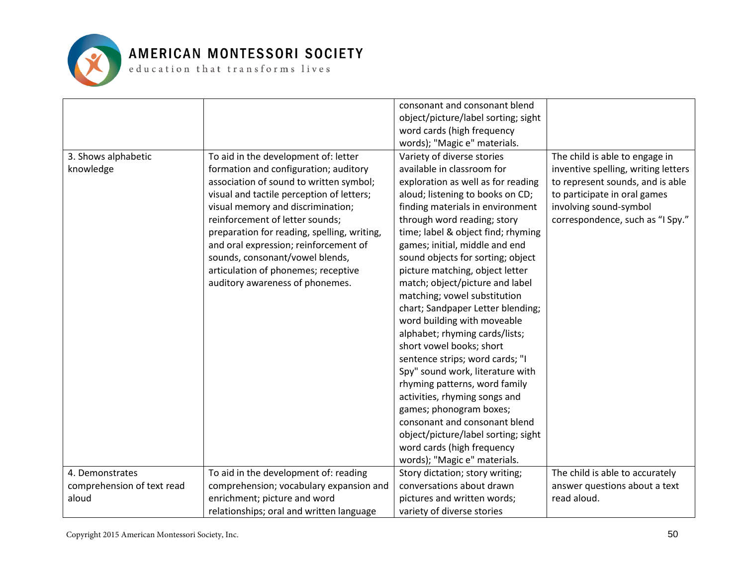

|                                     |                                                                                                                                                                                                                                                                                                                                       | consonant and consonant blend<br>object/picture/label sorting; sight                                                                                                                                                                                                                                                                                                                                                                                                                                                                                |                                                                                                                                                                                                         |
|-------------------------------------|---------------------------------------------------------------------------------------------------------------------------------------------------------------------------------------------------------------------------------------------------------------------------------------------------------------------------------------|-----------------------------------------------------------------------------------------------------------------------------------------------------------------------------------------------------------------------------------------------------------------------------------------------------------------------------------------------------------------------------------------------------------------------------------------------------------------------------------------------------------------------------------------------------|---------------------------------------------------------------------------------------------------------------------------------------------------------------------------------------------------------|
|                                     |                                                                                                                                                                                                                                                                                                                                       | word cards (high frequency<br>words); "Magic e" materials.                                                                                                                                                                                                                                                                                                                                                                                                                                                                                          |                                                                                                                                                                                                         |
| 3. Shows alphabetic<br>knowledge    | To aid in the development of: letter<br>formation and configuration; auditory<br>association of sound to written symbol;<br>visual and tactile perception of letters;<br>visual memory and discrimination;<br>reinforcement of letter sounds;<br>preparation for reading, spelling, writing,<br>and oral expression; reinforcement of | Variety of diverse stories<br>available in classroom for<br>exploration as well as for reading<br>aloud; listening to books on CD;<br>finding materials in environment<br>through word reading; story<br>time; label & object find; rhyming<br>games; initial, middle and end                                                                                                                                                                                                                                                                       | The child is able to engage in<br>inventive spelling, writing letters<br>to represent sounds, and is able<br>to participate in oral games<br>involving sound-symbol<br>correspondence, such as "I Spy." |
|                                     | sounds, consonant/vowel blends,<br>articulation of phonemes; receptive<br>auditory awareness of phonemes.                                                                                                                                                                                                                             | sound objects for sorting; object<br>picture matching, object letter<br>match; object/picture and label<br>matching; vowel substitution<br>chart; Sandpaper Letter blending;<br>word building with moveable<br>alphabet; rhyming cards/lists;<br>short vowel books; short<br>sentence strips; word cards; "I<br>Spy" sound work, literature with<br>rhyming patterns, word family<br>activities, rhyming songs and<br>games; phonogram boxes;<br>consonant and consonant blend<br>object/picture/label sorting; sight<br>word cards (high frequency |                                                                                                                                                                                                         |
| 4. Demonstrates                     | To aid in the development of: reading                                                                                                                                                                                                                                                                                                 | words); "Magic e" materials.<br>Story dictation; story writing;                                                                                                                                                                                                                                                                                                                                                                                                                                                                                     | The child is able to accurately                                                                                                                                                                         |
| comprehension of text read<br>aloud | comprehension; vocabulary expansion and<br>enrichment; picture and word                                                                                                                                                                                                                                                               | conversations about drawn<br>pictures and written words;                                                                                                                                                                                                                                                                                                                                                                                                                                                                                            | answer questions about a text<br>read aloud.                                                                                                                                                            |
|                                     | relationships; oral and written language                                                                                                                                                                                                                                                                                              | variety of diverse stories                                                                                                                                                                                                                                                                                                                                                                                                                                                                                                                          |                                                                                                                                                                                                         |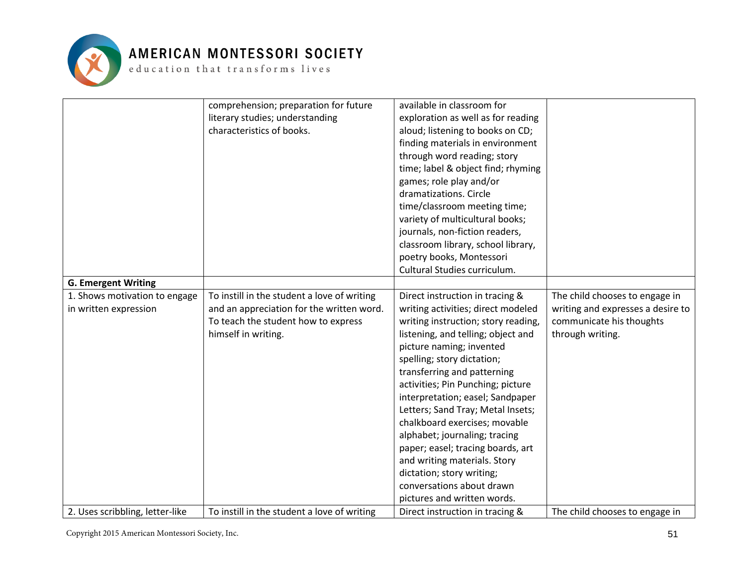

#### AMERICAN MONTESSORI SOCIETY

 ${\tt e}$  ducation that transforms lives

|                                 | comprehension; preparation for future       | available in classroom for          |                                   |
|---------------------------------|---------------------------------------------|-------------------------------------|-----------------------------------|
|                                 | literary studies; understanding             | exploration as well as for reading  |                                   |
|                                 | characteristics of books.                   | aloud; listening to books on CD;    |                                   |
|                                 |                                             | finding materials in environment    |                                   |
|                                 |                                             | through word reading; story         |                                   |
|                                 |                                             | time; label & object find; rhyming  |                                   |
|                                 |                                             | games; role play and/or             |                                   |
|                                 |                                             | dramatizations. Circle              |                                   |
|                                 |                                             | time/classroom meeting time;        |                                   |
|                                 |                                             | variety of multicultural books;     |                                   |
|                                 |                                             | journals, non-fiction readers,      |                                   |
|                                 |                                             | classroom library, school library,  |                                   |
|                                 |                                             | poetry books, Montessori            |                                   |
|                                 |                                             | Cultural Studies curriculum.        |                                   |
| <b>G. Emergent Writing</b>      |                                             |                                     |                                   |
| 1. Shows motivation to engage   | To instill in the student a love of writing | Direct instruction in tracing &     | The child chooses to engage in    |
| in written expression           | and an appreciation for the written word.   | writing activities; direct modeled  | writing and expresses a desire to |
|                                 | To teach the student how to express         | writing instruction; story reading, | communicate his thoughts          |
|                                 | himself in writing.                         | listening, and telling; object and  | through writing.                  |
|                                 |                                             | picture naming; invented            |                                   |
|                                 |                                             | spelling; story dictation;          |                                   |
|                                 |                                             | transferring and patterning         |                                   |
|                                 |                                             | activities; Pin Punching; picture   |                                   |
|                                 |                                             | interpretation; easel; Sandpaper    |                                   |
|                                 |                                             | Letters; Sand Tray; Metal Insets;   |                                   |
|                                 |                                             | chalkboard exercises; movable       |                                   |
|                                 |                                             | alphabet; journaling; tracing       |                                   |
|                                 |                                             | paper; easel; tracing boards, art   |                                   |
|                                 |                                             | and writing materials. Story        |                                   |
|                                 |                                             | dictation; story writing;           |                                   |
|                                 |                                             | conversations about drawn           |                                   |
|                                 |                                             | pictures and written words.         |                                   |
| 2. Uses scribbling, letter-like | To instill in the student a love of writing | Direct instruction in tracing &     | The child chooses to engage in    |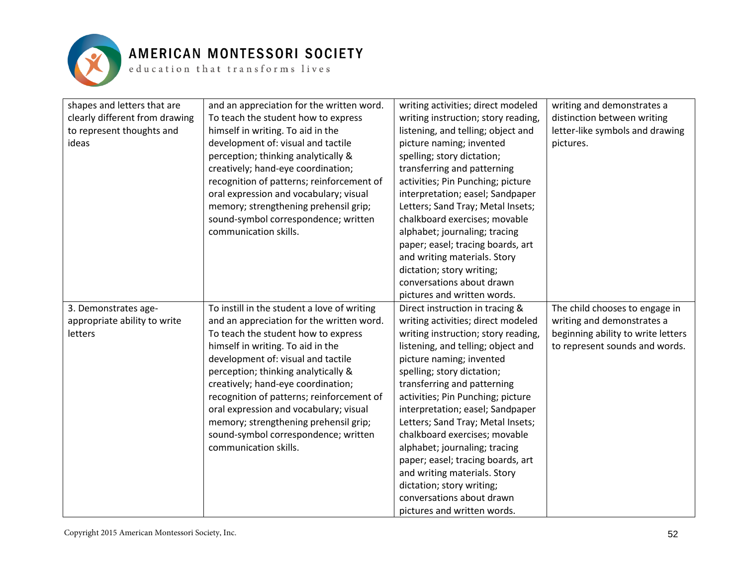

| shapes and letters that are    | and an appreciation for the written word.   | writing activities; direct modeled  | writing and demonstrates a         |
|--------------------------------|---------------------------------------------|-------------------------------------|------------------------------------|
| clearly different from drawing | To teach the student how to express         | writing instruction; story reading, | distinction between writing        |
| to represent thoughts and      | himself in writing. To aid in the           | listening, and telling; object and  | letter-like symbols and drawing    |
| ideas                          | development of: visual and tactile          | picture naming; invented            | pictures.                          |
|                                | perception; thinking analytically &         | spelling; story dictation;          |                                    |
|                                | creatively; hand-eye coordination;          | transferring and patterning         |                                    |
|                                | recognition of patterns; reinforcement of   | activities; Pin Punching; picture   |                                    |
|                                | oral expression and vocabulary; visual      | interpretation; easel; Sandpaper    |                                    |
|                                | memory; strengthening prehensil grip;       | Letters; Sand Tray; Metal Insets;   |                                    |
|                                | sound-symbol correspondence; written        | chalkboard exercises; movable       |                                    |
|                                | communication skills.                       | alphabet; journaling; tracing       |                                    |
|                                |                                             | paper; easel; tracing boards, art   |                                    |
|                                |                                             | and writing materials. Story        |                                    |
|                                |                                             | dictation; story writing;           |                                    |
|                                |                                             | conversations about drawn           |                                    |
|                                |                                             | pictures and written words.         |                                    |
| 3. Demonstrates age-           | To instill in the student a love of writing | Direct instruction in tracing &     | The child chooses to engage in     |
| appropriate ability to write   | and an appreciation for the written word.   | writing activities; direct modeled  | writing and demonstrates a         |
| letters                        | To teach the student how to express         | writing instruction; story reading, | beginning ability to write letters |
|                                | himself in writing. To aid in the           | listening, and telling; object and  | to represent sounds and words.     |
|                                | development of: visual and tactile          | picture naming; invented            |                                    |
|                                | perception; thinking analytically &         | spelling; story dictation;          |                                    |
|                                | creatively; hand-eye coordination;          | transferring and patterning         |                                    |
|                                | recognition of patterns; reinforcement of   | activities; Pin Punching; picture   |                                    |
|                                | oral expression and vocabulary; visual      | interpretation; easel; Sandpaper    |                                    |
|                                | memory; strengthening prehensil grip;       | Letters; Sand Tray; Metal Insets;   |                                    |
|                                | sound-symbol correspondence; written        | chalkboard exercises; movable       |                                    |
|                                | communication skills.                       | alphabet; journaling; tracing       |                                    |
|                                |                                             | paper; easel; tracing boards, art   |                                    |
|                                |                                             | and writing materials. Story        |                                    |
|                                |                                             | dictation; story writing;           |                                    |
|                                |                                             | conversations about drawn           |                                    |
|                                |                                             | pictures and written words.         |                                    |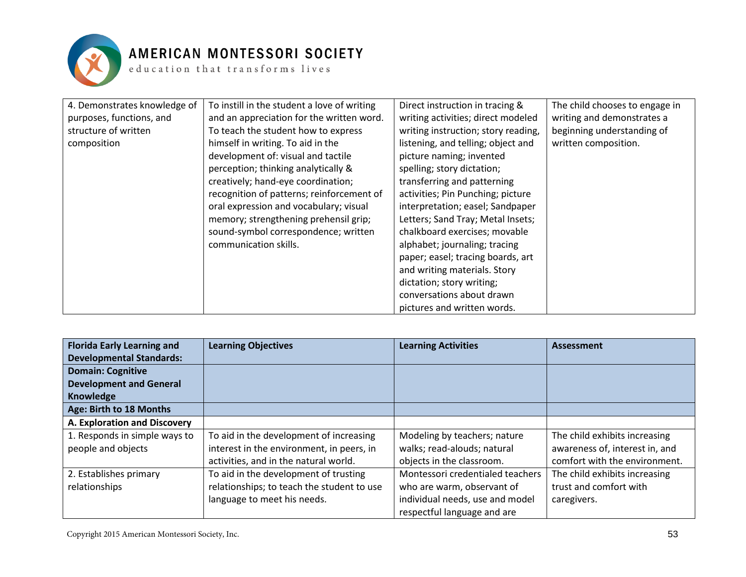

| 4. Demonstrates knowledge of | To instill in the student a love of writing | Direct instruction in tracing &     | The child chooses to engage in |
|------------------------------|---------------------------------------------|-------------------------------------|--------------------------------|
| purposes, functions, and     | and an appreciation for the written word.   | writing activities; direct modeled  | writing and demonstrates a     |
| structure of written         | To teach the student how to express         | writing instruction; story reading, | beginning understanding of     |
| composition                  | himself in writing. To aid in the           | listening, and telling; object and  | written composition.           |
|                              | development of: visual and tactile          | picture naming; invented            |                                |
|                              | perception; thinking analytically &         | spelling; story dictation;          |                                |
|                              | creatively; hand-eye coordination;          | transferring and patterning         |                                |
|                              | recognition of patterns; reinforcement of   | activities; Pin Punching; picture   |                                |
|                              | oral expression and vocabulary; visual      | interpretation; easel; Sandpaper    |                                |
|                              | memory; strengthening prehensil grip;       | Letters; Sand Tray; Metal Insets;   |                                |
|                              | sound-symbol correspondence; written        | chalkboard exercises; movable       |                                |
|                              | communication skills.                       | alphabet; journaling; tracing       |                                |
|                              |                                             | paper; easel; tracing boards, art   |                                |
|                              |                                             | and writing materials. Story        |                                |
|                              |                                             | dictation; story writing;           |                                |
|                              |                                             | conversations about drawn           |                                |
|                              |                                             | pictures and written words.         |                                |

| <b>Florida Early Learning and</b> | <b>Learning Objectives</b>                 | <b>Learning Activities</b>       | <b>Assessment</b>              |
|-----------------------------------|--------------------------------------------|----------------------------------|--------------------------------|
| <b>Developmental Standards:</b>   |                                            |                                  |                                |
| <b>Domain: Cognitive</b>          |                                            |                                  |                                |
| <b>Development and General</b>    |                                            |                                  |                                |
| <b>Knowledge</b>                  |                                            |                                  |                                |
| Age: Birth to 18 Months           |                                            |                                  |                                |
| A. Exploration and Discovery      |                                            |                                  |                                |
| 1. Responds in simple ways to     | To aid in the development of increasing    | Modeling by teachers; nature     | The child exhibits increasing  |
| people and objects                | interest in the environment, in peers, in  | walks; read-alouds; natural      | awareness of, interest in, and |
|                                   | activities, and in the natural world.      | objects in the classroom.        | comfort with the environment.  |
| 2. Establishes primary            | To aid in the development of trusting      | Montessori credentialed teachers | The child exhibits increasing  |
| relationships                     | relationships; to teach the student to use | who are warm, observant of       | trust and comfort with         |
|                                   | language to meet his needs.                | individual needs, use and model  | caregivers.                    |
|                                   |                                            | respectful language and are      |                                |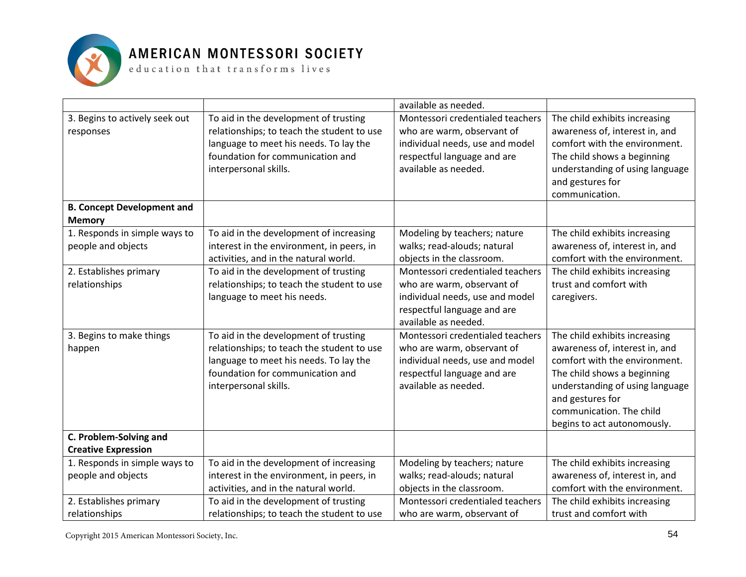

#### AMERICAN MONTESSORI SOCIETY

 ${\tt e}$  ducation that  ${\tt trains}$  forms lives

|                                   |                                            | available as needed.             |                                 |
|-----------------------------------|--------------------------------------------|----------------------------------|---------------------------------|
| 3. Begins to actively seek out    | To aid in the development of trusting      | Montessori credentialed teachers | The child exhibits increasing   |
| responses                         | relationships; to teach the student to use | who are warm, observant of       | awareness of, interest in, and  |
|                                   | language to meet his needs. To lay the     | individual needs, use and model  | comfort with the environment.   |
|                                   | foundation for communication and           | respectful language and are      | The child shows a beginning     |
|                                   | interpersonal skills.                      | available as needed.             | understanding of using language |
|                                   |                                            |                                  | and gestures for                |
|                                   |                                            |                                  | communication.                  |
| <b>B. Concept Development and</b> |                                            |                                  |                                 |
| <b>Memory</b>                     |                                            |                                  |                                 |
| 1. Responds in simple ways to     | To aid in the development of increasing    | Modeling by teachers; nature     | The child exhibits increasing   |
| people and objects                | interest in the environment, in peers, in  | walks; read-alouds; natural      | awareness of, interest in, and  |
|                                   | activities, and in the natural world.      | objects in the classroom.        | comfort with the environment.   |
| 2. Establishes primary            | To aid in the development of trusting      | Montessori credentialed teachers | The child exhibits increasing   |
| relationships                     | relationships; to teach the student to use | who are warm, observant of       | trust and comfort with          |
|                                   | language to meet his needs.                | individual needs, use and model  | caregivers.                     |
|                                   |                                            | respectful language and are      |                                 |
|                                   |                                            | available as needed.             |                                 |
| 3. Begins to make things          | To aid in the development of trusting      | Montessori credentialed teachers | The child exhibits increasing   |
| happen                            | relationships; to teach the student to use | who are warm, observant of       | awareness of, interest in, and  |
|                                   | language to meet his needs. To lay the     | individual needs, use and model  | comfort with the environment.   |
|                                   | foundation for communication and           | respectful language and are      | The child shows a beginning     |
|                                   | interpersonal skills.                      | available as needed.             | understanding of using language |
|                                   |                                            |                                  | and gestures for                |
|                                   |                                            |                                  | communication. The child        |
|                                   |                                            |                                  | begins to act autonomously.     |
| C. Problem-Solving and            |                                            |                                  |                                 |
| <b>Creative Expression</b>        |                                            |                                  |                                 |
| 1. Responds in simple ways to     | To aid in the development of increasing    | Modeling by teachers; nature     | The child exhibits increasing   |
| people and objects                | interest in the environment, in peers, in  | walks; read-alouds; natural      | awareness of, interest in, and  |
|                                   | activities, and in the natural world.      | objects in the classroom.        | comfort with the environment.   |
| 2. Establishes primary            | To aid in the development of trusting      | Montessori credentialed teachers | The child exhibits increasing   |
| relationships                     | relationships; to teach the student to use | who are warm, observant of       | trust and comfort with          |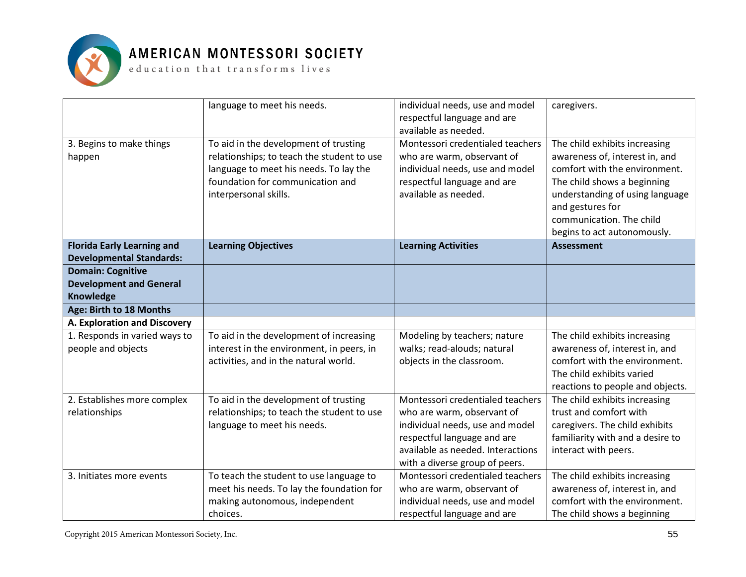

|                                                                                | language to meet his needs.                                                                                                                                                                | individual needs, use and model<br>respectful language and are<br>available as needed.                                                                                                                  | caregivers.                                                                                                                                                                                                                                       |
|--------------------------------------------------------------------------------|--------------------------------------------------------------------------------------------------------------------------------------------------------------------------------------------|---------------------------------------------------------------------------------------------------------------------------------------------------------------------------------------------------------|---------------------------------------------------------------------------------------------------------------------------------------------------------------------------------------------------------------------------------------------------|
| 3. Begins to make things<br>happen                                             | To aid in the development of trusting<br>relationships; to teach the student to use<br>language to meet his needs. To lay the<br>foundation for communication and<br>interpersonal skills. | Montessori credentialed teachers<br>who are warm, observant of<br>individual needs, use and model<br>respectful language and are<br>available as needed.                                                | The child exhibits increasing<br>awareness of, interest in, and<br>comfort with the environment.<br>The child shows a beginning<br>understanding of using language<br>and gestures for<br>communication. The child<br>begins to act autonomously. |
| <b>Florida Early Learning and</b><br><b>Developmental Standards:</b>           | <b>Learning Objectives</b>                                                                                                                                                                 | <b>Learning Activities</b>                                                                                                                                                                              | <b>Assessment</b>                                                                                                                                                                                                                                 |
| <b>Domain: Cognitive</b><br><b>Development and General</b><br><b>Knowledge</b> |                                                                                                                                                                                            |                                                                                                                                                                                                         |                                                                                                                                                                                                                                                   |
| Age: Birth to 18 Months                                                        |                                                                                                                                                                                            |                                                                                                                                                                                                         |                                                                                                                                                                                                                                                   |
| A. Exploration and Discovery                                                   |                                                                                                                                                                                            |                                                                                                                                                                                                         |                                                                                                                                                                                                                                                   |
| 1. Responds in varied ways to<br>people and objects                            | To aid in the development of increasing<br>interest in the environment, in peers, in<br>activities, and in the natural world.                                                              | Modeling by teachers; nature<br>walks; read-alouds; natural<br>objects in the classroom.                                                                                                                | The child exhibits increasing<br>awareness of, interest in, and<br>comfort with the environment.<br>The child exhibits varied<br>reactions to people and objects.                                                                                 |
| 2. Establishes more complex<br>relationships                                   | To aid in the development of trusting<br>relationships; to teach the student to use<br>language to meet his needs.                                                                         | Montessori credentialed teachers<br>who are warm, observant of<br>individual needs, use and model<br>respectful language and are<br>available as needed. Interactions<br>with a diverse group of peers. | The child exhibits increasing<br>trust and comfort with<br>caregivers. The child exhibits<br>familiarity with and a desire to<br>interact with peers.                                                                                             |
| 3. Initiates more events                                                       | To teach the student to use language to<br>meet his needs. To lay the foundation for<br>making autonomous, independent<br>choices.                                                         | Montessori credentialed teachers<br>who are warm, observant of<br>individual needs, use and model<br>respectful language and are                                                                        | The child exhibits increasing<br>awareness of, interest in, and<br>comfort with the environment.<br>The child shows a beginning                                                                                                                   |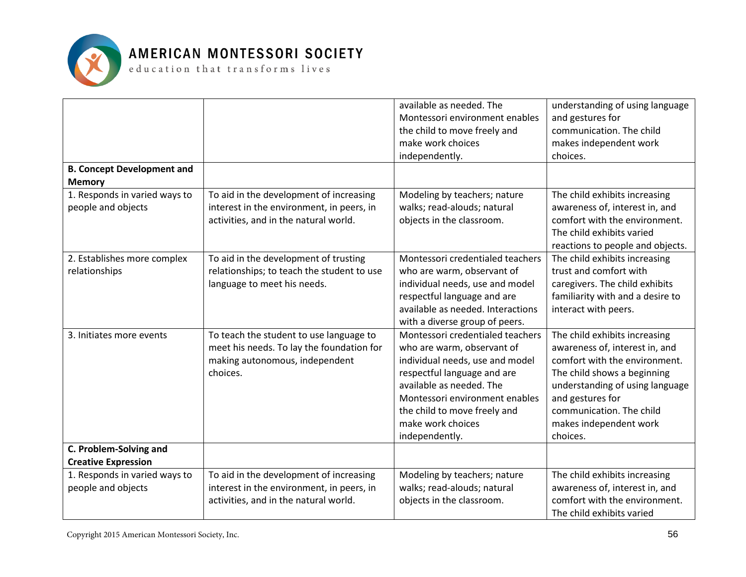

| <b>B. Concept Development and</b>                   |                                                                                                                                    | available as needed. The<br>Montessori environment enables<br>the child to move freely and<br>make work choices<br>independently.                                                                                                                                     | understanding of using language<br>and gestures for<br>communication. The child<br>makes independent work<br>choices.                                                                                                                                    |
|-----------------------------------------------------|------------------------------------------------------------------------------------------------------------------------------------|-----------------------------------------------------------------------------------------------------------------------------------------------------------------------------------------------------------------------------------------------------------------------|----------------------------------------------------------------------------------------------------------------------------------------------------------------------------------------------------------------------------------------------------------|
| <b>Memory</b>                                       |                                                                                                                                    |                                                                                                                                                                                                                                                                       |                                                                                                                                                                                                                                                          |
| 1. Responds in varied ways to<br>people and objects | To aid in the development of increasing<br>interest in the environment, in peers, in<br>activities, and in the natural world.      | Modeling by teachers; nature<br>walks; read-alouds; natural<br>objects in the classroom.                                                                                                                                                                              | The child exhibits increasing<br>awareness of, interest in, and<br>comfort with the environment.<br>The child exhibits varied<br>reactions to people and objects.                                                                                        |
| 2. Establishes more complex<br>relationships        | To aid in the development of trusting<br>relationships; to teach the student to use<br>language to meet his needs.                 | Montessori credentialed teachers<br>who are warm, observant of<br>individual needs, use and model<br>respectful language and are<br>available as needed. Interactions<br>with a diverse group of peers.                                                               | The child exhibits increasing<br>trust and comfort with<br>caregivers. The child exhibits<br>familiarity with and a desire to<br>interact with peers.                                                                                                    |
| 3. Initiates more events                            | To teach the student to use language to<br>meet his needs. To lay the foundation for<br>making autonomous, independent<br>choices. | Montessori credentialed teachers<br>who are warm, observant of<br>individual needs, use and model<br>respectful language and are<br>available as needed. The<br>Montessori environment enables<br>the child to move freely and<br>make work choices<br>independently. | The child exhibits increasing<br>awareness of, interest in, and<br>comfort with the environment.<br>The child shows a beginning<br>understanding of using language<br>and gestures for<br>communication. The child<br>makes independent work<br>choices. |
| C. Problem-Solving and                              |                                                                                                                                    |                                                                                                                                                                                                                                                                       |                                                                                                                                                                                                                                                          |
| <b>Creative Expression</b>                          |                                                                                                                                    |                                                                                                                                                                                                                                                                       |                                                                                                                                                                                                                                                          |
| 1. Responds in varied ways to<br>people and objects | To aid in the development of increasing<br>interest in the environment, in peers, in<br>activities, and in the natural world.      | Modeling by teachers; nature<br>walks; read-alouds; natural<br>objects in the classroom.                                                                                                                                                                              | The child exhibits increasing<br>awareness of, interest in, and<br>comfort with the environment.<br>The child exhibits varied                                                                                                                            |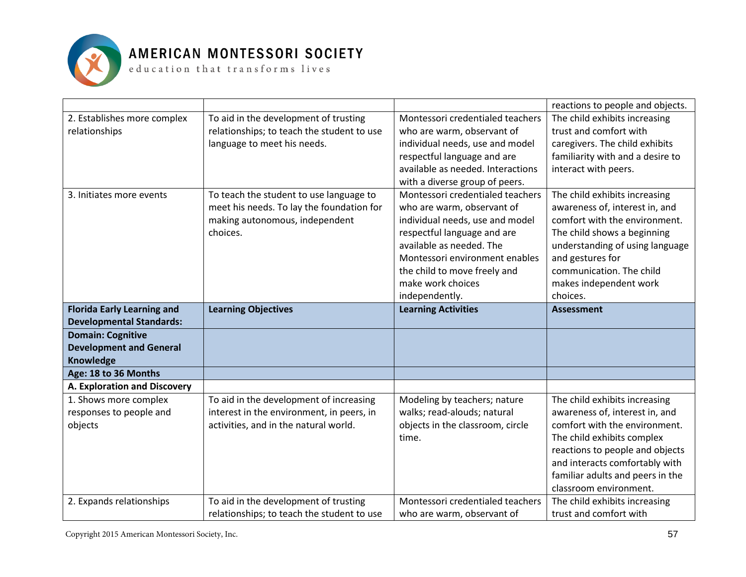

|                                   |                                                                                     |                                                                | reactions to people and objects.                        |
|-----------------------------------|-------------------------------------------------------------------------------------|----------------------------------------------------------------|---------------------------------------------------------|
| 2. Establishes more complex       | To aid in the development of trusting                                               | Montessori credentialed teachers                               | The child exhibits increasing                           |
| relationships                     | relationships; to teach the student to use                                          | who are warm, observant of                                     | trust and comfort with                                  |
|                                   | language to meet his needs.                                                         | individual needs, use and model                                | caregivers. The child exhibits                          |
|                                   |                                                                                     | respectful language and are                                    | familiarity with and a desire to                        |
|                                   |                                                                                     | available as needed. Interactions                              | interact with peers.                                    |
|                                   |                                                                                     | with a diverse group of peers.                                 |                                                         |
| 3. Initiates more events          | To teach the student to use language to                                             | Montessori credentialed teachers                               | The child exhibits increasing                           |
|                                   | meet his needs. To lay the foundation for                                           | who are warm, observant of                                     | awareness of, interest in, and                          |
|                                   | making autonomous, independent                                                      | individual needs, use and model                                | comfort with the environment.                           |
|                                   | choices.                                                                            | respectful language and are                                    | The child shows a beginning                             |
|                                   |                                                                                     | available as needed. The                                       | understanding of using language                         |
|                                   |                                                                                     | Montessori environment enables                                 | and gestures for                                        |
|                                   |                                                                                     | the child to move freely and                                   | communication. The child                                |
|                                   |                                                                                     | make work choices                                              | makes independent work                                  |
|                                   |                                                                                     | independently.                                                 | choices.                                                |
| <b>Florida Early Learning and</b> |                                                                                     |                                                                |                                                         |
|                                   | <b>Learning Objectives</b>                                                          | <b>Learning Activities</b>                                     | <b>Assessment</b>                                       |
| <b>Developmental Standards:</b>   |                                                                                     |                                                                |                                                         |
| <b>Domain: Cognitive</b>          |                                                                                     |                                                                |                                                         |
| <b>Development and General</b>    |                                                                                     |                                                                |                                                         |
| Knowledge                         |                                                                                     |                                                                |                                                         |
| Age: 18 to 36 Months              |                                                                                     |                                                                |                                                         |
| A. Exploration and Discovery      |                                                                                     |                                                                |                                                         |
| 1. Shows more complex             | To aid in the development of increasing                                             | Modeling by teachers; nature                                   | The child exhibits increasing                           |
| responses to people and           | interest in the environment, in peers, in                                           | walks; read-alouds; natural                                    | awareness of, interest in, and                          |
| objects                           | activities, and in the natural world.                                               | objects in the classroom, circle                               | comfort with the environment.                           |
|                                   |                                                                                     | time.                                                          | The child exhibits complex                              |
|                                   |                                                                                     |                                                                | reactions to people and objects                         |
|                                   |                                                                                     |                                                                | and interacts comfortably with                          |
|                                   |                                                                                     |                                                                | familiar adults and peers in the                        |
|                                   |                                                                                     |                                                                | classroom environment.                                  |
| 2. Expands relationships          | To aid in the development of trusting<br>relationships; to teach the student to use | Montessori credentialed teachers<br>who are warm, observant of | The child exhibits increasing<br>trust and comfort with |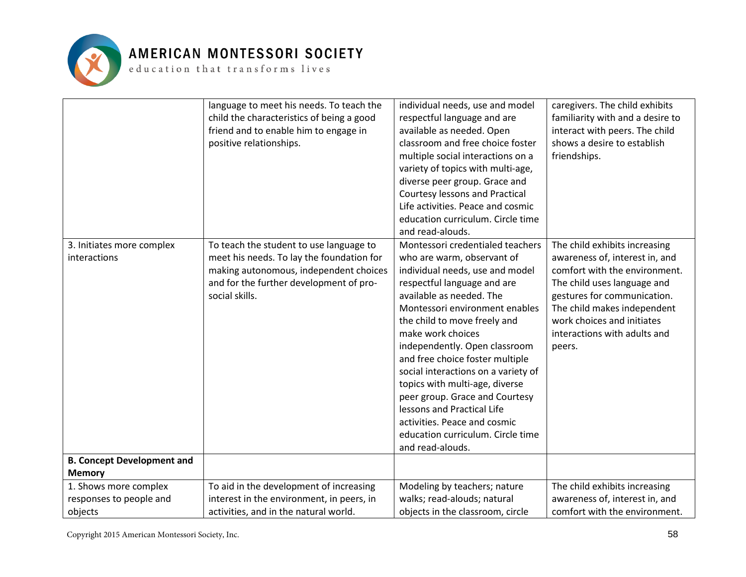

|                                                                                | language to meet his needs. To teach the<br>child the characteristics of being a good<br>friend and to enable him to engage in<br>positive relationships.                                   | individual needs, use and model<br>respectful language and are<br>available as needed. Open<br>classroom and free choice foster<br>multiple social interactions on a<br>variety of topics with multi-age,<br>diverse peer group. Grace and<br><b>Courtesy lessons and Practical</b><br>Life activities. Peace and cosmic<br>education curriculum. Circle time                                                                                                                                                                                                                 | caregivers. The child exhibits<br>familiarity with and a desire to<br>interact with peers. The child<br>shows a desire to establish<br>friendships.                                                                                                                   |
|--------------------------------------------------------------------------------|---------------------------------------------------------------------------------------------------------------------------------------------------------------------------------------------|-------------------------------------------------------------------------------------------------------------------------------------------------------------------------------------------------------------------------------------------------------------------------------------------------------------------------------------------------------------------------------------------------------------------------------------------------------------------------------------------------------------------------------------------------------------------------------|-----------------------------------------------------------------------------------------------------------------------------------------------------------------------------------------------------------------------------------------------------------------------|
| 3. Initiates more complex<br>interactions<br><b>B. Concept Development and</b> | To teach the student to use language to<br>meet his needs. To lay the foundation for<br>making autonomous, independent choices<br>and for the further development of pro-<br>social skills. | and read-alouds.<br>Montessori credentialed teachers<br>who are warm, observant of<br>individual needs, use and model<br>respectful language and are<br>available as needed. The<br>Montessori environment enables<br>the child to move freely and<br>make work choices<br>independently. Open classroom<br>and free choice foster multiple<br>social interactions on a variety of<br>topics with multi-age, diverse<br>peer group. Grace and Courtesy<br>lessons and Practical Life<br>activities. Peace and cosmic<br>education curriculum. Circle time<br>and read-alouds. | The child exhibits increasing<br>awareness of, interest in, and<br>comfort with the environment.<br>The child uses language and<br>gestures for communication.<br>The child makes independent<br>work choices and initiates<br>interactions with adults and<br>peers. |
| <b>Memory</b>                                                                  |                                                                                                                                                                                             |                                                                                                                                                                                                                                                                                                                                                                                                                                                                                                                                                                               |                                                                                                                                                                                                                                                                       |
| 1. Shows more complex                                                          | To aid in the development of increasing                                                                                                                                                     | Modeling by teachers; nature                                                                                                                                                                                                                                                                                                                                                                                                                                                                                                                                                  | The child exhibits increasing                                                                                                                                                                                                                                         |
| responses to people and                                                        | interest in the environment, in peers, in                                                                                                                                                   | walks; read-alouds; natural                                                                                                                                                                                                                                                                                                                                                                                                                                                                                                                                                   | awareness of, interest in, and                                                                                                                                                                                                                                        |
| objects                                                                        | activities, and in the natural world.                                                                                                                                                       | objects in the classroom, circle                                                                                                                                                                                                                                                                                                                                                                                                                                                                                                                                              | comfort with the environment.                                                                                                                                                                                                                                         |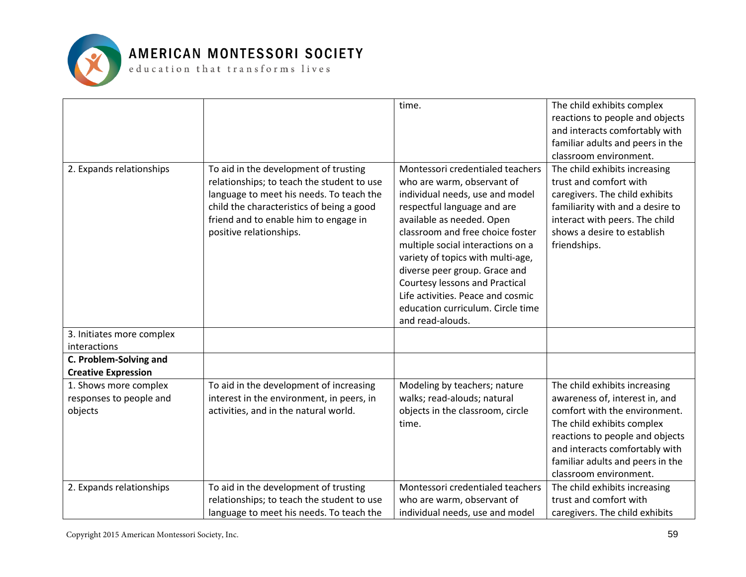

|                                                             |                                                                                                                                                                                                                                                  | time.                                                                                                                                                                                                                                                                                                                                                                                                                                        | The child exhibits complex<br>reactions to people and objects<br>and interacts comfortably with<br>familiar adults and peers in the<br>classroom environment.                                                                                                     |
|-------------------------------------------------------------|--------------------------------------------------------------------------------------------------------------------------------------------------------------------------------------------------------------------------------------------------|----------------------------------------------------------------------------------------------------------------------------------------------------------------------------------------------------------------------------------------------------------------------------------------------------------------------------------------------------------------------------------------------------------------------------------------------|-------------------------------------------------------------------------------------------------------------------------------------------------------------------------------------------------------------------------------------------------------------------|
| 2. Expands relationships                                    | To aid in the development of trusting<br>relationships; to teach the student to use<br>language to meet his needs. To teach the<br>child the characteristics of being a good<br>friend and to enable him to engage in<br>positive relationships. | Montessori credentialed teachers<br>who are warm, observant of<br>individual needs, use and model<br>respectful language and are<br>available as needed. Open<br>classroom and free choice foster<br>multiple social interactions on a<br>variety of topics with multi-age,<br>diverse peer group. Grace and<br>Courtesy lessons and Practical<br>Life activities. Peace and cosmic<br>education curriculum. Circle time<br>and read-alouds. | The child exhibits increasing<br>trust and comfort with<br>caregivers. The child exhibits<br>familiarity with and a desire to<br>interact with peers. The child<br>shows a desire to establish<br>friendships.                                                    |
| 3. Initiates more complex<br>interactions                   |                                                                                                                                                                                                                                                  |                                                                                                                                                                                                                                                                                                                                                                                                                                              |                                                                                                                                                                                                                                                                   |
| C. Problem-Solving and<br><b>Creative Expression</b>        |                                                                                                                                                                                                                                                  |                                                                                                                                                                                                                                                                                                                                                                                                                                              |                                                                                                                                                                                                                                                                   |
| 1. Shows more complex<br>responses to people and<br>objects | To aid in the development of increasing<br>interest in the environment, in peers, in<br>activities, and in the natural world.                                                                                                                    | Modeling by teachers; nature<br>walks; read-alouds; natural<br>objects in the classroom, circle<br>time.                                                                                                                                                                                                                                                                                                                                     | The child exhibits increasing<br>awareness of, interest in, and<br>comfort with the environment.<br>The child exhibits complex<br>reactions to people and objects<br>and interacts comfortably with<br>familiar adults and peers in the<br>classroom environment. |
| 2. Expands relationships                                    | To aid in the development of trusting<br>relationships; to teach the student to use<br>language to meet his needs. To teach the                                                                                                                  | Montessori credentialed teachers<br>who are warm, observant of<br>individual needs, use and model                                                                                                                                                                                                                                                                                                                                            | The child exhibits increasing<br>trust and comfort with<br>caregivers. The child exhibits                                                                                                                                                                         |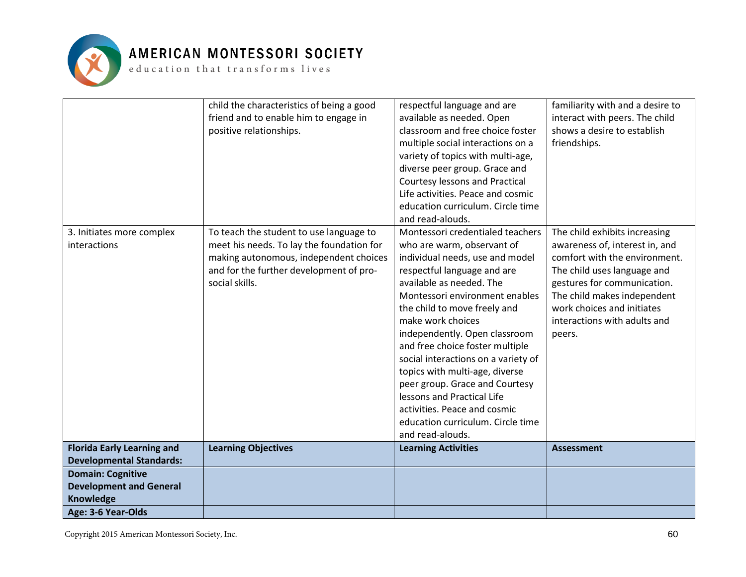

| 3. Initiates more complex                   | child the characteristics of being a good<br>friend and to enable him to engage in<br>positive relationships.<br>To teach the student to use language to | respectful language and are<br>available as needed. Open<br>classroom and free choice foster<br>multiple social interactions on a<br>variety of topics with multi-age,<br>diverse peer group. Grace and<br>Courtesy lessons and Practical<br>Life activities. Peace and cosmic<br>education curriculum. Circle time<br>and read-alouds.<br>Montessori credentialed teachers                                                                                                                                           | familiarity with and a desire to<br>interact with peers. The child<br>shows a desire to establish<br>friendships.<br>The child exhibits increasing                                                                                   |
|---------------------------------------------|----------------------------------------------------------------------------------------------------------------------------------------------------------|-----------------------------------------------------------------------------------------------------------------------------------------------------------------------------------------------------------------------------------------------------------------------------------------------------------------------------------------------------------------------------------------------------------------------------------------------------------------------------------------------------------------------|--------------------------------------------------------------------------------------------------------------------------------------------------------------------------------------------------------------------------------------|
| interactions                                | meet his needs. To lay the foundation for<br>making autonomous, independent choices<br>and for the further development of pro-<br>social skills.         | who are warm, observant of<br>individual needs, use and model<br>respectful language and are<br>available as needed. The<br>Montessori environment enables<br>the child to move freely and<br>make work choices<br>independently. Open classroom<br>and free choice foster multiple<br>social interactions on a variety of<br>topics with multi-age, diverse<br>peer group. Grace and Courtesy<br>lessons and Practical Life<br>activities. Peace and cosmic<br>education curriculum. Circle time<br>and read-alouds. | awareness of, interest in, and<br>comfort with the environment.<br>The child uses language and<br>gestures for communication.<br>The child makes independent<br>work choices and initiates<br>interactions with adults and<br>peers. |
| <b>Florida Early Learning and</b>           | <b>Learning Objectives</b>                                                                                                                               | <b>Learning Activities</b>                                                                                                                                                                                                                                                                                                                                                                                                                                                                                            | <b>Assessment</b>                                                                                                                                                                                                                    |
| <b>Developmental Standards:</b>             |                                                                                                                                                          |                                                                                                                                                                                                                                                                                                                                                                                                                                                                                                                       |                                                                                                                                                                                                                                      |
| <b>Domain: Cognitive</b>                    |                                                                                                                                                          |                                                                                                                                                                                                                                                                                                                                                                                                                                                                                                                       |                                                                                                                                                                                                                                      |
| <b>Development and General</b><br>Knowledge |                                                                                                                                                          |                                                                                                                                                                                                                                                                                                                                                                                                                                                                                                                       |                                                                                                                                                                                                                                      |
| Age: 3-6 Year-Olds                          |                                                                                                                                                          |                                                                                                                                                                                                                                                                                                                                                                                                                                                                                                                       |                                                                                                                                                                                                                                      |
|                                             |                                                                                                                                                          |                                                                                                                                                                                                                                                                                                                                                                                                                                                                                                                       |                                                                                                                                                                                                                                      |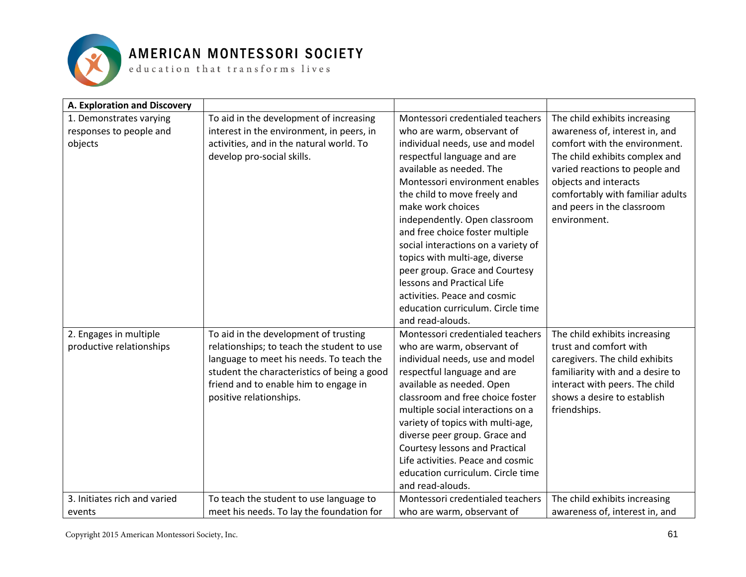

| A. Exploration and Discovery |                                                                                         |                                                                |                                                                    |
|------------------------------|-----------------------------------------------------------------------------------------|----------------------------------------------------------------|--------------------------------------------------------------------|
| 1. Demonstrates varying      | To aid in the development of increasing                                                 | Montessori credentialed teachers                               | The child exhibits increasing                                      |
| responses to people and      | interest in the environment, in peers, in                                               | who are warm, observant of                                     | awareness of, interest in, and                                     |
| objects                      | activities, and in the natural world. To                                                | individual needs, use and model                                | comfort with the environment.                                      |
|                              | develop pro-social skills.                                                              | respectful language and are                                    | The child exhibits complex and                                     |
|                              |                                                                                         | available as needed. The                                       | varied reactions to people and                                     |
|                              |                                                                                         | Montessori environment enables                                 | objects and interacts                                              |
|                              |                                                                                         | the child to move freely and                                   | comfortably with familiar adults                                   |
|                              |                                                                                         | make work choices                                              | and peers in the classroom                                         |
|                              |                                                                                         | independently. Open classroom                                  | environment.                                                       |
|                              |                                                                                         | and free choice foster multiple                                |                                                                    |
|                              |                                                                                         | social interactions on a variety of                            |                                                                    |
|                              |                                                                                         | topics with multi-age, diverse                                 |                                                                    |
|                              |                                                                                         | peer group. Grace and Courtesy                                 |                                                                    |
|                              |                                                                                         | lessons and Practical Life                                     |                                                                    |
|                              |                                                                                         | activities. Peace and cosmic                                   |                                                                    |
|                              |                                                                                         | education curriculum. Circle time                              |                                                                    |
|                              |                                                                                         | and read-alouds.                                               |                                                                    |
| 2. Engages in multiple       | To aid in the development of trusting                                                   | Montessori credentialed teachers                               | The child exhibits increasing                                      |
| productive relationships     | relationships; to teach the student to use                                              | who are warm, observant of                                     | trust and comfort with                                             |
|                              | language to meet his needs. To teach the<br>student the characteristics of being a good | individual needs, use and model<br>respectful language and are | caregivers. The child exhibits<br>familiarity with and a desire to |
|                              | friend and to enable him to engage in                                                   | available as needed. Open                                      | interact with peers. The child                                     |
|                              | positive relationships.                                                                 | classroom and free choice foster                               | shows a desire to establish                                        |
|                              |                                                                                         | multiple social interactions on a                              | friendships.                                                       |
|                              |                                                                                         | variety of topics with multi-age,                              |                                                                    |
|                              |                                                                                         | diverse peer group. Grace and                                  |                                                                    |
|                              |                                                                                         | <b>Courtesy lessons and Practical</b>                          |                                                                    |
|                              |                                                                                         | Life activities. Peace and cosmic                              |                                                                    |
|                              |                                                                                         | education curriculum. Circle time                              |                                                                    |
|                              |                                                                                         | and read-alouds.                                               |                                                                    |
| 3. Initiates rich and varied | To teach the student to use language to                                                 | Montessori credentialed teachers                               | The child exhibits increasing                                      |
| events                       | meet his needs. To lay the foundation for                                               | who are warm, observant of                                     | awareness of, interest in, and                                     |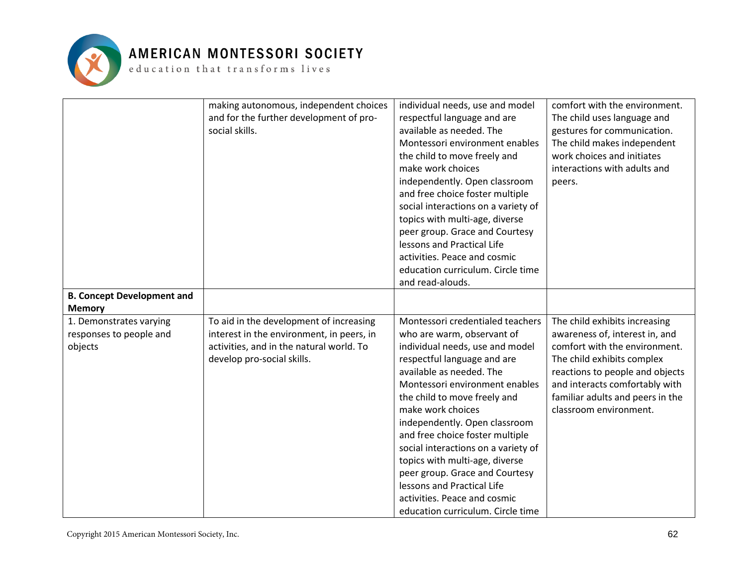

|                                   | making autonomous, independent choices    | individual needs, use and model     | comfort with the environment.    |
|-----------------------------------|-------------------------------------------|-------------------------------------|----------------------------------|
|                                   | and for the further development of pro-   | respectful language and are         | The child uses language and      |
|                                   | social skills.                            | available as needed. The            | gestures for communication.      |
|                                   |                                           | Montessori environment enables      | The child makes independent      |
|                                   |                                           | the child to move freely and        | work choices and initiates       |
|                                   |                                           | make work choices                   | interactions with adults and     |
|                                   |                                           | independently. Open classroom       | peers.                           |
|                                   |                                           | and free choice foster multiple     |                                  |
|                                   |                                           | social interactions on a variety of |                                  |
|                                   |                                           | topics with multi-age, diverse      |                                  |
|                                   |                                           | peer group. Grace and Courtesy      |                                  |
|                                   |                                           | lessons and Practical Life          |                                  |
|                                   |                                           | activities. Peace and cosmic        |                                  |
|                                   |                                           | education curriculum. Circle time   |                                  |
|                                   |                                           | and read-alouds.                    |                                  |
| <b>B. Concept Development and</b> |                                           |                                     |                                  |
| <b>Memory</b>                     |                                           |                                     |                                  |
| 1. Demonstrates varying           | To aid in the development of increasing   | Montessori credentialed teachers    | The child exhibits increasing    |
| responses to people and           | interest in the environment, in peers, in | who are warm, observant of          | awareness of, interest in, and   |
| objects                           | activities, and in the natural world. To  | individual needs, use and model     | comfort with the environment.    |
|                                   | develop pro-social skills.                | respectful language and are         | The child exhibits complex       |
|                                   |                                           | available as needed. The            | reactions to people and objects  |
|                                   |                                           | Montessori environment enables      | and interacts comfortably with   |
|                                   |                                           | the child to move freely and        | familiar adults and peers in the |
|                                   |                                           | make work choices                   | classroom environment.           |
|                                   |                                           | independently. Open classroom       |                                  |
|                                   |                                           | and free choice foster multiple     |                                  |
|                                   |                                           | social interactions on a variety of |                                  |
|                                   |                                           | topics with multi-age, diverse      |                                  |
|                                   |                                           | peer group. Grace and Courtesy      |                                  |
|                                   |                                           | lessons and Practical Life          |                                  |
|                                   |                                           | activities. Peace and cosmic        |                                  |
|                                   |                                           | education curriculum. Circle time   |                                  |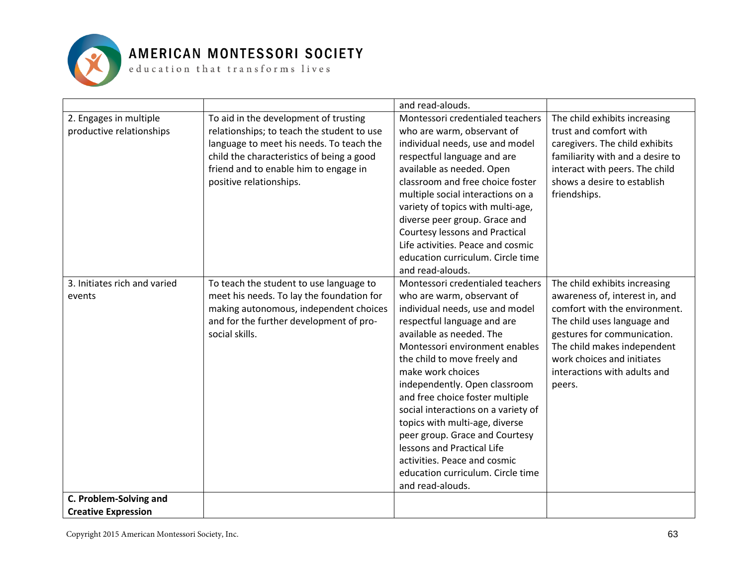

|                                                    |                                                                                                                                                                                                                                                  | and read-alouds.                                                                                                                                                                                                                                                                                                                                                                                                                                                                                                                                          |                                                                                                                                                                                                                                                                       |
|----------------------------------------------------|--------------------------------------------------------------------------------------------------------------------------------------------------------------------------------------------------------------------------------------------------|-----------------------------------------------------------------------------------------------------------------------------------------------------------------------------------------------------------------------------------------------------------------------------------------------------------------------------------------------------------------------------------------------------------------------------------------------------------------------------------------------------------------------------------------------------------|-----------------------------------------------------------------------------------------------------------------------------------------------------------------------------------------------------------------------------------------------------------------------|
| 2. Engages in multiple<br>productive relationships | To aid in the development of trusting<br>relationships; to teach the student to use<br>language to meet his needs. To teach the<br>child the characteristics of being a good<br>friend and to enable him to engage in<br>positive relationships. | Montessori credentialed teachers<br>who are warm, observant of<br>individual needs, use and model<br>respectful language and are<br>available as needed. Open<br>classroom and free choice foster<br>multiple social interactions on a<br>variety of topics with multi-age,<br>diverse peer group. Grace and<br>Courtesy lessons and Practical<br>Life activities. Peace and cosmic<br>education curriculum. Circle time<br>and read-alouds.                                                                                                              | The child exhibits increasing<br>trust and comfort with<br>caregivers. The child exhibits<br>familiarity with and a desire to<br>interact with peers. The child<br>shows a desire to establish<br>friendships.                                                        |
| 3. Initiates rich and varied<br>events             | To teach the student to use language to<br>meet his needs. To lay the foundation for<br>making autonomous, independent choices<br>and for the further development of pro-<br>social skills.                                                      | Montessori credentialed teachers<br>who are warm, observant of<br>individual needs, use and model<br>respectful language and are<br>available as needed. The<br>Montessori environment enables<br>the child to move freely and<br>make work choices<br>independently. Open classroom<br>and free choice foster multiple<br>social interactions on a variety of<br>topics with multi-age, diverse<br>peer group. Grace and Courtesy<br>lessons and Practical Life<br>activities. Peace and cosmic<br>education curriculum. Circle time<br>and read-alouds. | The child exhibits increasing<br>awareness of, interest in, and<br>comfort with the environment.<br>The child uses language and<br>gestures for communication.<br>The child makes independent<br>work choices and initiates<br>interactions with adults and<br>peers. |
| C. Problem-Solving and                             |                                                                                                                                                                                                                                                  |                                                                                                                                                                                                                                                                                                                                                                                                                                                                                                                                                           |                                                                                                                                                                                                                                                                       |
| <b>Creative Expression</b>                         |                                                                                                                                                                                                                                                  |                                                                                                                                                                                                                                                                                                                                                                                                                                                                                                                                                           |                                                                                                                                                                                                                                                                       |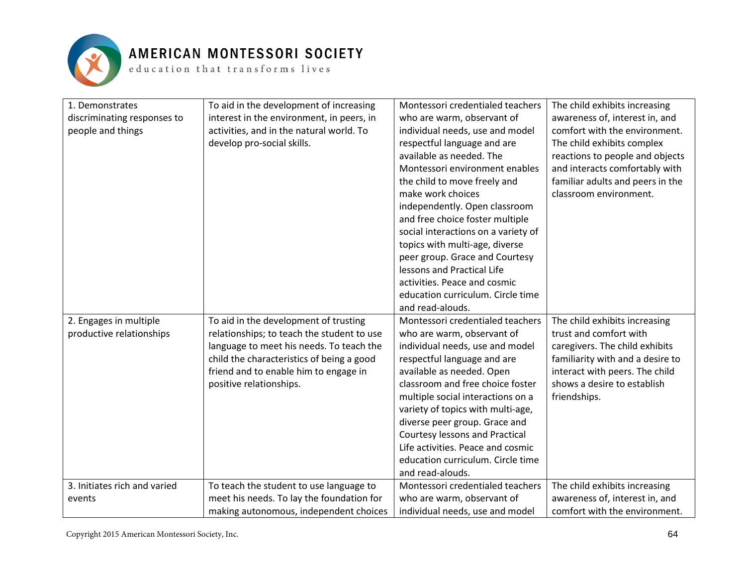

| 1. Demonstrates              | To aid in the development of increasing    | Montessori credentialed teachers    | The child exhibits increasing    |
|------------------------------|--------------------------------------------|-------------------------------------|----------------------------------|
| discriminating responses to  | interest in the environment, in peers, in  | who are warm, observant of          | awareness of, interest in, and   |
| people and things            | activities, and in the natural world. To   | individual needs, use and model     | comfort with the environment.    |
|                              | develop pro-social skills.                 | respectful language and are         | The child exhibits complex       |
|                              |                                            | available as needed. The            | reactions to people and objects  |
|                              |                                            | Montessori environment enables      | and interacts comfortably with   |
|                              |                                            | the child to move freely and        | familiar adults and peers in the |
|                              |                                            | make work choices                   | classroom environment.           |
|                              |                                            | independently. Open classroom       |                                  |
|                              |                                            | and free choice foster multiple     |                                  |
|                              |                                            | social interactions on a variety of |                                  |
|                              |                                            | topics with multi-age, diverse      |                                  |
|                              |                                            | peer group. Grace and Courtesy      |                                  |
|                              |                                            | lessons and Practical Life          |                                  |
|                              |                                            | activities. Peace and cosmic        |                                  |
|                              |                                            | education curriculum. Circle time   |                                  |
|                              |                                            | and read-alouds.                    |                                  |
| 2. Engages in multiple       | To aid in the development of trusting      | Montessori credentialed teachers    | The child exhibits increasing    |
| productive relationships     | relationships; to teach the student to use | who are warm, observant of          | trust and comfort with           |
|                              | language to meet his needs. To teach the   | individual needs, use and model     | caregivers. The child exhibits   |
|                              | child the characteristics of being a good  | respectful language and are         | familiarity with and a desire to |
|                              | friend and to enable him to engage in      | available as needed. Open           | interact with peers. The child   |
|                              | positive relationships.                    | classroom and free choice foster    | shows a desire to establish      |
|                              |                                            | multiple social interactions on a   | friendships.                     |
|                              |                                            | variety of topics with multi-age,   |                                  |
|                              |                                            | diverse peer group. Grace and       |                                  |
|                              |                                            | Courtesy lessons and Practical      |                                  |
|                              |                                            | Life activities. Peace and cosmic   |                                  |
|                              |                                            | education curriculum. Circle time   |                                  |
|                              |                                            | and read-alouds.                    |                                  |
| 3. Initiates rich and varied | To teach the student to use language to    | Montessori credentialed teachers    | The child exhibits increasing    |
| events                       | meet his needs. To lay the foundation for  | who are warm, observant of          | awareness of, interest in, and   |
|                              | making autonomous, independent choices     | individual needs, use and model     | comfort with the environment.    |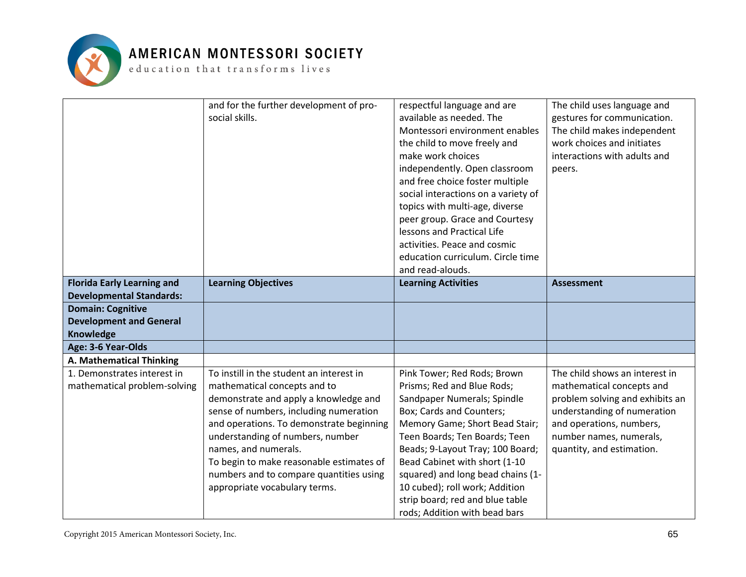

|                                   | and for the further development of pro-<br>social skills. | respectful language and are<br>available as needed. The | The child uses language and     |
|-----------------------------------|-----------------------------------------------------------|---------------------------------------------------------|---------------------------------|
|                                   |                                                           | Montessori environment enables                          | gestures for communication.     |
|                                   |                                                           |                                                         | The child makes independent     |
|                                   |                                                           | the child to move freely and                            | work choices and initiates      |
|                                   |                                                           | make work choices                                       | interactions with adults and    |
|                                   |                                                           | independently. Open classroom                           | peers.                          |
|                                   |                                                           | and free choice foster multiple                         |                                 |
|                                   |                                                           | social interactions on a variety of                     |                                 |
|                                   |                                                           | topics with multi-age, diverse                          |                                 |
|                                   |                                                           | peer group. Grace and Courtesy                          |                                 |
|                                   |                                                           | lessons and Practical Life                              |                                 |
|                                   |                                                           | activities. Peace and cosmic                            |                                 |
|                                   |                                                           | education curriculum. Circle time                       |                                 |
|                                   |                                                           | and read-alouds.                                        |                                 |
| <b>Florida Early Learning and</b> | <b>Learning Objectives</b>                                | <b>Learning Activities</b>                              | <b>Assessment</b>               |
| <b>Developmental Standards:</b>   |                                                           |                                                         |                                 |
| <b>Domain: Cognitive</b>          |                                                           |                                                         |                                 |
| <b>Development and General</b>    |                                                           |                                                         |                                 |
| Knowledge                         |                                                           |                                                         |                                 |
| Age: 3-6 Year-Olds                |                                                           |                                                         |                                 |
| A. Mathematical Thinking          |                                                           |                                                         |                                 |
| 1. Demonstrates interest in       | To instill in the student an interest in                  | Pink Tower; Red Rods; Brown                             | The child shows an interest in  |
| mathematical problem-solving      | mathematical concepts and to                              | Prisms; Red and Blue Rods;                              | mathematical concepts and       |
|                                   | demonstrate and apply a knowledge and                     | Sandpaper Numerals; Spindle                             | problem solving and exhibits an |
|                                   | sense of numbers, including numeration                    | Box; Cards and Counters;                                | understanding of numeration     |
|                                   | and operations. To demonstrate beginning                  | Memory Game; Short Bead Stair;                          | and operations, numbers,        |
|                                   | understanding of numbers, number                          | Teen Boards; Ten Boards; Teen                           | number names, numerals,         |
|                                   | names, and numerals.                                      | Beads; 9-Layout Tray; 100 Board;                        | quantity, and estimation.       |
|                                   | To begin to make reasonable estimates of                  | Bead Cabinet with short (1-10                           |                                 |
|                                   | numbers and to compare quantities using                   | squared) and long bead chains (1-                       |                                 |
|                                   | appropriate vocabulary terms.                             | 10 cubed); roll work; Addition                          |                                 |
|                                   |                                                           | strip board; red and blue table                         |                                 |
|                                   |                                                           | rods; Addition with bead bars                           |                                 |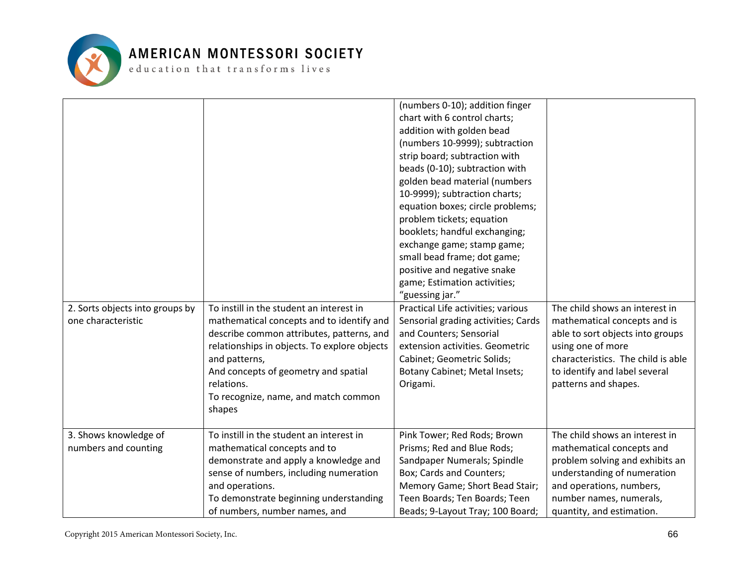

| 2. Sorts objects into groups by<br>one characteristic | To instill in the student an interest in<br>mathematical concepts and to identify and<br>describe common attributes, patterns, and<br>relationships in objects. To explore objects<br>and patterns,<br>And concepts of geometry and spatial<br>relations.<br>To recognize, name, and match common<br>shapes | (numbers 0-10); addition finger<br>chart with 6 control charts;<br>addition with golden bead<br>(numbers 10-9999); subtraction<br>strip board; subtraction with<br>beads (0-10); subtraction with<br>golden bead material (numbers<br>10-9999); subtraction charts;<br>equation boxes; circle problems;<br>problem tickets; equation<br>booklets; handful exchanging;<br>exchange game; stamp game;<br>small bead frame; dot game;<br>positive and negative snake<br>game; Estimation activities;<br>"guessing jar."<br>Practical Life activities; various<br>Sensorial grading activities; Cards<br>and Counters; Sensorial<br>extension activities. Geometric<br>Cabinet; Geometric Solids;<br>Botany Cabinet; Metal Insets;<br>Origami. | The child shows an interest in<br>mathematical concepts and is<br>able to sort objects into groups<br>using one of more<br>characteristics. The child is able<br>to identify and label several<br>patterns and shapes. |
|-------------------------------------------------------|-------------------------------------------------------------------------------------------------------------------------------------------------------------------------------------------------------------------------------------------------------------------------------------------------------------|--------------------------------------------------------------------------------------------------------------------------------------------------------------------------------------------------------------------------------------------------------------------------------------------------------------------------------------------------------------------------------------------------------------------------------------------------------------------------------------------------------------------------------------------------------------------------------------------------------------------------------------------------------------------------------------------------------------------------------------------|------------------------------------------------------------------------------------------------------------------------------------------------------------------------------------------------------------------------|
| 3. Shows knowledge of<br>numbers and counting         | To instill in the student an interest in<br>mathematical concepts and to<br>demonstrate and apply a knowledge and<br>sense of numbers, including numeration<br>and operations.<br>To demonstrate beginning understanding<br>of numbers, number names, and                                                   | Pink Tower; Red Rods; Brown<br>Prisms; Red and Blue Rods;<br>Sandpaper Numerals; Spindle<br>Box; Cards and Counters;<br>Memory Game; Short Bead Stair;<br>Teen Boards; Ten Boards; Teen<br>Beads; 9-Layout Tray; 100 Board;                                                                                                                                                                                                                                                                                                                                                                                                                                                                                                                | The child shows an interest in<br>mathematical concepts and<br>problem solving and exhibits an<br>understanding of numeration<br>and operations, numbers,<br>number names, numerals,<br>quantity, and estimation.      |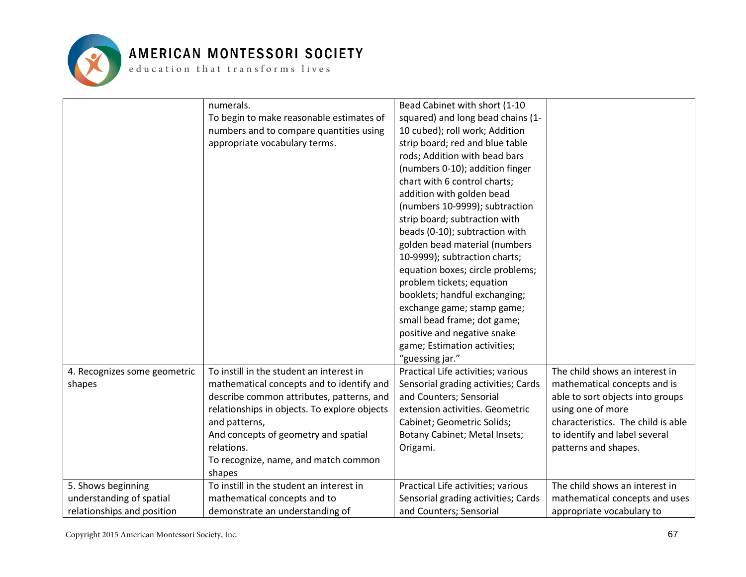

|                              | numerals.                                    | Bead Cabinet with short (1-10       |                                    |
|------------------------------|----------------------------------------------|-------------------------------------|------------------------------------|
|                              | To begin to make reasonable estimates of     | squared) and long bead chains (1-   |                                    |
|                              | numbers and to compare quantities using      | 10 cubed); roll work; Addition      |                                    |
|                              | appropriate vocabulary terms.                | strip board; red and blue table     |                                    |
|                              |                                              | rods; Addition with bead bars       |                                    |
|                              |                                              | (numbers 0-10); addition finger     |                                    |
|                              |                                              | chart with 6 control charts;        |                                    |
|                              |                                              | addition with golden bead           |                                    |
|                              |                                              | (numbers 10-9999); subtraction      |                                    |
|                              |                                              | strip board; subtraction with       |                                    |
|                              |                                              | beads (0-10); subtraction with      |                                    |
|                              |                                              | golden bead material (numbers       |                                    |
|                              |                                              | 10-9999); subtraction charts;       |                                    |
|                              |                                              | equation boxes; circle problems;    |                                    |
|                              |                                              | problem tickets; equation           |                                    |
|                              |                                              | booklets; handful exchanging;       |                                    |
|                              |                                              | exchange game; stamp game;          |                                    |
|                              |                                              | small bead frame; dot game;         |                                    |
|                              |                                              | positive and negative snake         |                                    |
|                              |                                              | game; Estimation activities;        |                                    |
|                              |                                              | "guessing jar."                     |                                    |
| 4. Recognizes some geometric | To instill in the student an interest in     | Practical Life activities; various  | The child shows an interest in     |
| shapes                       | mathematical concepts and to identify and    | Sensorial grading activities; Cards | mathematical concepts and is       |
|                              | describe common attributes, patterns, and    | and Counters; Sensorial             | able to sort objects into groups   |
|                              | relationships in objects. To explore objects | extension activities. Geometric     | using one of more                  |
|                              | and patterns,                                | Cabinet; Geometric Solids;          | characteristics. The child is able |
|                              | And concepts of geometry and spatial         | Botany Cabinet; Metal Insets;       | to identify and label several      |
|                              | relations.                                   | Origami.                            | patterns and shapes.               |
|                              | To recognize, name, and match common         |                                     |                                    |
|                              | shapes                                       |                                     |                                    |
| 5. Shows beginning           | To instill in the student an interest in     | Practical Life activities; various  | The child shows an interest in     |
| understanding of spatial     | mathematical concepts and to                 | Sensorial grading activities; Cards | mathematical concepts and uses     |
| relationships and position   | demonstrate an understanding of              | and Counters; Sensorial             | appropriate vocabulary to          |
|                              |                                              |                                     |                                    |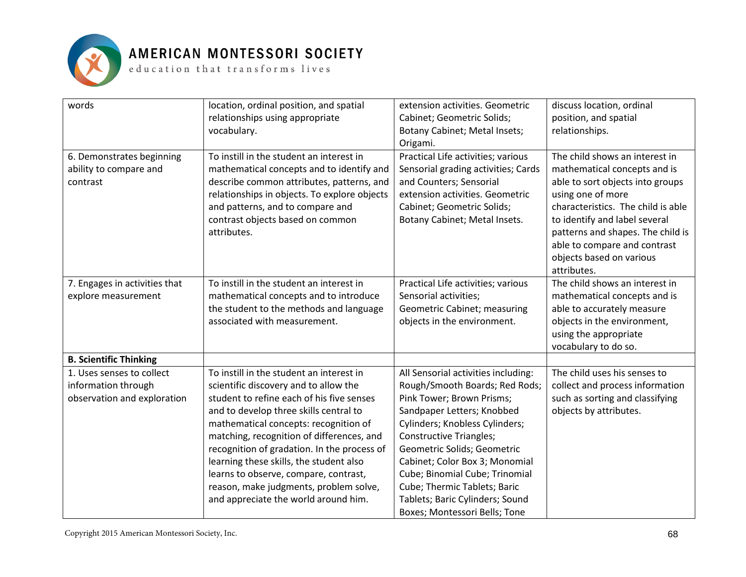

#### AMERICAN MONTESSORI SOCIETY

 ${\tt e}$  ducation that transforms lives

| words                                                                           | location, ordinal position, and spatial<br>relationships using appropriate<br>vocabulary.                                                                                                                                                                                                                                                                                                                                                                                           | extension activities. Geometric<br>Cabinet; Geometric Solids;<br>Botany Cabinet; Metal Insets;                                                                                                                                                                                                                                                                                                              | discuss location, ordinal<br>position, and spatial<br>relationships.                                                                                                                                                                                                                                           |
|---------------------------------------------------------------------------------|-------------------------------------------------------------------------------------------------------------------------------------------------------------------------------------------------------------------------------------------------------------------------------------------------------------------------------------------------------------------------------------------------------------------------------------------------------------------------------------|-------------------------------------------------------------------------------------------------------------------------------------------------------------------------------------------------------------------------------------------------------------------------------------------------------------------------------------------------------------------------------------------------------------|----------------------------------------------------------------------------------------------------------------------------------------------------------------------------------------------------------------------------------------------------------------------------------------------------------------|
|                                                                                 |                                                                                                                                                                                                                                                                                                                                                                                                                                                                                     | Origami.                                                                                                                                                                                                                                                                                                                                                                                                    |                                                                                                                                                                                                                                                                                                                |
| 6. Demonstrates beginning<br>ability to compare and<br>contrast                 | To instill in the student an interest in<br>mathematical concepts and to identify and<br>describe common attributes, patterns, and<br>relationships in objects. To explore objects<br>and patterns, and to compare and<br>contrast objects based on common<br>attributes.                                                                                                                                                                                                           | Practical Life activities; various<br>Sensorial grading activities; Cards<br>and Counters; Sensorial<br>extension activities. Geometric<br>Cabinet; Geometric Solids;<br>Botany Cabinet; Metal Insets.                                                                                                                                                                                                      | The child shows an interest in<br>mathematical concepts and is<br>able to sort objects into groups<br>using one of more<br>characteristics. The child is able<br>to identify and label several<br>patterns and shapes. The child is<br>able to compare and contrast<br>objects based on various<br>attributes. |
| 7. Engages in activities that<br>explore measurement                            | To instill in the student an interest in<br>mathematical concepts and to introduce<br>the student to the methods and language<br>associated with measurement.                                                                                                                                                                                                                                                                                                                       | Practical Life activities; various<br>Sensorial activities;<br>Geometric Cabinet; measuring<br>objects in the environment.                                                                                                                                                                                                                                                                                  | The child shows an interest in<br>mathematical concepts and is<br>able to accurately measure<br>objects in the environment,<br>using the appropriate<br>vocabulary to do so.                                                                                                                                   |
| <b>B. Scientific Thinking</b>                                                   |                                                                                                                                                                                                                                                                                                                                                                                                                                                                                     |                                                                                                                                                                                                                                                                                                                                                                                                             |                                                                                                                                                                                                                                                                                                                |
| 1. Uses senses to collect<br>information through<br>observation and exploration | To instill in the student an interest in<br>scientific discovery and to allow the<br>student to refine each of his five senses<br>and to develop three skills central to<br>mathematical concepts: recognition of<br>matching, recognition of differences, and<br>recognition of gradation. In the process of<br>learning these skills, the student also<br>learns to observe, compare, contrast,<br>reason, make judgments, problem solve,<br>and appreciate the world around him. | All Sensorial activities including:<br>Rough/Smooth Boards; Red Rods;<br>Pink Tower; Brown Prisms;<br>Sandpaper Letters; Knobbed<br>Cylinders; Knobless Cylinders;<br><b>Constructive Triangles;</b><br>Geometric Solids; Geometric<br>Cabinet; Color Box 3; Monomial<br>Cube; Binomial Cube; Trinomial<br>Cube; Thermic Tablets; Baric<br>Tablets; Baric Cylinders; Sound<br>Boxes; Montessori Bells; Tone | The child uses his senses to<br>collect and process information<br>such as sorting and classifying<br>objects by attributes.                                                                                                                                                                                   |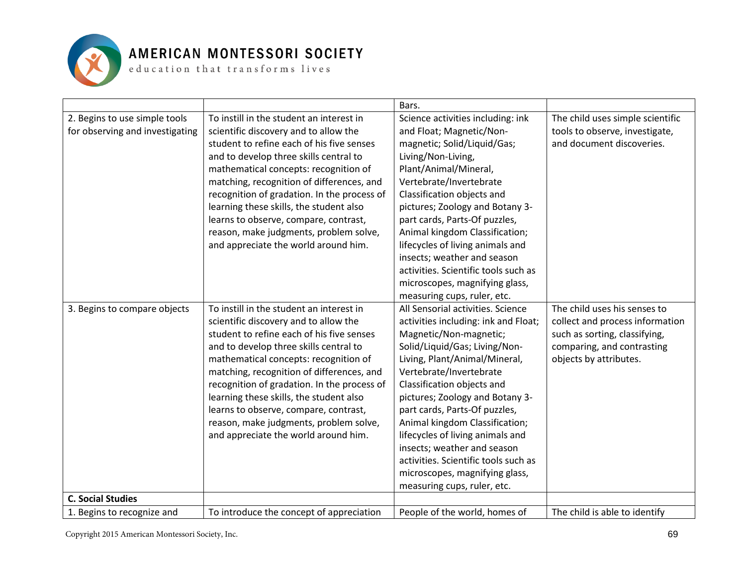

|                                 |                                             | Bars.                                |                                  |
|---------------------------------|---------------------------------------------|--------------------------------------|----------------------------------|
| 2. Begins to use simple tools   | To instill in the student an interest in    | Science activities including: ink    | The child uses simple scientific |
| for observing and investigating | scientific discovery and to allow the       | and Float; Magnetic/Non-             | tools to observe, investigate,   |
|                                 | student to refine each of his five senses   | magnetic; Solid/Liquid/Gas;          | and document discoveries.        |
|                                 | and to develop three skills central to      | Living/Non-Living,                   |                                  |
|                                 | mathematical concepts: recognition of       | Plant/Animal/Mineral,                |                                  |
|                                 | matching, recognition of differences, and   | Vertebrate/Invertebrate              |                                  |
|                                 | recognition of gradation. In the process of | Classification objects and           |                                  |
|                                 | learning these skills, the student also     | pictures; Zoology and Botany 3-      |                                  |
|                                 | learns to observe, compare, contrast,       | part cards, Parts-Of puzzles,        |                                  |
|                                 | reason, make judgments, problem solve,      | Animal kingdom Classification;       |                                  |
|                                 | and appreciate the world around him.        | lifecycles of living animals and     |                                  |
|                                 |                                             | insects; weather and season          |                                  |
|                                 |                                             | activities. Scientific tools such as |                                  |
|                                 |                                             | microscopes, magnifying glass,       |                                  |
|                                 |                                             | measuring cups, ruler, etc.          |                                  |
| 3. Begins to compare objects    | To instill in the student an interest in    | All Sensorial activities. Science    | The child uses his senses to     |
|                                 | scientific discovery and to allow the       | activities including: ink and Float; | collect and process information  |
|                                 | student to refine each of his five senses   | Magnetic/Non-magnetic;               | such as sorting, classifying,    |
|                                 | and to develop three skills central to      | Solid/Liquid/Gas; Living/Non-        | comparing, and contrasting       |
|                                 | mathematical concepts: recognition of       | Living, Plant/Animal/Mineral,        | objects by attributes.           |
|                                 | matching, recognition of differences, and   | Vertebrate/Invertebrate              |                                  |
|                                 | recognition of gradation. In the process of | Classification objects and           |                                  |
|                                 | learning these skills, the student also     | pictures; Zoology and Botany 3-      |                                  |
|                                 | learns to observe, compare, contrast,       | part cards, Parts-Of puzzles,        |                                  |
|                                 | reason, make judgments, problem solve,      | Animal kingdom Classification;       |                                  |
|                                 | and appreciate the world around him.        | lifecycles of living animals and     |                                  |
|                                 |                                             | insects; weather and season          |                                  |
|                                 |                                             | activities. Scientific tools such as |                                  |
|                                 |                                             | microscopes, magnifying glass,       |                                  |
|                                 |                                             | measuring cups, ruler, etc.          |                                  |
| <b>C. Social Studies</b>        |                                             |                                      |                                  |
| 1. Begins to recognize and      | To introduce the concept of appreciation    | People of the world, homes of        | The child is able to identify    |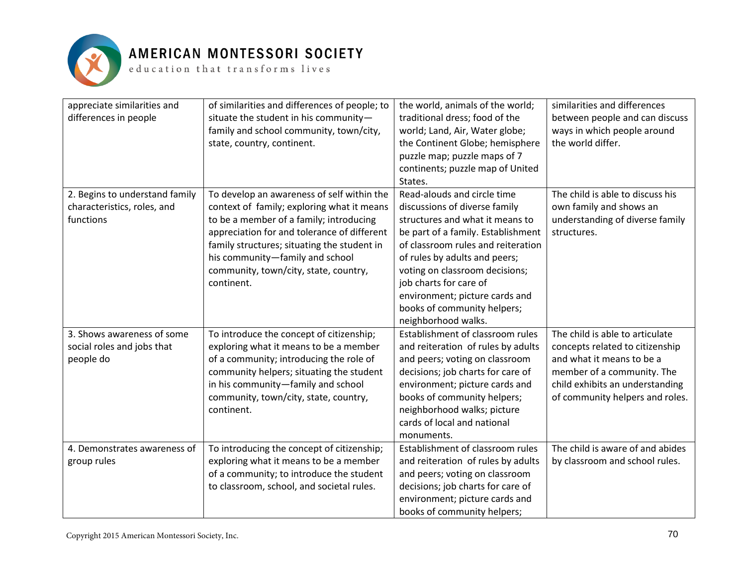

| appreciate similarities and<br>differences in people                       | of similarities and differences of people; to<br>situate the student in his community-<br>family and school community, town/city,<br>state, country, continent.                                                                                                                                                             | the world, animals of the world;<br>traditional dress; food of the<br>world; Land, Air, Water globe;<br>the Continent Globe; hemisphere<br>puzzle map; puzzle maps of 7<br>continents; puzzle map of United<br>States.                                                                                                                                           | similarities and differences<br>between people and can discuss<br>ways in which people around<br>the world differ.                                                                                  |
|----------------------------------------------------------------------------|-----------------------------------------------------------------------------------------------------------------------------------------------------------------------------------------------------------------------------------------------------------------------------------------------------------------------------|------------------------------------------------------------------------------------------------------------------------------------------------------------------------------------------------------------------------------------------------------------------------------------------------------------------------------------------------------------------|-----------------------------------------------------------------------------------------------------------------------------------------------------------------------------------------------------|
| 2. Begins to understand family<br>characteristics, roles, and<br>functions | To develop an awareness of self within the<br>context of family; exploring what it means<br>to be a member of a family; introducing<br>appreciation for and tolerance of different<br>family structures; situating the student in<br>his community-family and school<br>community, town/city, state, country,<br>continent. | Read-alouds and circle time<br>discussions of diverse family<br>structures and what it means to<br>be part of a family. Establishment<br>of classroom rules and reiteration<br>of rules by adults and peers;<br>voting on classroom decisions;<br>job charts for care of<br>environment; picture cards and<br>books of community helpers;<br>neighborhood walks. | The child is able to discuss his<br>own family and shows an<br>understanding of diverse family<br>structures.                                                                                       |
| 3. Shows awareness of some<br>social roles and jobs that<br>people do      | To introduce the concept of citizenship;<br>exploring what it means to be a member<br>of a community; introducing the role of<br>community helpers; situating the student<br>in his community-family and school<br>community, town/city, state, country,<br>continent.                                                      | Establishment of classroom rules<br>and reiteration of rules by adults<br>and peers; voting on classroom<br>decisions; job charts for care of<br>environment; picture cards and<br>books of community helpers;<br>neighborhood walks; picture<br>cards of local and national<br>monuments.                                                                       | The child is able to articulate<br>concepts related to citizenship<br>and what it means to be a<br>member of a community. The<br>child exhibits an understanding<br>of community helpers and roles. |
| 4. Demonstrates awareness of<br>group rules                                | To introducing the concept of citizenship;<br>exploring what it means to be a member<br>of a community; to introduce the student<br>to classroom, school, and societal rules.                                                                                                                                               | Establishment of classroom rules<br>and reiteration of rules by adults<br>and peers; voting on classroom<br>decisions; job charts for care of<br>environment; picture cards and<br>books of community helpers;                                                                                                                                                   | The child is aware of and abides<br>by classroom and school rules.                                                                                                                                  |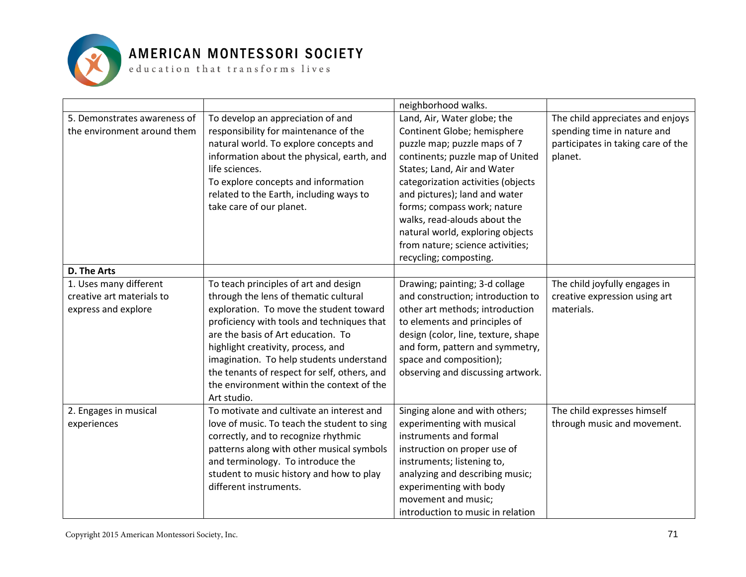

|                                                                            |                                                                                                                                                                                                                                                                                                                                                                                                             | neighborhood walks.                                                                                                                                                                                                                                                                                                                                                                                   |                                                                                                                  |
|----------------------------------------------------------------------------|-------------------------------------------------------------------------------------------------------------------------------------------------------------------------------------------------------------------------------------------------------------------------------------------------------------------------------------------------------------------------------------------------------------|-------------------------------------------------------------------------------------------------------------------------------------------------------------------------------------------------------------------------------------------------------------------------------------------------------------------------------------------------------------------------------------------------------|------------------------------------------------------------------------------------------------------------------|
| 5. Demonstrates awareness of<br>the environment around them                | To develop an appreciation of and<br>responsibility for maintenance of the<br>natural world. To explore concepts and<br>information about the physical, earth, and<br>life sciences.<br>To explore concepts and information<br>related to the Earth, including ways to<br>take care of our planet.                                                                                                          | Land, Air, Water globe; the<br>Continent Globe; hemisphere<br>puzzle map; puzzle maps of 7<br>continents; puzzle map of United<br>States; Land, Air and Water<br>categorization activities (objects<br>and pictures); land and water<br>forms; compass work; nature<br>walks, read-alouds about the<br>natural world, exploring objects<br>from nature; science activities;<br>recycling; composting. | The child appreciates and enjoys<br>spending time in nature and<br>participates in taking care of the<br>planet. |
| D. The Arts                                                                |                                                                                                                                                                                                                                                                                                                                                                                                             |                                                                                                                                                                                                                                                                                                                                                                                                       |                                                                                                                  |
| 1. Uses many different<br>creative art materials to<br>express and explore | To teach principles of art and design<br>through the lens of thematic cultural<br>exploration. To move the student toward<br>proficiency with tools and techniques that<br>are the basis of Art education. To<br>highlight creativity, process, and<br>imagination. To help students understand<br>the tenants of respect for self, others, and<br>the environment within the context of the<br>Art studio. | Drawing; painting; 3-d collage<br>and construction; introduction to<br>other art methods; introduction<br>to elements and principles of<br>design (color, line, texture, shape<br>and form, pattern and symmetry,<br>space and composition);<br>observing and discussing artwork.                                                                                                                     | The child joyfully engages in<br>creative expression using art<br>materials.                                     |
| 2. Engages in musical<br>experiences                                       | To motivate and cultivate an interest and<br>love of music. To teach the student to sing<br>correctly, and to recognize rhythmic<br>patterns along with other musical symbols<br>and terminology. To introduce the<br>student to music history and how to play<br>different instruments.                                                                                                                    | Singing alone and with others;<br>experimenting with musical<br>instruments and formal<br>instruction on proper use of<br>instruments; listening to,<br>analyzing and describing music;<br>experimenting with body<br>movement and music;<br>introduction to music in relation                                                                                                                        | The child expresses himself<br>through music and movement.                                                       |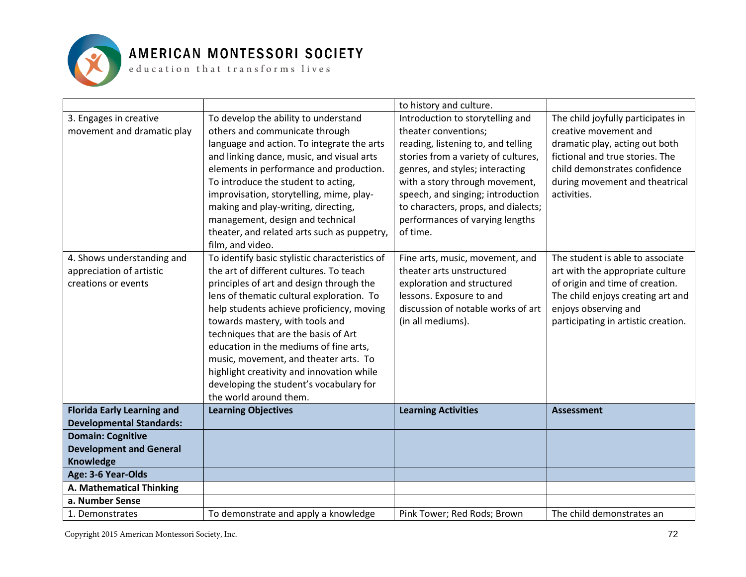

|                                                                               |                                                                                                                                                                                                                                                                                                                                                                                                                                                                                                                 | to history and culture.                                                                                                                                                                                                                                                                                                               |                                                                                                                                                                                                                    |
|-------------------------------------------------------------------------------|-----------------------------------------------------------------------------------------------------------------------------------------------------------------------------------------------------------------------------------------------------------------------------------------------------------------------------------------------------------------------------------------------------------------------------------------------------------------------------------------------------------------|---------------------------------------------------------------------------------------------------------------------------------------------------------------------------------------------------------------------------------------------------------------------------------------------------------------------------------------|--------------------------------------------------------------------------------------------------------------------------------------------------------------------------------------------------------------------|
| 3. Engages in creative<br>movement and dramatic play                          | To develop the ability to understand<br>others and communicate through<br>language and action. To integrate the arts<br>and linking dance, music, and visual arts<br>elements in performance and production.<br>To introduce the student to acting,<br>improvisation, storytelling, mime, play-<br>making and play-writing, directing,<br>management, design and technical<br>theater, and related arts such as puppetry,<br>film, and video.                                                                   | Introduction to storytelling and<br>theater conventions;<br>reading, listening to, and telling<br>stories from a variety of cultures,<br>genres, and styles; interacting<br>with a story through movement,<br>speech, and singing; introduction<br>to characters, props, and dialects;<br>performances of varying lengths<br>of time. | The child joyfully participates in<br>creative movement and<br>dramatic play, acting out both<br>fictional and true stories. The<br>child demonstrates confidence<br>during movement and theatrical<br>activities. |
| 4. Shows understanding and<br>appreciation of artistic<br>creations or events | To identify basic stylistic characteristics of<br>the art of different cultures. To teach<br>principles of art and design through the<br>lens of thematic cultural exploration. To<br>help students achieve proficiency, moving<br>towards mastery, with tools and<br>techniques that are the basis of Art<br>education in the mediums of fine arts,<br>music, movement, and theater arts. To<br>highlight creativity and innovation while<br>developing the student's vocabulary for<br>the world around them. | Fine arts, music, movement, and<br>theater arts unstructured<br>exploration and structured<br>lessons. Exposure to and<br>discussion of notable works of art<br>(in all mediums).                                                                                                                                                     | The student is able to associate<br>art with the appropriate culture<br>of origin and time of creation.<br>The child enjoys creating art and<br>enjoys observing and<br>participating in artistic creation.        |
| <b>Florida Early Learning and</b>                                             | <b>Learning Objectives</b>                                                                                                                                                                                                                                                                                                                                                                                                                                                                                      | <b>Learning Activities</b>                                                                                                                                                                                                                                                                                                            | <b>Assessment</b>                                                                                                                                                                                                  |
| <b>Developmental Standards:</b><br><b>Domain: Cognitive</b>                   |                                                                                                                                                                                                                                                                                                                                                                                                                                                                                                                 |                                                                                                                                                                                                                                                                                                                                       |                                                                                                                                                                                                                    |
| <b>Development and General</b>                                                |                                                                                                                                                                                                                                                                                                                                                                                                                                                                                                                 |                                                                                                                                                                                                                                                                                                                                       |                                                                                                                                                                                                                    |
| Knowledge                                                                     |                                                                                                                                                                                                                                                                                                                                                                                                                                                                                                                 |                                                                                                                                                                                                                                                                                                                                       |                                                                                                                                                                                                                    |
| Age: 3-6 Year-Olds                                                            |                                                                                                                                                                                                                                                                                                                                                                                                                                                                                                                 |                                                                                                                                                                                                                                                                                                                                       |                                                                                                                                                                                                                    |
| A. Mathematical Thinking                                                      |                                                                                                                                                                                                                                                                                                                                                                                                                                                                                                                 |                                                                                                                                                                                                                                                                                                                                       |                                                                                                                                                                                                                    |
| a. Number Sense                                                               |                                                                                                                                                                                                                                                                                                                                                                                                                                                                                                                 |                                                                                                                                                                                                                                                                                                                                       |                                                                                                                                                                                                                    |
| 1. Demonstrates                                                               | To demonstrate and apply a knowledge                                                                                                                                                                                                                                                                                                                                                                                                                                                                            | Pink Tower; Red Rods; Brown                                                                                                                                                                                                                                                                                                           | The child demonstrates an                                                                                                                                                                                          |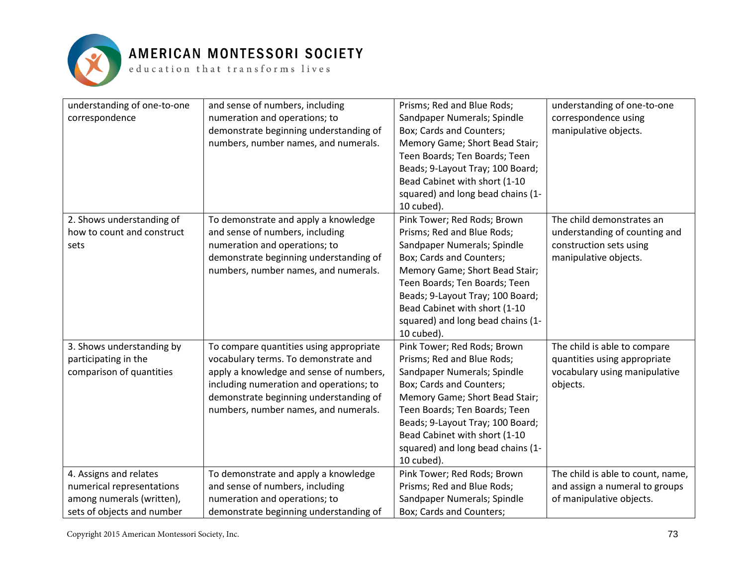

| understanding of one-to-one<br>correspondence                                                                  | and sense of numbers, including<br>numeration and operations; to<br>demonstrate beginning understanding of<br>numbers, number names, and numerals.                                                                                                      | Prisms; Red and Blue Rods;<br>Sandpaper Numerals; Spindle<br>Box; Cards and Counters;<br>Memory Game; Short Bead Stair;<br>Teen Boards; Ten Boards; Teen<br>Beads; 9-Layout Tray; 100 Board;<br>Bead Cabinet with short (1-10<br>squared) and long bead chains (1-<br>10 cubed).                                | understanding of one-to-one<br>correspondence using<br>manipulative objects.                                   |
|----------------------------------------------------------------------------------------------------------------|---------------------------------------------------------------------------------------------------------------------------------------------------------------------------------------------------------------------------------------------------------|-----------------------------------------------------------------------------------------------------------------------------------------------------------------------------------------------------------------------------------------------------------------------------------------------------------------|----------------------------------------------------------------------------------------------------------------|
| 2. Shows understanding of<br>how to count and construct<br>sets                                                | To demonstrate and apply a knowledge<br>and sense of numbers, including<br>numeration and operations; to<br>demonstrate beginning understanding of<br>numbers, number names, and numerals.                                                              | Pink Tower; Red Rods; Brown<br>Prisms; Red and Blue Rods;<br>Sandpaper Numerals; Spindle<br>Box; Cards and Counters;<br>Memory Game; Short Bead Stair;<br>Teen Boards; Ten Boards; Teen<br>Beads; 9-Layout Tray; 100 Board;<br>Bead Cabinet with short (1-10<br>squared) and long bead chains (1-<br>10 cubed). | The child demonstrates an<br>understanding of counting and<br>construction sets using<br>manipulative objects. |
| 3. Shows understanding by<br>participating in the<br>comparison of quantities                                  | To compare quantities using appropriate<br>vocabulary terms. To demonstrate and<br>apply a knowledge and sense of numbers,<br>including numeration and operations; to<br>demonstrate beginning understanding of<br>numbers, number names, and numerals. | Pink Tower; Red Rods; Brown<br>Prisms; Red and Blue Rods;<br>Sandpaper Numerals; Spindle<br>Box; Cards and Counters;<br>Memory Game; Short Bead Stair;<br>Teen Boards; Ten Boards; Teen<br>Beads; 9-Layout Tray; 100 Board;<br>Bead Cabinet with short (1-10<br>squared) and long bead chains (1-<br>10 cubed). | The child is able to compare<br>quantities using appropriate<br>vocabulary using manipulative<br>objects.      |
| 4. Assigns and relates<br>numerical representations<br>among numerals (written),<br>sets of objects and number | To demonstrate and apply a knowledge<br>and sense of numbers, including<br>numeration and operations; to<br>demonstrate beginning understanding of                                                                                                      | Pink Tower; Red Rods; Brown<br>Prisms; Red and Blue Rods;<br>Sandpaper Numerals; Spindle<br>Box; Cards and Counters;                                                                                                                                                                                            | The child is able to count, name,<br>and assign a numeral to groups<br>of manipulative objects.                |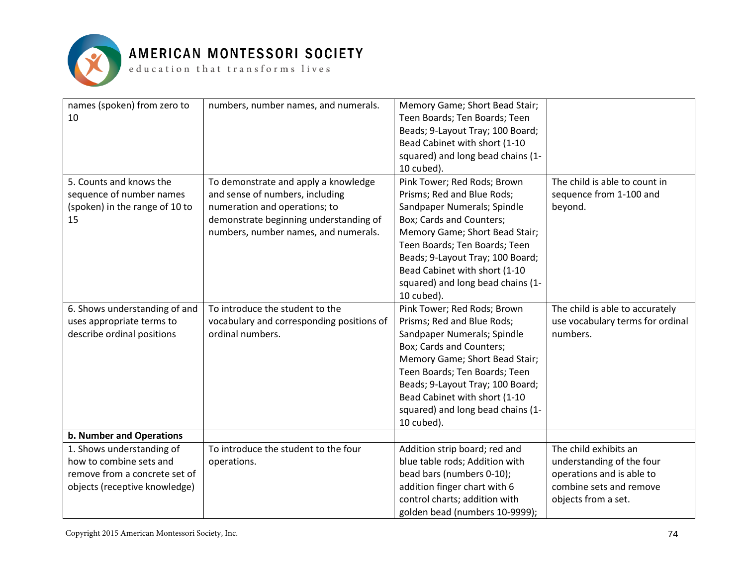

### AMERICAN MONTESSORI SOCIETY

 ${\tt e}$  ducation that transforms lives

| names (spoken) from zero to<br>10 | numbers, number names, and numerals.      | Memory Game; Short Bead Stair;<br>Teen Boards; Ten Boards; Teen<br>Beads; 9-Layout Tray; 100 Board;<br>Bead Cabinet with short (1-10<br>squared) and long bead chains (1-<br>10 cubed). |                                                      |
|-----------------------------------|-------------------------------------------|-----------------------------------------------------------------------------------------------------------------------------------------------------------------------------------------|------------------------------------------------------|
| 5. Counts and knows the           | To demonstrate and apply a knowledge      | Pink Tower; Red Rods; Brown                                                                                                                                                             | The child is able to count in                        |
| sequence of number names          | and sense of numbers, including           | Prisms; Red and Blue Rods;                                                                                                                                                              | sequence from 1-100 and                              |
| (spoken) in the range of 10 to    | numeration and operations; to             | Sandpaper Numerals; Spindle                                                                                                                                                             | beyond.                                              |
| 15                                | demonstrate beginning understanding of    | Box; Cards and Counters;                                                                                                                                                                |                                                      |
|                                   | numbers, number names, and numerals.      | Memory Game; Short Bead Stair;                                                                                                                                                          |                                                      |
|                                   |                                           | Teen Boards; Ten Boards; Teen                                                                                                                                                           |                                                      |
|                                   |                                           | Beads; 9-Layout Tray; 100 Board;                                                                                                                                                        |                                                      |
|                                   |                                           | Bead Cabinet with short (1-10                                                                                                                                                           |                                                      |
|                                   |                                           | squared) and long bead chains (1-                                                                                                                                                       |                                                      |
|                                   |                                           | 10 cubed).                                                                                                                                                                              |                                                      |
| 6. Shows understanding of and     | To introduce the student to the           | Pink Tower; Red Rods; Brown                                                                                                                                                             | The child is able to accurately                      |
| uses appropriate terms to         | vocabulary and corresponding positions of | Prisms; Red and Blue Rods;                                                                                                                                                              | use vocabulary terms for ordinal                     |
| describe ordinal positions        | ordinal numbers.                          | Sandpaper Numerals; Spindle                                                                                                                                                             | numbers.                                             |
|                                   |                                           | Box; Cards and Counters;                                                                                                                                                                |                                                      |
|                                   |                                           | Memory Game; Short Bead Stair;                                                                                                                                                          |                                                      |
|                                   |                                           | Teen Boards; Ten Boards; Teen                                                                                                                                                           |                                                      |
|                                   |                                           | Beads; 9-Layout Tray; 100 Board;                                                                                                                                                        |                                                      |
|                                   |                                           | Bead Cabinet with short (1-10                                                                                                                                                           |                                                      |
|                                   |                                           | squared) and long bead chains (1-                                                                                                                                                       |                                                      |
|                                   |                                           | 10 cubed).                                                                                                                                                                              |                                                      |
| b. Number and Operations          |                                           |                                                                                                                                                                                         |                                                      |
| 1. Shows understanding of         | To introduce the student to the four      | Addition strip board; red and                                                                                                                                                           | The child exhibits an                                |
| how to combine sets and           | operations.                               | blue table rods; Addition with                                                                                                                                                          | understanding of the four                            |
| remove from a concrete set of     |                                           | bead bars (numbers 0-10);                                                                                                                                                               | operations and is able to<br>combine sets and remove |
| objects (receptive knowledge)     |                                           | addition finger chart with 6<br>control charts; addition with                                                                                                                           |                                                      |
|                                   |                                           |                                                                                                                                                                                         | objects from a set.                                  |
|                                   |                                           | golden bead (numbers 10-9999);                                                                                                                                                          |                                                      |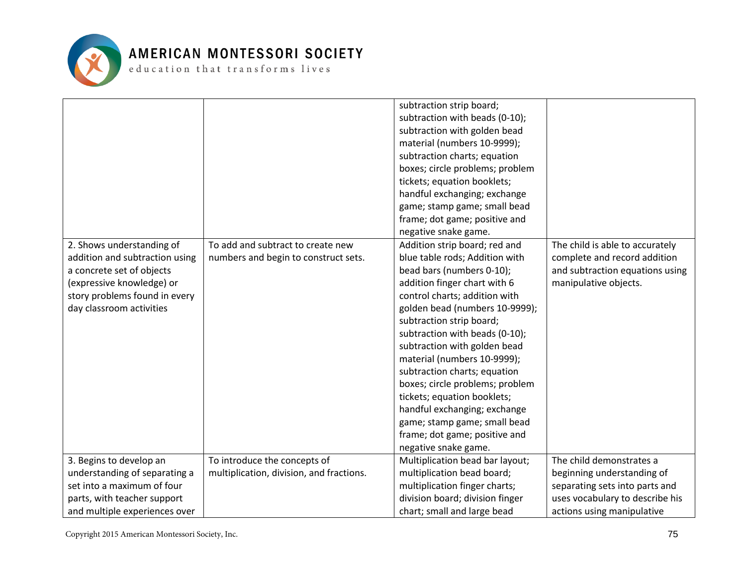

|                                |                                          | subtraction strip board;        |                                 |
|--------------------------------|------------------------------------------|---------------------------------|---------------------------------|
|                                |                                          | subtraction with beads (0-10);  |                                 |
|                                |                                          | subtraction with golden bead    |                                 |
|                                |                                          | material (numbers 10-9999);     |                                 |
|                                |                                          | subtraction charts; equation    |                                 |
|                                |                                          | boxes; circle problems; problem |                                 |
|                                |                                          | tickets; equation booklets;     |                                 |
|                                |                                          | handful exchanging; exchange    |                                 |
|                                |                                          | game; stamp game; small bead    |                                 |
|                                |                                          | frame; dot game; positive and   |                                 |
|                                |                                          | negative snake game.            |                                 |
| 2. Shows understanding of      | To add and subtract to create new        | Addition strip board; red and   | The child is able to accurately |
| addition and subtraction using | numbers and begin to construct sets.     | blue table rods; Addition with  | complete and record addition    |
| a concrete set of objects      |                                          | bead bars (numbers 0-10);       | and subtraction equations using |
| (expressive knowledge) or      |                                          | addition finger chart with 6    | manipulative objects.           |
| story problems found in every  |                                          | control charts; addition with   |                                 |
| day classroom activities       |                                          | golden bead (numbers 10-9999);  |                                 |
|                                |                                          | subtraction strip board;        |                                 |
|                                |                                          | subtraction with beads (0-10);  |                                 |
|                                |                                          | subtraction with golden bead    |                                 |
|                                |                                          | material (numbers 10-9999);     |                                 |
|                                |                                          | subtraction charts; equation    |                                 |
|                                |                                          | boxes; circle problems; problem |                                 |
|                                |                                          | tickets; equation booklets;     |                                 |
|                                |                                          | handful exchanging; exchange    |                                 |
|                                |                                          | game; stamp game; small bead    |                                 |
|                                |                                          | frame; dot game; positive and   |                                 |
|                                |                                          | negative snake game.            |                                 |
| 3. Begins to develop an        | To introduce the concepts of             | Multiplication bead bar layout; | The child demonstrates a        |
| understanding of separating a  | multiplication, division, and fractions. | multiplication bead board;      | beginning understanding of      |
| set into a maximum of four     |                                          | multiplication finger charts;   | separating sets into parts and  |
| parts, with teacher support    |                                          | division board; division finger | uses vocabulary to describe his |
| and multiple experiences over  |                                          | chart; small and large bead     | actions using manipulative      |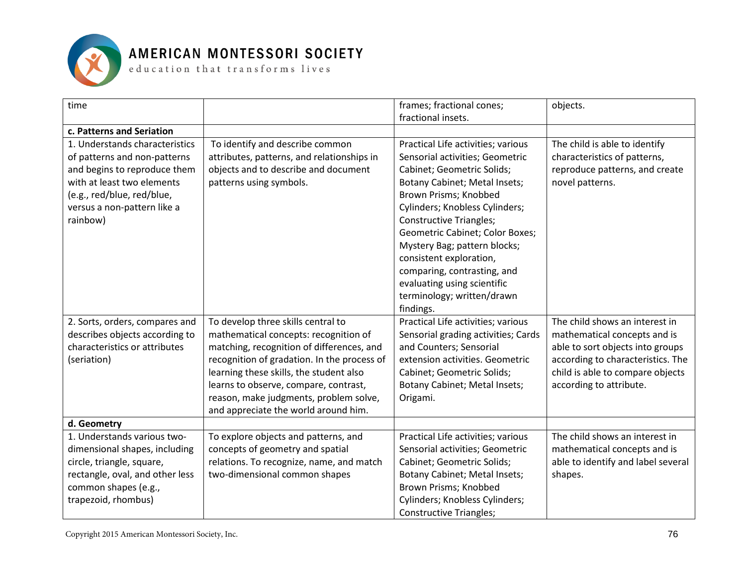

| time                                                                                                                                                                                                  |                                                                                                                                                                                                                                                                                                                                               | frames; fractional cones;<br>fractional insets.                                                                                                                                                                                                                                                                                                                                                                                          | objects.                                                                                                                                                                                               |
|-------------------------------------------------------------------------------------------------------------------------------------------------------------------------------------------------------|-----------------------------------------------------------------------------------------------------------------------------------------------------------------------------------------------------------------------------------------------------------------------------------------------------------------------------------------------|------------------------------------------------------------------------------------------------------------------------------------------------------------------------------------------------------------------------------------------------------------------------------------------------------------------------------------------------------------------------------------------------------------------------------------------|--------------------------------------------------------------------------------------------------------------------------------------------------------------------------------------------------------|
| c. Patterns and Seriation                                                                                                                                                                             |                                                                                                                                                                                                                                                                                                                                               |                                                                                                                                                                                                                                                                                                                                                                                                                                          |                                                                                                                                                                                                        |
| 1. Understands characteristics<br>of patterns and non-patterns<br>and begins to reproduce them<br>with at least two elements<br>(e.g., red/blue, red/blue,<br>versus a non-pattern like a<br>rainbow) | To identify and describe common<br>attributes, patterns, and relationships in<br>objects and to describe and document<br>patterns using symbols.                                                                                                                                                                                              | Practical Life activities; various<br>Sensorial activities; Geometric<br>Cabinet; Geometric Solids;<br>Botany Cabinet; Metal Insets;<br>Brown Prisms; Knobbed<br>Cylinders; Knobless Cylinders;<br><b>Constructive Triangles;</b><br>Geometric Cabinet; Color Boxes;<br>Mystery Bag; pattern blocks;<br>consistent exploration,<br>comparing, contrasting, and<br>evaluating using scientific<br>terminology; written/drawn<br>findings. | The child is able to identify<br>characteristics of patterns,<br>reproduce patterns, and create<br>novel patterns.                                                                                     |
| 2. Sorts, orders, compares and<br>describes objects according to<br>characteristics or attributes<br>(seriation)                                                                                      | To develop three skills central to<br>mathematical concepts: recognition of<br>matching, recognition of differences, and<br>recognition of gradation. In the process of<br>learning these skills, the student also<br>learns to observe, compare, contrast,<br>reason, make judgments, problem solve,<br>and appreciate the world around him. | Practical Life activities; various<br>Sensorial grading activities; Cards<br>and Counters; Sensorial<br>extension activities. Geometric<br>Cabinet; Geometric Solids;<br>Botany Cabinet; Metal Insets;<br>Origami.                                                                                                                                                                                                                       | The child shows an interest in<br>mathematical concepts and is<br>able to sort objects into groups<br>according to characteristics. The<br>child is able to compare objects<br>according to attribute. |
| d. Geometry                                                                                                                                                                                           |                                                                                                                                                                                                                                                                                                                                               |                                                                                                                                                                                                                                                                                                                                                                                                                                          |                                                                                                                                                                                                        |
| 1. Understands various two-<br>dimensional shapes, including<br>circle, triangle, square,<br>rectangle, oval, and other less<br>common shapes (e.g.,<br>trapezoid, rhombus)                           | To explore objects and patterns, and<br>concepts of geometry and spatial<br>relations. To recognize, name, and match<br>two-dimensional common shapes                                                                                                                                                                                         | Practical Life activities; various<br>Sensorial activities; Geometric<br>Cabinet; Geometric Solids;<br>Botany Cabinet; Metal Insets;<br>Brown Prisms; Knobbed<br>Cylinders; Knobless Cylinders;<br><b>Constructive Triangles;</b>                                                                                                                                                                                                        | The child shows an interest in<br>mathematical concepts and is<br>able to identify and label several<br>shapes.                                                                                        |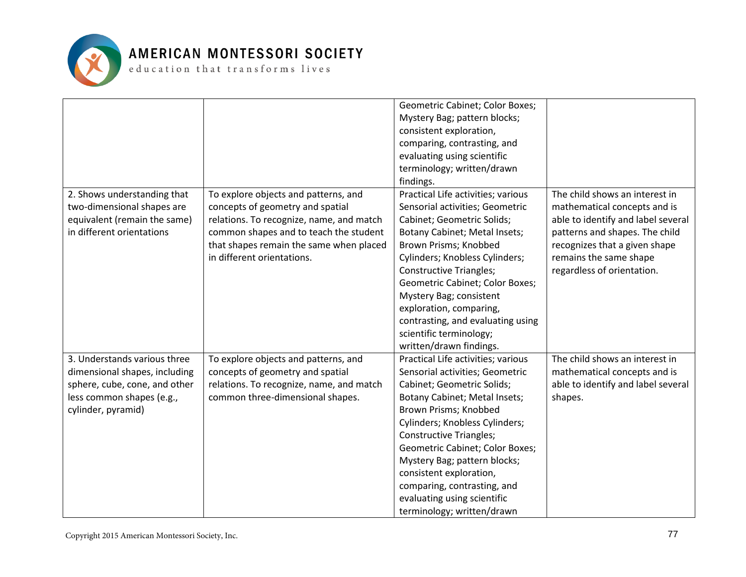

|                                                                                                                                                   |                                                                                                                                                                                                                                         | Geometric Cabinet; Color Boxes;<br>Mystery Bag; pattern blocks;<br>consistent exploration,<br>comparing, contrasting, and<br>evaluating using scientific<br>terminology; written/drawn<br>findings.                                                                                                                                                                                                                         |                                                                                                                                                                                                                                 |
|---------------------------------------------------------------------------------------------------------------------------------------------------|-----------------------------------------------------------------------------------------------------------------------------------------------------------------------------------------------------------------------------------------|-----------------------------------------------------------------------------------------------------------------------------------------------------------------------------------------------------------------------------------------------------------------------------------------------------------------------------------------------------------------------------------------------------------------------------|---------------------------------------------------------------------------------------------------------------------------------------------------------------------------------------------------------------------------------|
| 2. Shows understanding that<br>two-dimensional shapes are<br>equivalent (remain the same)<br>in different orientations                            | To explore objects and patterns, and<br>concepts of geometry and spatial<br>relations. To recognize, name, and match<br>common shapes and to teach the student<br>that shapes remain the same when placed<br>in different orientations. | Practical Life activities; various<br>Sensorial activities; Geometric<br>Cabinet; Geometric Solids;<br>Botany Cabinet; Metal Insets;<br>Brown Prisms; Knobbed<br>Cylinders; Knobless Cylinders;<br><b>Constructive Triangles;</b><br>Geometric Cabinet; Color Boxes;<br>Mystery Bag; consistent<br>exploration, comparing,<br>contrasting, and evaluating using<br>scientific terminology;<br>written/drawn findings.       | The child shows an interest in<br>mathematical concepts and is<br>able to identify and label several<br>patterns and shapes. The child<br>recognizes that a given shape<br>remains the same shape<br>regardless of orientation. |
| 3. Understands various three<br>dimensional shapes, including<br>sphere, cube, cone, and other<br>less common shapes (e.g.,<br>cylinder, pyramid) | To explore objects and patterns, and<br>concepts of geometry and spatial<br>relations. To recognize, name, and match<br>common three-dimensional shapes.                                                                                | Practical Life activities; various<br>Sensorial activities; Geometric<br>Cabinet; Geometric Solids;<br>Botany Cabinet; Metal Insets;<br>Brown Prisms; Knobbed<br>Cylinders; Knobless Cylinders;<br><b>Constructive Triangles;</b><br>Geometric Cabinet; Color Boxes;<br>Mystery Bag; pattern blocks;<br>consistent exploration,<br>comparing, contrasting, and<br>evaluating using scientific<br>terminology; written/drawn | The child shows an interest in<br>mathematical concepts and is<br>able to identify and label several<br>shapes.                                                                                                                 |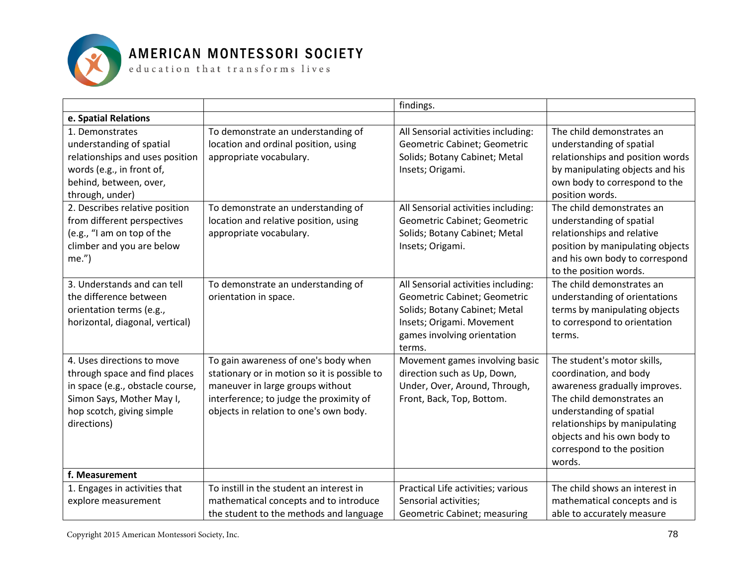

|                                                                                                                                                                          |                                                                                                                                                                                                               | findings.                                                                                                                                                                  |                                                                                                                                                                                                                                                         |
|--------------------------------------------------------------------------------------------------------------------------------------------------------------------------|---------------------------------------------------------------------------------------------------------------------------------------------------------------------------------------------------------------|----------------------------------------------------------------------------------------------------------------------------------------------------------------------------|---------------------------------------------------------------------------------------------------------------------------------------------------------------------------------------------------------------------------------------------------------|
| e. Spatial Relations                                                                                                                                                     |                                                                                                                                                                                                               |                                                                                                                                                                            |                                                                                                                                                                                                                                                         |
| 1. Demonstrates<br>understanding of spatial<br>relationships and uses position<br>words (e.g., in front of,<br>behind, between, over,<br>through, under)                 | To demonstrate an understanding of<br>location and ordinal position, using<br>appropriate vocabulary.                                                                                                         | All Sensorial activities including:<br>Geometric Cabinet; Geometric<br>Solids; Botany Cabinet; Metal<br>Insets; Origami.                                                   | The child demonstrates an<br>understanding of spatial<br>relationships and position words<br>by manipulating objects and his<br>own body to correspond to the<br>position words.                                                                        |
| 2. Describes relative position<br>from different perspectives<br>(e.g., "I am on top of the<br>climber and you are below<br>$me.'$ )                                     | To demonstrate an understanding of<br>location and relative position, using<br>appropriate vocabulary.                                                                                                        | All Sensorial activities including:<br>Geometric Cabinet; Geometric<br>Solids; Botany Cabinet; Metal<br>Insets; Origami.                                                   | The child demonstrates an<br>understanding of spatial<br>relationships and relative<br>position by manipulating objects<br>and his own body to correspond<br>to the position words.                                                                     |
| 3. Understands and can tell<br>the difference between<br>orientation terms (e.g.,<br>horizontal, diagonal, vertical)                                                     | To demonstrate an understanding of<br>orientation in space.                                                                                                                                                   | All Sensorial activities including:<br>Geometric Cabinet; Geometric<br>Solids; Botany Cabinet; Metal<br>Insets; Origami. Movement<br>games involving orientation<br>terms. | The child demonstrates an<br>understanding of orientations<br>terms by manipulating objects<br>to correspond to orientation<br>terms.                                                                                                                   |
| 4. Uses directions to move<br>through space and find places<br>in space (e.g., obstacle course,<br>Simon Says, Mother May I,<br>hop scotch, giving simple<br>directions) | To gain awareness of one's body when<br>stationary or in motion so it is possible to<br>maneuver in large groups without<br>interference; to judge the proximity of<br>objects in relation to one's own body. | Movement games involving basic<br>direction such as Up, Down,<br>Under, Over, Around, Through,<br>Front, Back, Top, Bottom.                                                | The student's motor skills,<br>coordination, and body<br>awareness gradually improves.<br>The child demonstrates an<br>understanding of spatial<br>relationships by manipulating<br>objects and his own body to<br>correspond to the position<br>words. |
| f. Measurement                                                                                                                                                           |                                                                                                                                                                                                               |                                                                                                                                                                            |                                                                                                                                                                                                                                                         |
| 1. Engages in activities that<br>explore measurement                                                                                                                     | To instill in the student an interest in<br>mathematical concepts and to introduce<br>the student to the methods and language                                                                                 | Practical Life activities; various<br>Sensorial activities;<br>Geometric Cabinet; measuring                                                                                | The child shows an interest in<br>mathematical concepts and is<br>able to accurately measure                                                                                                                                                            |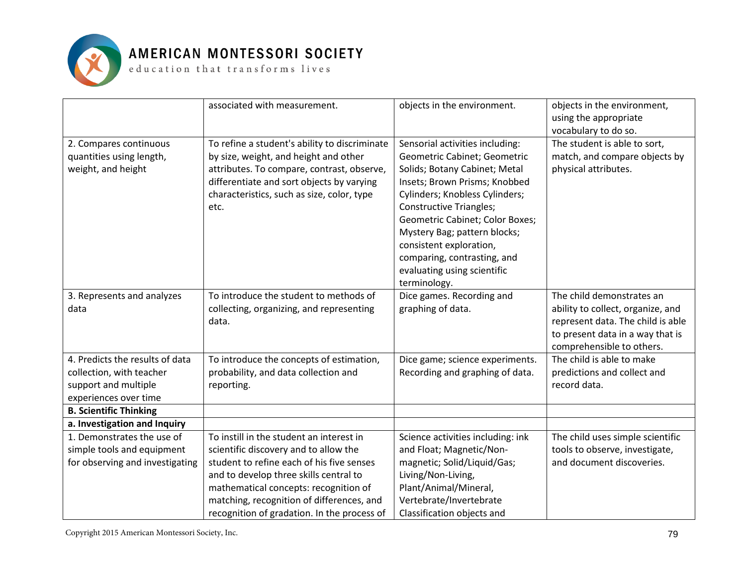

|                                 | associated with measurement.                  | objects in the environment.       | objects in the environment,<br>using the appropriate<br>vocabulary to do so. |
|---------------------------------|-----------------------------------------------|-----------------------------------|------------------------------------------------------------------------------|
| 2. Compares continuous          | To refine a student's ability to discriminate | Sensorial activities including:   | The student is able to sort,                                                 |
| quantities using length,        | by size, weight, and height and other         | Geometric Cabinet; Geometric      | match, and compare objects by                                                |
| weight, and height              | attributes. To compare, contrast, observe,    | Solids; Botany Cabinet; Metal     | physical attributes.                                                         |
|                                 | differentiate and sort objects by varying     | Insets; Brown Prisms; Knobbed     |                                                                              |
|                                 | characteristics, such as size, color, type    | Cylinders; Knobless Cylinders;    |                                                                              |
|                                 | etc.                                          | <b>Constructive Triangles;</b>    |                                                                              |
|                                 |                                               | Geometric Cabinet; Color Boxes;   |                                                                              |
|                                 |                                               | Mystery Bag; pattern blocks;      |                                                                              |
|                                 |                                               | consistent exploration,           |                                                                              |
|                                 |                                               | comparing, contrasting, and       |                                                                              |
|                                 |                                               | evaluating using scientific       |                                                                              |
|                                 |                                               | terminology.                      |                                                                              |
| 3. Represents and analyzes      | To introduce the student to methods of        | Dice games. Recording and         | The child demonstrates an                                                    |
| data                            | collecting, organizing, and representing      | graphing of data.                 | ability to collect, organize, and                                            |
|                                 | data.                                         |                                   | represent data. The child is able                                            |
|                                 |                                               |                                   | to present data in a way that is                                             |
|                                 |                                               |                                   | comprehensible to others.                                                    |
| 4. Predicts the results of data | To introduce the concepts of estimation,      | Dice game; science experiments.   | The child is able to make                                                    |
| collection, with teacher        | probability, and data collection and          | Recording and graphing of data.   | predictions and collect and                                                  |
| support and multiple            | reporting.                                    |                                   | record data.                                                                 |
| experiences over time           |                                               |                                   |                                                                              |
| <b>B. Scientific Thinking</b>   |                                               |                                   |                                                                              |
| a. Investigation and Inquiry    |                                               |                                   |                                                                              |
| 1. Demonstrates the use of      | To instill in the student an interest in      | Science activities including: ink | The child uses simple scientific                                             |
| simple tools and equipment      | scientific discovery and to allow the         | and Float; Magnetic/Non-          | tools to observe, investigate,                                               |
| for observing and investigating | student to refine each of his five senses     | magnetic; Solid/Liquid/Gas;       | and document discoveries.                                                    |
|                                 | and to develop three skills central to        | Living/Non-Living,                |                                                                              |
|                                 | mathematical concepts: recognition of         | Plant/Animal/Mineral,             |                                                                              |
|                                 | matching, recognition of differences, and     | Vertebrate/Invertebrate           |                                                                              |
|                                 | recognition of gradation. In the process of   | Classification objects and        |                                                                              |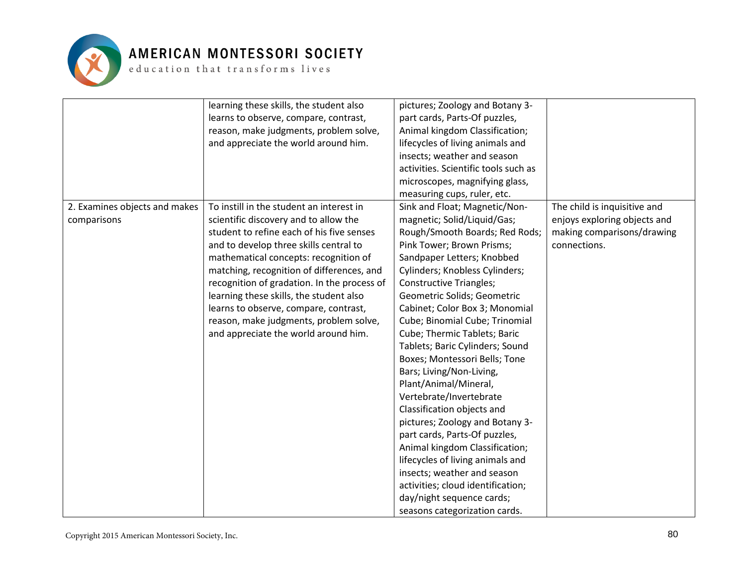

|                               | learning these skills, the student also     | pictures; Zoology and Botany 3-      |                              |
|-------------------------------|---------------------------------------------|--------------------------------------|------------------------------|
|                               | learns to observe, compare, contrast,       | part cards, Parts-Of puzzles,        |                              |
|                               | reason, make judgments, problem solve,      | Animal kingdom Classification;       |                              |
|                               | and appreciate the world around him.        | lifecycles of living animals and     |                              |
|                               |                                             | insects; weather and season          |                              |
|                               |                                             | activities. Scientific tools such as |                              |
|                               |                                             | microscopes, magnifying glass,       |                              |
|                               |                                             | measuring cups, ruler, etc.          |                              |
| 2. Examines objects and makes | To instill in the student an interest in    | Sink and Float; Magnetic/Non-        | The child is inquisitive and |
| comparisons                   | scientific discovery and to allow the       | magnetic; Solid/Liquid/Gas;          | enjoys exploring objects and |
|                               | student to refine each of his five senses   | Rough/Smooth Boards; Red Rods;       | making comparisons/drawing   |
|                               | and to develop three skills central to      | Pink Tower; Brown Prisms;            | connections.                 |
|                               | mathematical concepts: recognition of       | Sandpaper Letters; Knobbed           |                              |
|                               | matching, recognition of differences, and   | Cylinders; Knobless Cylinders;       |                              |
|                               | recognition of gradation. In the process of | <b>Constructive Triangles;</b>       |                              |
|                               | learning these skills, the student also     | Geometric Solids; Geometric          |                              |
|                               | learns to observe, compare, contrast,       | Cabinet; Color Box 3; Monomial       |                              |
|                               | reason, make judgments, problem solve,      | Cube; Binomial Cube; Trinomial       |                              |
|                               | and appreciate the world around him.        | Cube; Thermic Tablets; Baric         |                              |
|                               |                                             | Tablets; Baric Cylinders; Sound      |                              |
|                               |                                             | Boxes; Montessori Bells; Tone        |                              |
|                               |                                             | Bars; Living/Non-Living,             |                              |
|                               |                                             | Plant/Animal/Mineral,                |                              |
|                               |                                             | Vertebrate/Invertebrate              |                              |
|                               |                                             | Classification objects and           |                              |
|                               |                                             | pictures; Zoology and Botany 3-      |                              |
|                               |                                             | part cards, Parts-Of puzzles,        |                              |
|                               |                                             | Animal kingdom Classification;       |                              |
|                               |                                             | lifecycles of living animals and     |                              |
|                               |                                             | insects; weather and season          |                              |
|                               |                                             | activities; cloud identification;    |                              |
|                               |                                             | day/night sequence cards;            |                              |
|                               |                                             | seasons categorization cards.        |                              |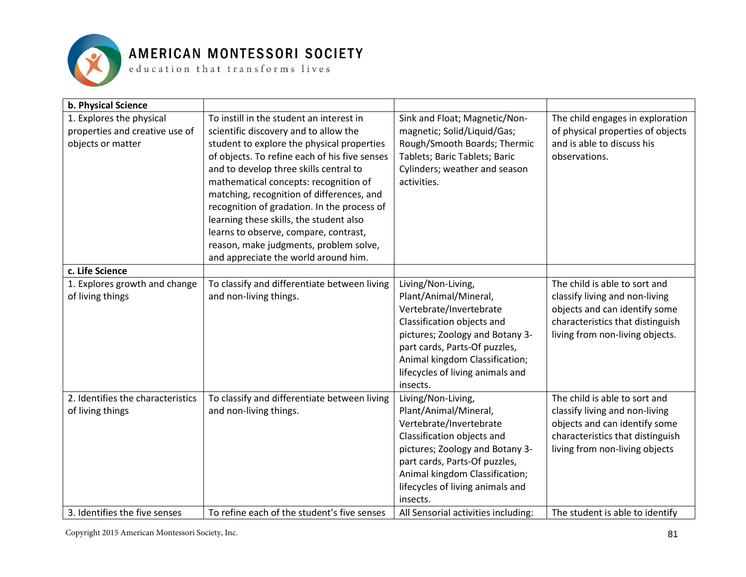

#### AMERICAN MONTESSORI SOCIETY

 ${\tt e}$  ducation that  ${\tt trains}$  forms lives

| b. Physical Science                                                             |                                                                                                                                                                                                                                                                                                                                                                                                                                                                                                                                       |                                                                                                                                                                                                                                                            |                                                                                                                                                                         |
|---------------------------------------------------------------------------------|---------------------------------------------------------------------------------------------------------------------------------------------------------------------------------------------------------------------------------------------------------------------------------------------------------------------------------------------------------------------------------------------------------------------------------------------------------------------------------------------------------------------------------------|------------------------------------------------------------------------------------------------------------------------------------------------------------------------------------------------------------------------------------------------------------|-------------------------------------------------------------------------------------------------------------------------------------------------------------------------|
| 1. Explores the physical<br>properties and creative use of<br>objects or matter | To instill in the student an interest in<br>scientific discovery and to allow the<br>student to explore the physical properties<br>of objects. To refine each of his five senses<br>and to develop three skills central to<br>mathematical concepts: recognition of<br>matching, recognition of differences, and<br>recognition of gradation. In the process of<br>learning these skills, the student also<br>learns to observe, compare, contrast,<br>reason, make judgments, problem solve,<br>and appreciate the world around him. | Sink and Float; Magnetic/Non-<br>magnetic; Solid/Liquid/Gas;<br>Rough/Smooth Boards; Thermic<br>Tablets; Baric Tablets; Baric<br>Cylinders; weather and season<br>activities.                                                                              | The child engages in exploration<br>of physical properties of objects<br>and is able to discuss his<br>observations.                                                    |
| c. Life Science                                                                 |                                                                                                                                                                                                                                                                                                                                                                                                                                                                                                                                       |                                                                                                                                                                                                                                                            |                                                                                                                                                                         |
| 1. Explores growth and change<br>of living things                               | To classify and differentiate between living<br>and non-living things.                                                                                                                                                                                                                                                                                                                                                                                                                                                                | Living/Non-Living,<br>Plant/Animal/Mineral,<br>Vertebrate/Invertebrate<br>Classification objects and<br>pictures; Zoology and Botany 3-<br>part cards, Parts-Of puzzles,<br>Animal kingdom Classification;<br>lifecycles of living animals and<br>insects. | The child is able to sort and<br>classify living and non-living<br>objects and can identify some<br>characteristics that distinguish<br>living from non-living objects. |
| 2. Identifies the characteristics<br>of living things                           | To classify and differentiate between living<br>and non-living things.                                                                                                                                                                                                                                                                                                                                                                                                                                                                | Living/Non-Living,<br>Plant/Animal/Mineral,<br>Vertebrate/Invertebrate<br>Classification objects and<br>pictures; Zoology and Botany 3-<br>part cards, Parts-Of puzzles,<br>Animal kingdom Classification;<br>lifecycles of living animals and<br>insects. | The child is able to sort and<br>classify living and non-living<br>objects and can identify some<br>characteristics that distinguish<br>living from non-living objects  |
| 3. Identifies the five senses                                                   | To refine each of the student's five senses                                                                                                                                                                                                                                                                                                                                                                                                                                                                                           | All Sensorial activities including:                                                                                                                                                                                                                        | The student is able to identify                                                                                                                                         |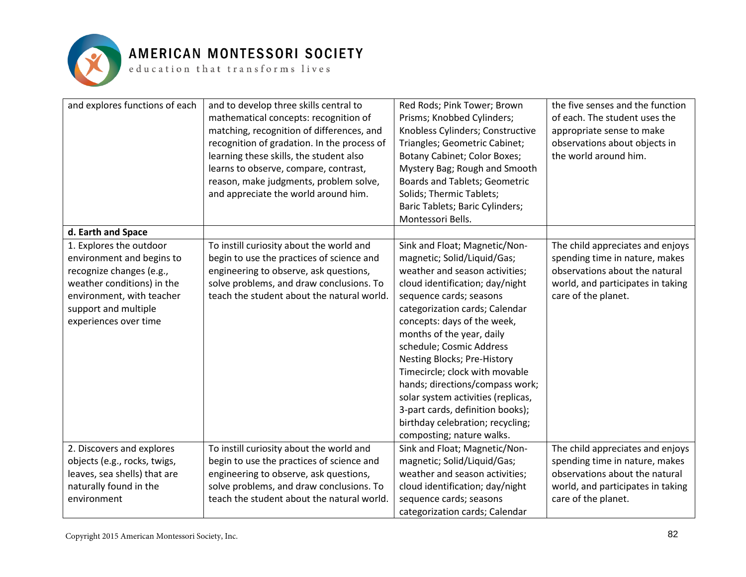

| and explores functions of each | and to develop three skills central to      | Red Rods; Pink Tower; Brown          | the five senses and the function  |
|--------------------------------|---------------------------------------------|--------------------------------------|-----------------------------------|
|                                | mathematical concepts: recognition of       | Prisms; Knobbed Cylinders;           | of each. The student uses the     |
|                                | matching, recognition of differences, and   | Knobless Cylinders; Constructive     | appropriate sense to make         |
|                                | recognition of gradation. In the process of | Triangles; Geometric Cabinet;        | observations about objects in     |
|                                | learning these skills, the student also     | Botany Cabinet; Color Boxes;         | the world around him.             |
|                                | learns to observe, compare, contrast,       | Mystery Bag; Rough and Smooth        |                                   |
|                                | reason, make judgments, problem solve,      | <b>Boards and Tablets; Geometric</b> |                                   |
|                                | and appreciate the world around him.        | Solids; Thermic Tablets;             |                                   |
|                                |                                             | Baric Tablets; Baric Cylinders;      |                                   |
|                                |                                             | Montessori Bells.                    |                                   |
| d. Earth and Space             |                                             |                                      |                                   |
| 1. Explores the outdoor        | To instill curiosity about the world and    | Sink and Float; Magnetic/Non-        | The child appreciates and enjoys  |
| environment and begins to      | begin to use the practices of science and   | magnetic; Solid/Liquid/Gas;          | spending time in nature, makes    |
| recognize changes (e.g.,       | engineering to observe, ask questions,      | weather and season activities;       | observations about the natural    |
| weather conditions) in the     | solve problems, and draw conclusions. To    | cloud identification; day/night      | world, and participates in taking |
| environment, with teacher      | teach the student about the natural world.  | sequence cards; seasons              | care of the planet.               |
| support and multiple           |                                             | categorization cards; Calendar       |                                   |
| experiences over time          |                                             | concepts: days of the week,          |                                   |
|                                |                                             | months of the year, daily            |                                   |
|                                |                                             | schedule; Cosmic Address             |                                   |
|                                |                                             | Nesting Blocks; Pre-History          |                                   |
|                                |                                             | Timecircle; clock with movable       |                                   |
|                                |                                             | hands; directions/compass work;      |                                   |
|                                |                                             | solar system activities (replicas,   |                                   |
|                                |                                             | 3-part cards, definition books);     |                                   |
|                                |                                             | birthday celebration; recycling;     |                                   |
|                                |                                             | composting; nature walks.            |                                   |
| 2. Discovers and explores      | To instill curiosity about the world and    | Sink and Float; Magnetic/Non-        | The child appreciates and enjoys  |
| objects (e.g., rocks, twigs,   | begin to use the practices of science and   | magnetic; Solid/Liquid/Gas;          | spending time in nature, makes    |
| leaves, sea shells) that are   | engineering to observe, ask questions,      | weather and season activities;       | observations about the natural    |
| naturally found in the         | solve problems, and draw conclusions. To    | cloud identification; day/night      | world, and participates in taking |
| environment                    | teach the student about the natural world.  | sequence cards; seasons              | care of the planet.               |
|                                |                                             | categorization cards; Calendar       |                                   |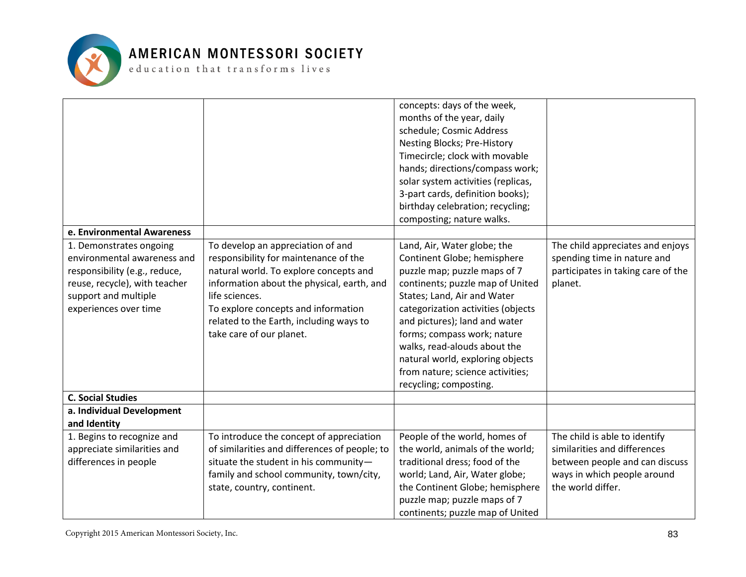

| e. Environmental Awareness<br>1. Demonstrates ongoing<br>environmental awareness and | To develop an appreciation of and<br>responsibility for maintenance of the | concepts: days of the week,<br>months of the year, daily<br>schedule; Cosmic Address<br>Nesting Blocks; Pre-History<br>Timecircle; clock with movable<br>hands; directions/compass work;<br>solar system activities (replicas,<br>3-part cards, definition books);<br>birthday celebration; recycling;<br>composting; nature walks.<br>Land, Air, Water globe; the<br>Continent Globe; hemisphere | The child appreciates and enjoys<br>spending time in nature and |
|--------------------------------------------------------------------------------------|----------------------------------------------------------------------------|---------------------------------------------------------------------------------------------------------------------------------------------------------------------------------------------------------------------------------------------------------------------------------------------------------------------------------------------------------------------------------------------------|-----------------------------------------------------------------|
| responsibility (e.g., reduce,                                                        | natural world. To explore concepts and                                     | puzzle map; puzzle maps of 7                                                                                                                                                                                                                                                                                                                                                                      | participates in taking care of the                              |
| reuse, recycle), with teacher                                                        | information about the physical, earth, and                                 | continents; puzzle map of United                                                                                                                                                                                                                                                                                                                                                                  | planet.                                                         |
| support and multiple                                                                 | life sciences.                                                             | States; Land, Air and Water                                                                                                                                                                                                                                                                                                                                                                       |                                                                 |
| experiences over time                                                                | To explore concepts and information                                        | categorization activities (objects                                                                                                                                                                                                                                                                                                                                                                |                                                                 |
|                                                                                      | related to the Earth, including ways to                                    | and pictures); land and water                                                                                                                                                                                                                                                                                                                                                                     |                                                                 |
|                                                                                      | take care of our planet.                                                   | forms; compass work; nature                                                                                                                                                                                                                                                                                                                                                                       |                                                                 |
|                                                                                      |                                                                            | walks, read-alouds about the<br>natural world, exploring objects                                                                                                                                                                                                                                                                                                                                  |                                                                 |
|                                                                                      |                                                                            | from nature; science activities;                                                                                                                                                                                                                                                                                                                                                                  |                                                                 |
|                                                                                      |                                                                            | recycling; composting.                                                                                                                                                                                                                                                                                                                                                                            |                                                                 |
| <b>C. Social Studies</b>                                                             |                                                                            |                                                                                                                                                                                                                                                                                                                                                                                                   |                                                                 |
| a. Individual Development                                                            |                                                                            |                                                                                                                                                                                                                                                                                                                                                                                                   |                                                                 |
| and Identity                                                                         |                                                                            |                                                                                                                                                                                                                                                                                                                                                                                                   |                                                                 |
| 1. Begins to recognize and                                                           | To introduce the concept of appreciation                                   | People of the world, homes of                                                                                                                                                                                                                                                                                                                                                                     | The child is able to identify                                   |
| appreciate similarities and                                                          | of similarities and differences of people; to                              | the world, animals of the world;                                                                                                                                                                                                                                                                                                                                                                  | similarities and differences                                    |
| differences in people                                                                | situate the student in his community-                                      | traditional dress; food of the                                                                                                                                                                                                                                                                                                                                                                    | between people and can discuss                                  |
|                                                                                      | family and school community, town/city,                                    | world; Land, Air, Water globe;                                                                                                                                                                                                                                                                                                                                                                    | ways in which people around                                     |
|                                                                                      | state, country, continent.                                                 | the Continent Globe; hemisphere                                                                                                                                                                                                                                                                                                                                                                   | the world differ.                                               |
|                                                                                      |                                                                            | puzzle map; puzzle maps of 7                                                                                                                                                                                                                                                                                                                                                                      |                                                                 |
|                                                                                      |                                                                            | continents; puzzle map of United                                                                                                                                                                                                                                                                                                                                                                  |                                                                 |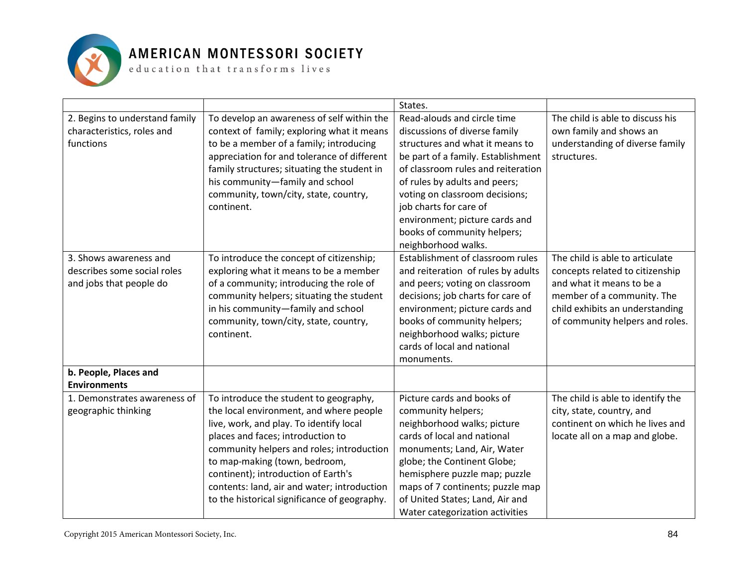

|                                |                                              | States.                            |                                   |
|--------------------------------|----------------------------------------------|------------------------------------|-----------------------------------|
| 2. Begins to understand family | To develop an awareness of self within the   | Read-alouds and circle time        | The child is able to discuss his  |
| characteristics, roles and     | context of family; exploring what it means   | discussions of diverse family      | own family and shows an           |
| functions                      | to be a member of a family; introducing      | structures and what it means to    | understanding of diverse family   |
|                                | appreciation for and tolerance of different  | be part of a family. Establishment | structures.                       |
|                                | family structures; situating the student in  | of classroom rules and reiteration |                                   |
|                                | his community-family and school              | of rules by adults and peers;      |                                   |
|                                | community, town/city, state, country,        | voting on classroom decisions;     |                                   |
|                                | continent.                                   | job charts for care of             |                                   |
|                                |                                              | environment; picture cards and     |                                   |
|                                |                                              | books of community helpers;        |                                   |
|                                |                                              | neighborhood walks.                |                                   |
| 3. Shows awareness and         | To introduce the concept of citizenship;     | Establishment of classroom rules   | The child is able to articulate   |
| describes some social roles    | exploring what it means to be a member       | and reiteration of rules by adults | concepts related to citizenship   |
| and jobs that people do        | of a community; introducing the role of      | and peers; voting on classroom     | and what it means to be a         |
|                                | community helpers; situating the student     | decisions; job charts for care of  | member of a community. The        |
|                                | in his community-family and school           | environment; picture cards and     | child exhibits an understanding   |
|                                | community, town/city, state, country,        | books of community helpers;        | of community helpers and roles.   |
|                                | continent.                                   | neighborhood walks; picture        |                                   |
|                                |                                              | cards of local and national        |                                   |
|                                |                                              | monuments.                         |                                   |
| b. People, Places and          |                                              |                                    |                                   |
| <b>Environments</b>            |                                              |                                    |                                   |
| 1. Demonstrates awareness of   | To introduce the student to geography,       | Picture cards and books of         | The child is able to identify the |
| geographic thinking            | the local environment, and where people      | community helpers;                 | city, state, country, and         |
|                                | live, work, and play. To identify local      | neighborhood walks; picture        | continent on which he lives and   |
|                                | places and faces; introduction to            | cards of local and national        | locate all on a map and globe.    |
|                                | community helpers and roles; introduction    | monuments; Land, Air, Water        |                                   |
|                                | to map-making (town, bedroom,                | globe; the Continent Globe;        |                                   |
|                                | continent); introduction of Earth's          | hemisphere puzzle map; puzzle      |                                   |
|                                | contents: land, air and water; introduction  | maps of 7 continents; puzzle map   |                                   |
|                                | to the historical significance of geography. | of United States; Land, Air and    |                                   |
|                                |                                              | Water categorization activities    |                                   |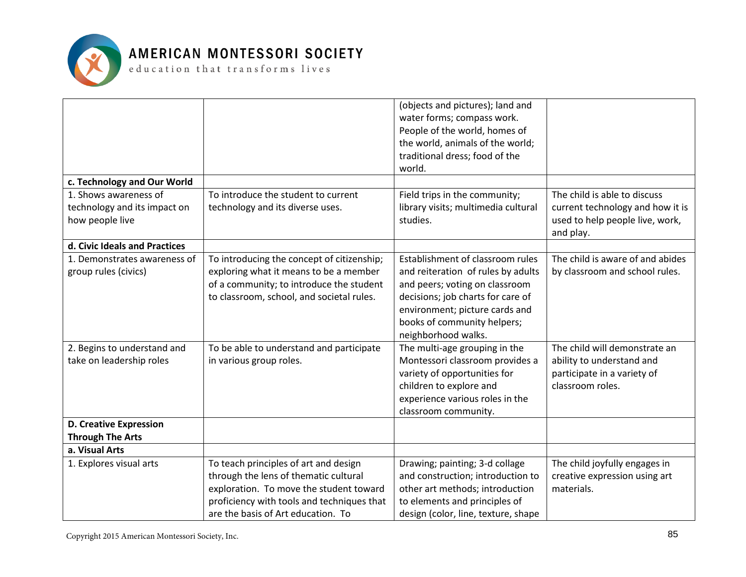

|                               |                                            | (objects and pictures); land and    |                                  |
|-------------------------------|--------------------------------------------|-------------------------------------|----------------------------------|
|                               |                                            | water forms; compass work.          |                                  |
|                               |                                            | People of the world, homes of       |                                  |
|                               |                                            | the world, animals of the world;    |                                  |
|                               |                                            | traditional dress; food of the      |                                  |
|                               |                                            | world.                              |                                  |
| c. Technology and Our World   |                                            |                                     |                                  |
| 1. Shows awareness of         | To introduce the student to current        | Field trips in the community;       | The child is able to discuss     |
| technology and its impact on  | technology and its diverse uses.           | library visits; multimedia cultural | current technology and how it is |
| how people live               |                                            | studies.                            | used to help people live, work,  |
|                               |                                            |                                     | and play.                        |
| d. Civic Ideals and Practices |                                            |                                     |                                  |
| 1. Demonstrates awareness of  | To introducing the concept of citizenship; | Establishment of classroom rules    | The child is aware of and abides |
| group rules (civics)          | exploring what it means to be a member     | and reiteration of rules by adults  | by classroom and school rules.   |
|                               | of a community; to introduce the student   | and peers; voting on classroom      |                                  |
|                               | to classroom, school, and societal rules.  | decisions; job charts for care of   |                                  |
|                               |                                            | environment; picture cards and      |                                  |
|                               |                                            | books of community helpers;         |                                  |
|                               |                                            | neighborhood walks.                 |                                  |
| 2. Begins to understand and   | To be able to understand and participate   | The multi-age grouping in the       | The child will demonstrate an    |
| take on leadership roles      | in various group roles.                    | Montessori classroom provides a     | ability to understand and        |
|                               |                                            | variety of opportunities for        | participate in a variety of      |
|                               |                                            | children to explore and             | classroom roles.                 |
|                               |                                            | experience various roles in the     |                                  |
|                               |                                            | classroom community.                |                                  |
| <b>D. Creative Expression</b> |                                            |                                     |                                  |
| <b>Through The Arts</b>       |                                            |                                     |                                  |
| a. Visual Arts                |                                            |                                     |                                  |
| 1. Explores visual arts       | To teach principles of art and design      | Drawing; painting; 3-d collage      | The child joyfully engages in    |
|                               | through the lens of thematic cultural      | and construction; introduction to   | creative expression using art    |
|                               | exploration. To move the student toward    | other art methods; introduction     | materials.                       |
|                               | proficiency with tools and techniques that | to elements and principles of       |                                  |
|                               | are the basis of Art education. To         | design (color, line, texture, shape |                                  |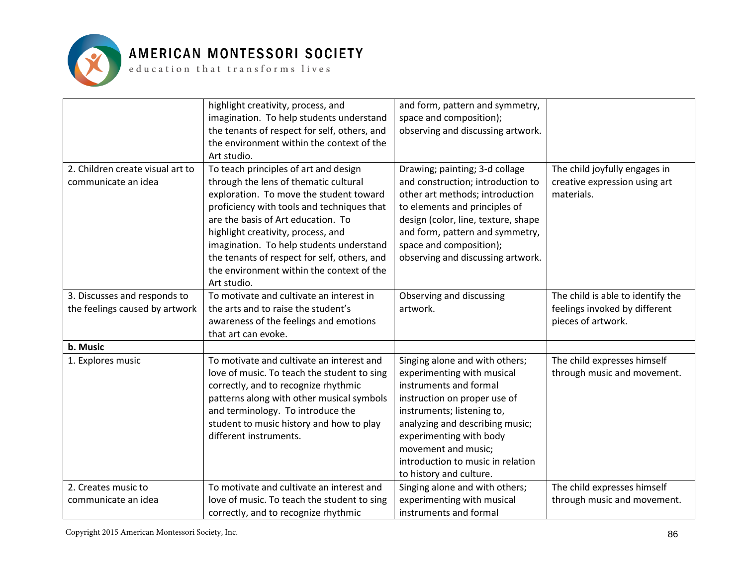

| and form, pattern and symmetry,<br>highlight creativity, process, and                                                                        |  |
|----------------------------------------------------------------------------------------------------------------------------------------------|--|
| space and composition);<br>imagination. To help students understand                                                                          |  |
| the tenants of respect for self, others, and<br>observing and discussing artwork.                                                            |  |
| the environment within the context of the                                                                                                    |  |
|                                                                                                                                              |  |
| Art studio.                                                                                                                                  |  |
| To teach principles of art and design<br>2. Children create visual art to<br>Drawing; painting; 3-d collage<br>The child joyfully engages in |  |
| through the lens of thematic cultural<br>and construction; introduction to<br>creative expression using art<br>communicate an idea           |  |
| exploration. To move the student toward<br>other art methods; introduction<br>materials.                                                     |  |
| proficiency with tools and techniques that<br>to elements and principles of                                                                  |  |
| are the basis of Art education. To<br>design (color, line, texture, shape                                                                    |  |
| highlight creativity, process, and<br>and form, pattern and symmetry,                                                                        |  |
| imagination. To help students understand<br>space and composition);                                                                          |  |
| the tenants of respect for self, others, and<br>observing and discussing artwork.                                                            |  |
| the environment within the context of the                                                                                                    |  |
| Art studio.                                                                                                                                  |  |
| 3. Discusses and responds to<br>To motivate and cultivate an interest in<br>Observing and discussing<br>The child is able to identify the    |  |
| the feelings caused by artwork<br>the arts and to raise the student's<br>artwork.<br>feelings invoked by different                           |  |
| awareness of the feelings and emotions<br>pieces of artwork.                                                                                 |  |
| that art can evoke.                                                                                                                          |  |
| b. Music                                                                                                                                     |  |
| To motivate and cultivate an interest and<br>The child expresses himself<br>1. Explores music<br>Singing alone and with others;              |  |
| through music and movement.<br>love of music. To teach the student to sing<br>experimenting with musical                                     |  |
| instruments and formal<br>correctly, and to recognize rhythmic                                                                               |  |
| patterns along with other musical symbols<br>instruction on proper use of                                                                    |  |
| and terminology. To introduce the<br>instruments; listening to,                                                                              |  |
| student to music history and how to play<br>analyzing and describing music;                                                                  |  |
| different instruments.<br>experimenting with body                                                                                            |  |
| movement and music;                                                                                                                          |  |
| introduction to music in relation                                                                                                            |  |
| to history and culture.                                                                                                                      |  |
| The child expresses himself<br>2. Creates music to<br>To motivate and cultivate an interest and<br>Singing alone and with others;            |  |
| experimenting with musical<br>love of music. To teach the student to sing<br>through music and movement.<br>communicate an idea              |  |
| instruments and formal<br>correctly, and to recognize rhythmic                                                                               |  |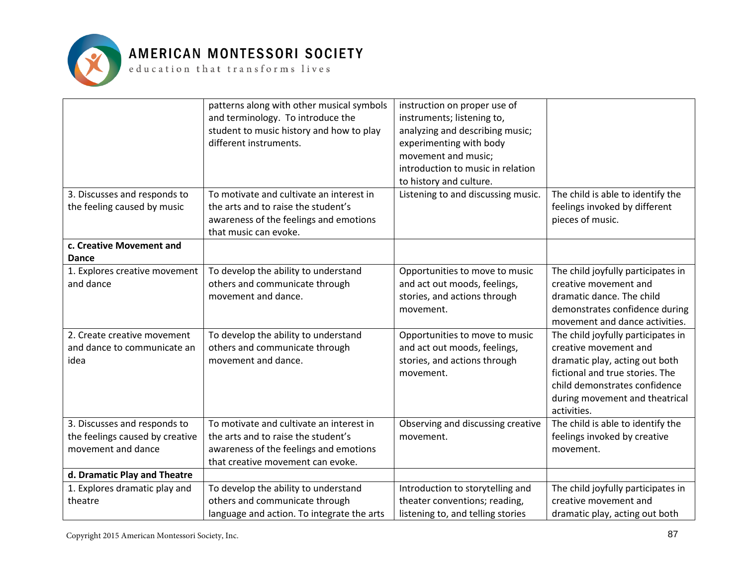

|                                                                                                                  | patterns along with other musical symbols<br>and terminology. To introduce the<br>student to music history and how to play<br>different instruments.<br>To motivate and cultivate an interest in | instruction on proper use of<br>instruments; listening to,<br>analyzing and describing music;<br>experimenting with body<br>movement and music;<br>introduction to music in relation<br>to history and culture.            | The child is able to identify the                                                                                                                                                                                                                                                                                                                                                  |
|------------------------------------------------------------------------------------------------------------------|--------------------------------------------------------------------------------------------------------------------------------------------------------------------------------------------------|----------------------------------------------------------------------------------------------------------------------------------------------------------------------------------------------------------------------------|------------------------------------------------------------------------------------------------------------------------------------------------------------------------------------------------------------------------------------------------------------------------------------------------------------------------------------------------------------------------------------|
| 3. Discusses and responds to<br>the feeling caused by music                                                      | the arts and to raise the student's<br>awareness of the feelings and emotions<br>that music can evoke.                                                                                           | Listening to and discussing music.                                                                                                                                                                                         | feelings invoked by different<br>pieces of music.                                                                                                                                                                                                                                                                                                                                  |
| c. Creative Movement and<br>Dance                                                                                |                                                                                                                                                                                                  |                                                                                                                                                                                                                            |                                                                                                                                                                                                                                                                                                                                                                                    |
| 1. Explores creative movement<br>and dance<br>2. Create creative movement<br>and dance to communicate an<br>idea | To develop the ability to understand<br>others and communicate through<br>movement and dance.<br>To develop the ability to understand<br>others and communicate through<br>movement and dance.   | Opportunities to move to music<br>and act out moods, feelings,<br>stories, and actions through<br>movement.<br>Opportunities to move to music<br>and act out moods, feelings,<br>stories, and actions through<br>movement. | The child joyfully participates in<br>creative movement and<br>dramatic dance. The child<br>demonstrates confidence during<br>movement and dance activities.<br>The child joyfully participates in<br>creative movement and<br>dramatic play, acting out both<br>fictional and true stories. The<br>child demonstrates confidence<br>during movement and theatrical<br>activities. |
| 3. Discusses and responds to<br>the feelings caused by creative<br>movement and dance                            | To motivate and cultivate an interest in<br>the arts and to raise the student's<br>awareness of the feelings and emotions<br>that creative movement can evoke.                                   | Observing and discussing creative<br>movement.                                                                                                                                                                             | The child is able to identify the<br>feelings invoked by creative<br>movement.                                                                                                                                                                                                                                                                                                     |
| d. Dramatic Play and Theatre<br>1. Explores dramatic play and<br>theatre                                         | To develop the ability to understand<br>others and communicate through<br>language and action. To integrate the arts                                                                             | Introduction to storytelling and<br>theater conventions; reading,<br>listening to, and telling stories                                                                                                                     | The child joyfully participates in<br>creative movement and<br>dramatic play, acting out both                                                                                                                                                                                                                                                                                      |